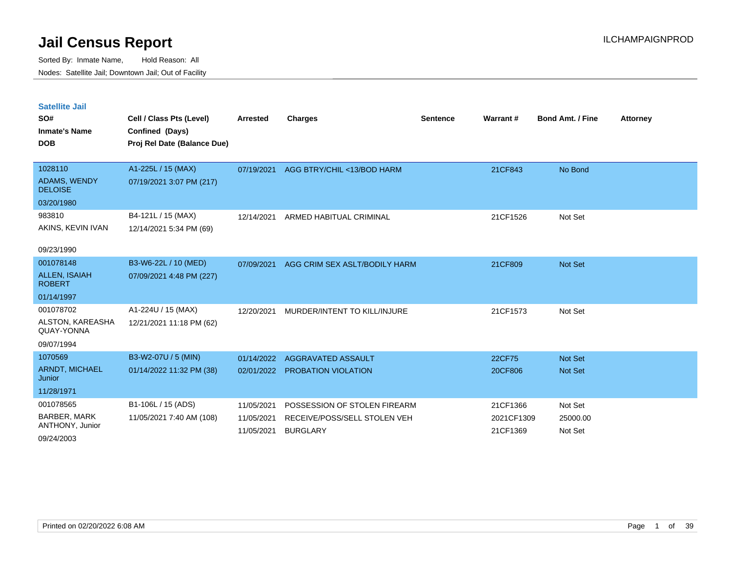Sorted By: Inmate Name, Hold Reason: All Nodes: Satellite Jail; Downtown Jail; Out of Facility

| <b>Satellite Jail</b><br>SO#<br><b>Inmate's Name</b><br><b>DOB</b> | Cell / Class Pts (Level)<br>Confined (Days)<br>Proj Rel Date (Balance Due) | <b>Arrested</b> | <b>Charges</b>                        | <b>Sentence</b> | Warrant#   | <b>Bond Amt. / Fine</b> | <b>Attorney</b> |
|--------------------------------------------------------------------|----------------------------------------------------------------------------|-----------------|---------------------------------------|-----------------|------------|-------------------------|-----------------|
|                                                                    |                                                                            |                 |                                       |                 |            |                         |                 |
| 1028110                                                            | A1-225L / 15 (MAX)                                                         |                 | 07/19/2021 AGG BTRY/CHIL <13/BOD HARM |                 | 21CF843    | No Bond                 |                 |
| ADAMS, WENDY<br><b>DELOISE</b>                                     | 07/19/2021 3:07 PM (217)                                                   |                 |                                       |                 |            |                         |                 |
| 03/20/1980                                                         |                                                                            |                 |                                       |                 |            |                         |                 |
| 983810                                                             | B4-121L / 15 (MAX)                                                         | 12/14/2021      | ARMED HABITUAL CRIMINAL               |                 | 21CF1526   | Not Set                 |                 |
| AKINS, KEVIN IVAN                                                  | 12/14/2021 5:34 PM (69)                                                    |                 |                                       |                 |            |                         |                 |
| 09/23/1990                                                         |                                                                            |                 |                                       |                 |            |                         |                 |
| 001078148                                                          | B3-W6-22L / 10 (MED)                                                       | 07/09/2021      | AGG CRIM SEX ASLT/BODILY HARM         |                 | 21CF809    | Not Set                 |                 |
| <b>ALLEN, ISAIAH</b><br><b>ROBERT</b>                              | 07/09/2021 4:48 PM (227)                                                   |                 |                                       |                 |            |                         |                 |
| 01/14/1997                                                         |                                                                            |                 |                                       |                 |            |                         |                 |
| 001078702                                                          | A1-224U / 15 (MAX)                                                         | 12/20/2021      | MURDER/INTENT TO KILL/INJURE          |                 | 21CF1573   | Not Set                 |                 |
| ALSTON, KAREASHA<br>QUAY-YONNA                                     | 12/21/2021 11:18 PM (62)                                                   |                 |                                       |                 |            |                         |                 |
| 09/07/1994                                                         |                                                                            |                 |                                       |                 |            |                         |                 |
| 1070569                                                            | B3-W2-07U / 5 (MIN)                                                        | 01/14/2022      | AGGRAVATED ASSAULT                    |                 | 22CF75     | Not Set                 |                 |
| <b>ARNDT, MICHAEL</b><br>Junior                                    | 01/14/2022 11:32 PM (38)                                                   |                 | 02/01/2022 PROBATION VIOLATION        |                 | 20CF806    | <b>Not Set</b>          |                 |
| 11/28/1971                                                         |                                                                            |                 |                                       |                 |            |                         |                 |
| 001078565                                                          | B1-106L / 15 (ADS)                                                         | 11/05/2021      | POSSESSION OF STOLEN FIREARM          |                 | 21CF1366   | Not Set                 |                 |
| <b>BARBER, MARK</b>                                                | 11/05/2021 7:40 AM (108)                                                   | 11/05/2021      | RECEIVE/POSS/SELL STOLEN VEH          |                 | 2021CF1309 | 25000.00                |                 |

11/05/2021 BURGLARY 21CF1369 Not Set

09/24/2003

ANTHONY, Junior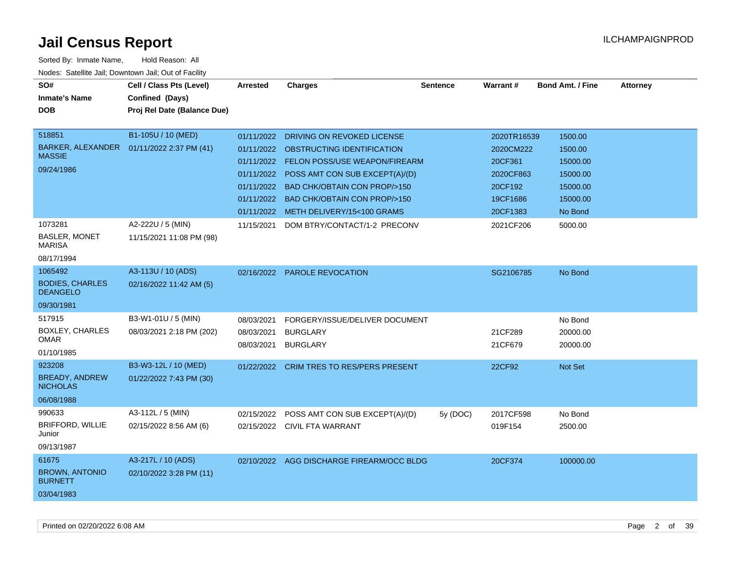| SO#                                       | Cell / Class Pts (Level)                   | <b>Arrested</b> | <b>Charges</b>                            | <b>Sentence</b> | Warrant#    | <b>Bond Amt. / Fine</b> | <b>Attorney</b> |
|-------------------------------------------|--------------------------------------------|-----------------|-------------------------------------------|-----------------|-------------|-------------------------|-----------------|
| <b>Inmate's Name</b>                      | Confined (Days)                            |                 |                                           |                 |             |                         |                 |
| <b>DOB</b>                                | Proj Rel Date (Balance Due)                |                 |                                           |                 |             |                         |                 |
|                                           |                                            |                 |                                           |                 |             |                         |                 |
| 518851                                    | B1-105U / 10 (MED)                         | 01/11/2022      | DRIVING ON REVOKED LICENSE                |                 | 2020TR16539 | 1500.00                 |                 |
| <b>MASSIE</b>                             | BARKER, ALEXANDER  01/11/2022 2:37 PM (41) |                 | 01/11/2022 OBSTRUCTING IDENTIFICATION     |                 | 2020CM222   | 1500.00                 |                 |
|                                           |                                            | 01/11/2022      | <b>FELON POSS/USE WEAPON/FIREARM</b>      |                 | 20CF361     | 15000.00                |                 |
| 09/24/1986                                |                                            | 01/11/2022      | POSS AMT CON SUB EXCEPT(A)/(D)            |                 | 2020CF863   | 15000.00                |                 |
|                                           |                                            | 01/11/2022      | <b>BAD CHK/OBTAIN CON PROP/&gt;150</b>    |                 | 20CF192     | 15000.00                |                 |
|                                           |                                            | 01/11/2022      | <b>BAD CHK/OBTAIN CON PROP/&gt;150</b>    |                 | 19CF1686    | 15000.00                |                 |
|                                           |                                            | 01/11/2022      | METH DELIVERY/15<100 GRAMS                |                 | 20CF1383    | No Bond                 |                 |
| 1073281                                   | A2-222U / 5 (MIN)                          | 11/15/2021      | DOM BTRY/CONTACT/1-2 PRECONV              |                 | 2021CF206   | 5000.00                 |                 |
| <b>BASLER, MONET</b><br>MARISA            | 11/15/2021 11:08 PM (98)                   |                 |                                           |                 |             |                         |                 |
| 08/17/1994                                |                                            |                 |                                           |                 |             |                         |                 |
| 1065492                                   | A3-113U / 10 (ADS)                         | 02/16/2022      | <b>PAROLE REVOCATION</b>                  |                 | SG2106785   | No Bond                 |                 |
| <b>BODIES, CHARLES</b><br><b>DEANGELO</b> | 02/16/2022 11:42 AM (5)                    |                 |                                           |                 |             |                         |                 |
| 09/30/1981                                |                                            |                 |                                           |                 |             |                         |                 |
| 517915                                    | B3-W1-01U / 5 (MIN)                        | 08/03/2021      | FORGERY/ISSUE/DELIVER DOCUMENT            |                 |             | No Bond                 |                 |
| <b>BOXLEY, CHARLES</b>                    | 08/03/2021 2:18 PM (202)                   | 08/03/2021      | <b>BURGLARY</b>                           |                 | 21CF289     | 20000.00                |                 |
| <b>OMAR</b>                               |                                            | 08/03/2021      | <b>BURGLARY</b>                           |                 | 21CF679     | 20000.00                |                 |
| 01/10/1985                                |                                            |                 |                                           |                 |             |                         |                 |
| 923208                                    | B3-W3-12L / 10 (MED)                       | 01/22/2022      | <b>CRIM TRES TO RES/PERS PRESENT</b>      |                 | 22CF92      | Not Set                 |                 |
| <b>BREADY, ANDREW</b><br><b>NICHOLAS</b>  | 01/22/2022 7:43 PM (30)                    |                 |                                           |                 |             |                         |                 |
| 06/08/1988                                |                                            |                 |                                           |                 |             |                         |                 |
| 990633                                    | A3-112L / 5 (MIN)                          | 02/15/2022      | POSS AMT CON SUB EXCEPT(A)/(D)            | 5y (DOC)        | 2017CF598   | No Bond                 |                 |
| <b>BRIFFORD, WILLIE</b><br>Junior         | 02/15/2022 8:56 AM (6)                     |                 | 02/15/2022 CIVIL FTA WARRANT              |                 | 019F154     | 2500.00                 |                 |
| 09/13/1987                                |                                            |                 |                                           |                 |             |                         |                 |
| 61675                                     | A3-217L / 10 (ADS)                         |                 | 02/10/2022 AGG DISCHARGE FIREARM/OCC BLDG |                 | 20CF374     | 100000.00               |                 |
| <b>BROWN, ANTONIO</b><br><b>BURNETT</b>   | 02/10/2022 3:28 PM (11)                    |                 |                                           |                 |             |                         |                 |
| 03/04/1983                                |                                            |                 |                                           |                 |             |                         |                 |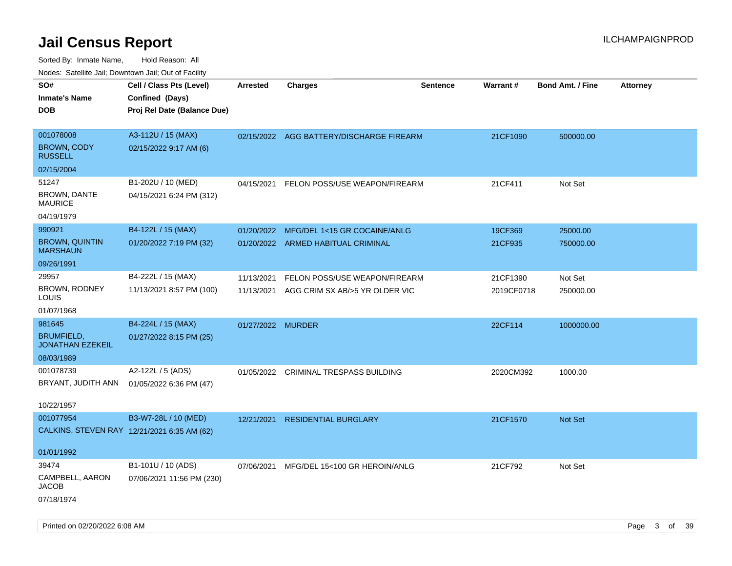| ivouss. Satellite Jall, Downtown Jall, Out of Facility |                             |                   |                                          |                 |            |                         |                 |
|--------------------------------------------------------|-----------------------------|-------------------|------------------------------------------|-----------------|------------|-------------------------|-----------------|
| SO#                                                    | Cell / Class Pts (Level)    | <b>Arrested</b>   | <b>Charges</b>                           | <b>Sentence</b> | Warrant#   | <b>Bond Amt. / Fine</b> | <b>Attorney</b> |
| <b>Inmate's Name</b>                                   | Confined (Days)             |                   |                                          |                 |            |                         |                 |
| <b>DOB</b>                                             | Proj Rel Date (Balance Due) |                   |                                          |                 |            |                         |                 |
| 001078008                                              | A3-112U / 15 (MAX)          |                   | 02/15/2022 AGG BATTERY/DISCHARGE FIREARM |                 | 21CF1090   | 500000.00               |                 |
| <b>BROWN, CODY</b><br><b>RUSSELL</b>                   | 02/15/2022 9:17 AM (6)      |                   |                                          |                 |            |                         |                 |
| 02/15/2004                                             |                             |                   |                                          |                 |            |                         |                 |
| 51247                                                  | B1-202U / 10 (MED)          | 04/15/2021        | FELON POSS/USE WEAPON/FIREARM            |                 | 21CF411    | Not Set                 |                 |
| <b>BROWN, DANTE</b><br><b>MAURICE</b>                  | 04/15/2021 6:24 PM (312)    |                   |                                          |                 |            |                         |                 |
| 04/19/1979                                             |                             |                   |                                          |                 |            |                         |                 |
| 990921                                                 | B4-122L / 15 (MAX)          | 01/20/2022        | MFG/DEL 1<15 GR COCAINE/ANLG             |                 | 19CF369    | 25000.00                |                 |
| <b>BROWN, QUINTIN</b><br><b>MARSHAUN</b>               | 01/20/2022 7:19 PM (32)     |                   | 01/20/2022 ARMED HABITUAL CRIMINAL       |                 | 21CF935    | 750000.00               |                 |
| 09/26/1991                                             |                             |                   |                                          |                 |            |                         |                 |
| 29957                                                  | B4-222L / 15 (MAX)          | 11/13/2021        | FELON POSS/USE WEAPON/FIREARM            |                 | 21CF1390   | Not Set                 |                 |
| <b>BROWN, RODNEY</b><br>LOUIS                          | 11/13/2021 8:57 PM (100)    | 11/13/2021        | AGG CRIM SX AB/>5 YR OLDER VIC           |                 | 2019CF0718 | 250000.00               |                 |
| 01/07/1968                                             |                             |                   |                                          |                 |            |                         |                 |
| 981645                                                 | B4-224L / 15 (MAX)          | 01/27/2022 MURDER |                                          |                 | 22CF114    | 1000000.00              |                 |
| <b>BRUMFIELD,</b><br><b>JONATHAN EZEKEIL</b>           | 01/27/2022 8:15 PM (25)     |                   |                                          |                 |            |                         |                 |
| 08/03/1989                                             |                             |                   |                                          |                 |            |                         |                 |
| 001078739                                              | A2-122L / 5 (ADS)           | 01/05/2022        | CRIMINAL TRESPASS BUILDING               |                 | 2020CM392  | 1000.00                 |                 |
| BRYANT, JUDITH ANN                                     | 01/05/2022 6:36 PM (47)     |                   |                                          |                 |            |                         |                 |
| 10/22/1957                                             |                             |                   |                                          |                 |            |                         |                 |
| 001077954                                              | B3-W7-28L / 10 (MED)        | 12/21/2021        | <b>RESIDENTIAL BURGLARY</b>              |                 | 21CF1570   | Not Set                 |                 |
| CALKINS, STEVEN RAY 12/21/2021 6:35 AM (62)            |                             |                   |                                          |                 |            |                         |                 |
| 01/01/1992                                             |                             |                   |                                          |                 |            |                         |                 |
| 39474                                                  | B1-101U / 10 (ADS)          | 07/06/2021        | MFG/DEL 15<100 GR HEROIN/ANLG            |                 | 21CF792    | Not Set                 |                 |
| CAMPBELL, AARON<br>JACOB                               | 07/06/2021 11:56 PM (230)   |                   |                                          |                 |            |                         |                 |
| 07/18/1974                                             |                             |                   |                                          |                 |            |                         |                 |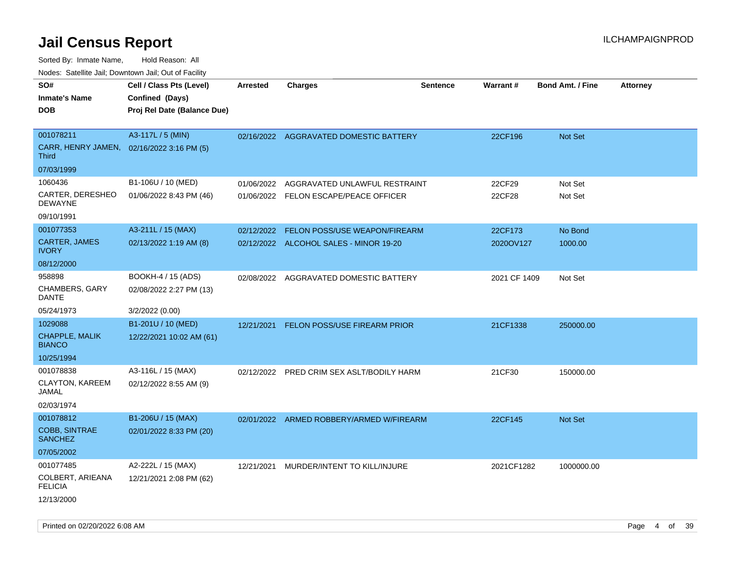| SO#                                    | Cell / Class Pts (Level)    | Arrested   | <b>Charges</b>                           | Sentence | Warrant#     | <b>Bond Amt. / Fine</b> | <b>Attorney</b> |
|----------------------------------------|-----------------------------|------------|------------------------------------------|----------|--------------|-------------------------|-----------------|
| <b>Inmate's Name</b>                   | Confined (Days)             |            |                                          |          |              |                         |                 |
| <b>DOB</b>                             | Proj Rel Date (Balance Due) |            |                                          |          |              |                         |                 |
|                                        |                             |            |                                          |          |              |                         |                 |
| 001078211                              | A3-117L / 5 (MIN)           |            | 02/16/2022 AGGRAVATED DOMESTIC BATTERY   |          | 22CF196      | <b>Not Set</b>          |                 |
| CARR, HENRY JAMEN,<br><b>Third</b>     | 02/16/2022 3:16 PM (5)      |            |                                          |          |              |                         |                 |
| 07/03/1999                             |                             |            |                                          |          |              |                         |                 |
| 1060436                                | B1-106U / 10 (MED)          | 01/06/2022 | AGGRAVATED UNLAWFUL RESTRAINT            |          | 22CF29       | Not Set                 |                 |
| CARTER, DERESHEO<br><b>DEWAYNE</b>     | 01/06/2022 8:43 PM (46)     |            | 01/06/2022 FELON ESCAPE/PEACE OFFICER    |          | 22CF28       | Not Set                 |                 |
| 09/10/1991                             |                             |            |                                          |          |              |                         |                 |
| 001077353                              | A3-211L / 15 (MAX)          | 02/12/2022 | FELON POSS/USE WEAPON/FIREARM            |          | 22CF173      | No Bond                 |                 |
| CARTER, JAMES<br><b>IVORY</b>          | 02/13/2022 1:19 AM (8)      |            | 02/12/2022 ALCOHOL SALES - MINOR 19-20   |          | 2020OV127    | 1000.00                 |                 |
| 08/12/2000                             |                             |            |                                          |          |              |                         |                 |
| 958898                                 | BOOKH-4 / 15 (ADS)          | 02/08/2022 | AGGRAVATED DOMESTIC BATTERY              |          | 2021 CF 1409 | Not Set                 |                 |
| CHAMBERS, GARY<br>DANTE                | 02/08/2022 2:27 PM (13)     |            |                                          |          |              |                         |                 |
| 05/24/1973                             | 3/2/2022 (0.00)             |            |                                          |          |              |                         |                 |
| 1029088                                | B1-201U / 10 (MED)          | 12/21/2021 | FELON POSS/USE FIREARM PRIOR             |          | 21CF1338     | 250000.00               |                 |
| CHAPPLE, MALIK<br><b>BIANCO</b>        | 12/22/2021 10:02 AM (61)    |            |                                          |          |              |                         |                 |
| 10/25/1994                             |                             |            |                                          |          |              |                         |                 |
| 001078838                              | A3-116L / 15 (MAX)          | 02/12/2022 | PRED CRIM SEX ASLT/BODILY HARM           |          | 21CF30       | 150000.00               |                 |
| CLAYTON, KAREEM<br>JAMAL               | 02/12/2022 8:55 AM (9)      |            |                                          |          |              |                         |                 |
| 02/03/1974                             |                             |            |                                          |          |              |                         |                 |
| 001078812                              | B1-206U / 15 (MAX)          |            | 02/01/2022 ARMED ROBBERY/ARMED W/FIREARM |          | 22CF145      | <b>Not Set</b>          |                 |
| <b>COBB, SINTRAE</b><br><b>SANCHEZ</b> | 02/01/2022 8:33 PM (20)     |            |                                          |          |              |                         |                 |
| 07/05/2002                             |                             |            |                                          |          |              |                         |                 |
| 001077485                              | A2-222L / 15 (MAX)          | 12/21/2021 | MURDER/INTENT TO KILL/INJURE             |          | 2021CF1282   | 1000000.00              |                 |
| COLBERT, ARIEANA<br><b>FELICIA</b>     | 12/21/2021 2:08 PM (62)     |            |                                          |          |              |                         |                 |
| 12/13/2000                             |                             |            |                                          |          |              |                         |                 |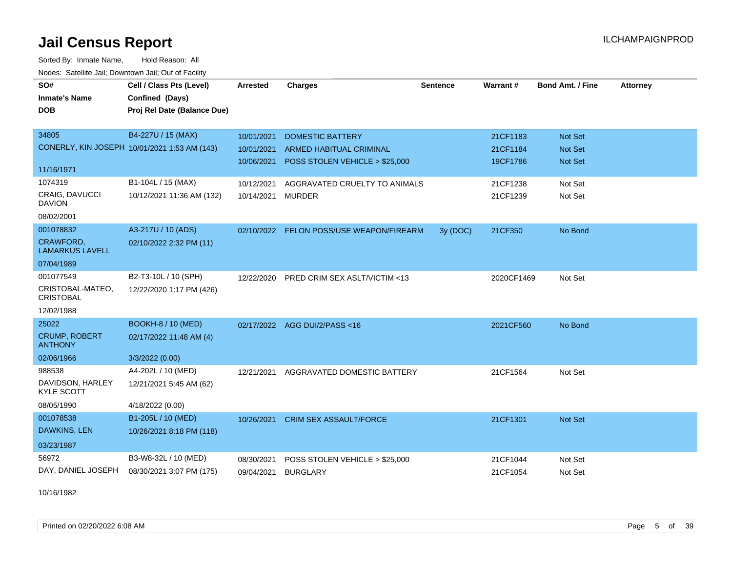Sorted By: Inmate Name, Hold Reason: All Nodes: Satellite Jail; Downtown Jail; Out of Facility

| SO#<br><b>Inmate's Name</b><br><b>DOB</b>                       | Cell / Class Pts (Level)<br>Confined (Days)<br>Proj Rel Date (Balance Due) | Arrested                               | <b>Charges</b>                                                                              | <b>Sentence</b> | Warrant#                         | <b>Bond Amt. / Fine</b>                     | <b>Attorney</b> |
|-----------------------------------------------------------------|----------------------------------------------------------------------------|----------------------------------------|---------------------------------------------------------------------------------------------|-----------------|----------------------------------|---------------------------------------------|-----------------|
| 34805<br>11/16/1971                                             | B4-227U / 15 (MAX)<br>CONERLY, KIN JOSEPH 10/01/2021 1:53 AM (143)         | 10/01/2021<br>10/01/2021<br>10/06/2021 | <b>DOMESTIC BATTERY</b><br><b>ARMED HABITUAL CRIMINAL</b><br>POSS STOLEN VEHICLE > \$25,000 |                 | 21CF1183<br>21CF1184<br>19CF1786 | Not Set<br><b>Not Set</b><br><b>Not Set</b> |                 |
| 1074319<br>CRAIG, DAVUCCI<br><b>DAVION</b><br>08/02/2001        | B1-104L / 15 (MAX)<br>10/12/2021 11:36 AM (132)                            | 10/12/2021<br>10/14/2021               | AGGRAVATED CRUELTY TO ANIMALS<br><b>MURDER</b>                                              |                 | 21CF1238<br>21CF1239             | Not Set<br>Not Set                          |                 |
| 001078832<br>CRAWFORD,<br><b>LAMARKUS LAVELL</b><br>07/04/1989  | A3-217U / 10 (ADS)<br>02/10/2022 2:32 PM (11)                              | 02/10/2022                             | FELON POSS/USE WEAPON/FIREARM                                                               | 3y (DOC)        | 21CF350                          | No Bond                                     |                 |
| 001077549<br>CRISTOBAL-MATEO,<br><b>CRISTOBAL</b><br>12/02/1988 | B2-T3-10L / 10 (SPH)<br>12/22/2020 1:17 PM (426)                           | 12/22/2020                             | <b>PRED CRIM SEX ASLT/VICTIM &lt;13</b>                                                     |                 | 2020CF1469                       | Not Set                                     |                 |
| 25022<br><b>CRUMP, ROBERT</b><br><b>ANTHONY</b><br>02/06/1966   | <b>BOOKH-8 / 10 (MED)</b><br>02/17/2022 11:48 AM (4)<br>3/3/2022 (0.00)    |                                        | 02/17/2022 AGG DUI/2/PASS<16                                                                |                 | 2021CF560                        | No Bond                                     |                 |
| 988538<br>DAVIDSON, HARLEY<br><b>KYLE SCOTT</b><br>08/05/1990   | A4-202L / 10 (MED)<br>12/21/2021 5:45 AM (62)<br>4/18/2022 (0.00)          | 12/21/2021                             | AGGRAVATED DOMESTIC BATTERY                                                                 |                 | 21CF1564                         | Not Set                                     |                 |
| 001078538<br>DAWKINS, LEN<br>03/23/1987                         | B1-205L / 10 (MED)<br>10/26/2021 8:18 PM (118)                             | 10/26/2021                             | <b>CRIM SEX ASSAULT/FORCE</b>                                                               |                 | 21CF1301                         | Not Set                                     |                 |
| 56972<br>DAY, DANIEL JOSEPH                                     | B3-W8-32L / 10 (MED)<br>08/30/2021 3:07 PM (175)                           | 08/30/2021<br>09/04/2021               | POSS STOLEN VEHICLE > \$25,000<br><b>BURGLARY</b>                                           |                 | 21CF1044<br>21CF1054             | Not Set<br>Not Set                          |                 |

10/16/1982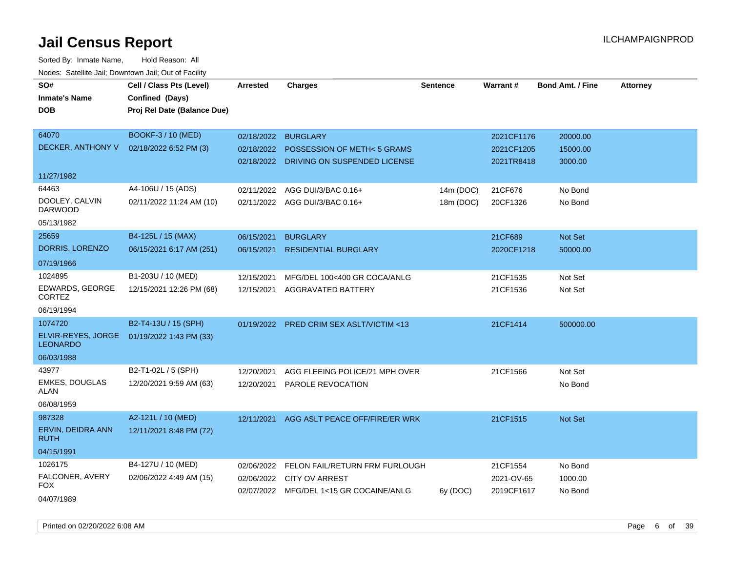| SO#                                   | Cell / Class Pts (Level)    | <b>Arrested</b> | <b>Charges</b>                            | <b>Sentence</b> | Warrant#   | <b>Bond Amt. / Fine</b> | <b>Attorney</b> |
|---------------------------------------|-----------------------------|-----------------|-------------------------------------------|-----------------|------------|-------------------------|-----------------|
| <b>Inmate's Name</b>                  | Confined (Days)             |                 |                                           |                 |            |                         |                 |
| <b>DOB</b>                            | Proj Rel Date (Balance Due) |                 |                                           |                 |            |                         |                 |
|                                       |                             |                 |                                           |                 |            |                         |                 |
| 64070                                 | BOOKF-3 / 10 (MED)          | 02/18/2022      | <b>BURGLARY</b>                           |                 | 2021CF1176 | 20000.00                |                 |
| DECKER, ANTHONY V                     | 02/18/2022 6:52 PM (3)      | 02/18/2022      | <b>POSSESSION OF METH&lt;5 GRAMS</b>      |                 | 2021CF1205 | 15000.00                |                 |
|                                       |                             |                 | 02/18/2022 DRIVING ON SUSPENDED LICENSE   |                 | 2021TR8418 | 3000.00                 |                 |
| 11/27/1982                            |                             |                 |                                           |                 |            |                         |                 |
| 64463                                 | A4-106U / 15 (ADS)          | 02/11/2022      | AGG DUI/3/BAC 0.16+                       | 14m (DOC)       | 21CF676    | No Bond                 |                 |
| DOOLEY, CALVIN<br><b>DARWOOD</b>      | 02/11/2022 11:24 AM (10)    |                 | 02/11/2022 AGG DUI/3/BAC 0.16+            | 18m (DOC)       | 20CF1326   | No Bond                 |                 |
| 05/13/1982                            |                             |                 |                                           |                 |            |                         |                 |
| 25659                                 | B4-125L / 15 (MAX)          | 06/15/2021      | <b>BURGLARY</b>                           |                 | 21CF689    | Not Set                 |                 |
| DORRIS, LORENZO                       | 06/15/2021 6:17 AM (251)    | 06/15/2021      | <b>RESIDENTIAL BURGLARY</b>               |                 | 2020CF1218 | 50000.00                |                 |
| 07/19/1966                            |                             |                 |                                           |                 |            |                         |                 |
| 1024895                               | B1-203U / 10 (MED)          | 12/15/2021      | MFG/DEL 100<400 GR COCA/ANLG              |                 | 21CF1535   | Not Set                 |                 |
| EDWARDS, GEORGE<br><b>CORTEZ</b>      | 12/15/2021 12:26 PM (68)    | 12/15/2021      | AGGRAVATED BATTERY                        |                 | 21CF1536   | Not Set                 |                 |
| 06/19/1994                            |                             |                 |                                           |                 |            |                         |                 |
| 1074720                               | B2-T4-13U / 15 (SPH)        |                 | 01/19/2022 PRED CRIM SEX ASLT/VICTIM <13  |                 | 21CF1414   | 500000.00               |                 |
| ELVIR-REYES, JORGE<br><b>LEONARDO</b> | 01/19/2022 1:43 PM (33)     |                 |                                           |                 |            |                         |                 |
| 06/03/1988                            |                             |                 |                                           |                 |            |                         |                 |
| 43977                                 | B2-T1-02L / 5 (SPH)         | 12/20/2021      | AGG FLEEING POLICE/21 MPH OVER            |                 | 21CF1566   | Not Set                 |                 |
| <b>EMKES, DOUGLAS</b><br>ALAN         | 12/20/2021 9:59 AM (63)     | 12/20/2021      | PAROLE REVOCATION                         |                 |            | No Bond                 |                 |
| 06/08/1959                            |                             |                 |                                           |                 |            |                         |                 |
| 987328                                | A2-121L / 10 (MED)          | 12/11/2021      | AGG ASLT PEACE OFF/FIRE/ER WRK            |                 | 21CF1515   | Not Set                 |                 |
| ERVIN, DEIDRA ANN<br><b>RUTH</b>      | 12/11/2021 8:48 PM (72)     |                 |                                           |                 |            |                         |                 |
| 04/15/1991                            |                             |                 |                                           |                 |            |                         |                 |
| 1026175                               | B4-127U / 10 (MED)          |                 | 02/06/2022 FELON FAIL/RETURN FRM FURLOUGH |                 | 21CF1554   | No Bond                 |                 |
| FALCONER, AVERY                       | 02/06/2022 4:49 AM (15)     |                 | 02/06/2022 CITY OV ARREST                 |                 | 2021-OV-65 | 1000.00                 |                 |
| <b>FOX</b>                            |                             |                 | 02/07/2022 MFG/DEL 1<15 GR COCAINE/ANLG   | 6y (DOC)        | 2019CF1617 | No Bond                 |                 |
| 04/07/1989                            |                             |                 |                                           |                 |            |                         |                 |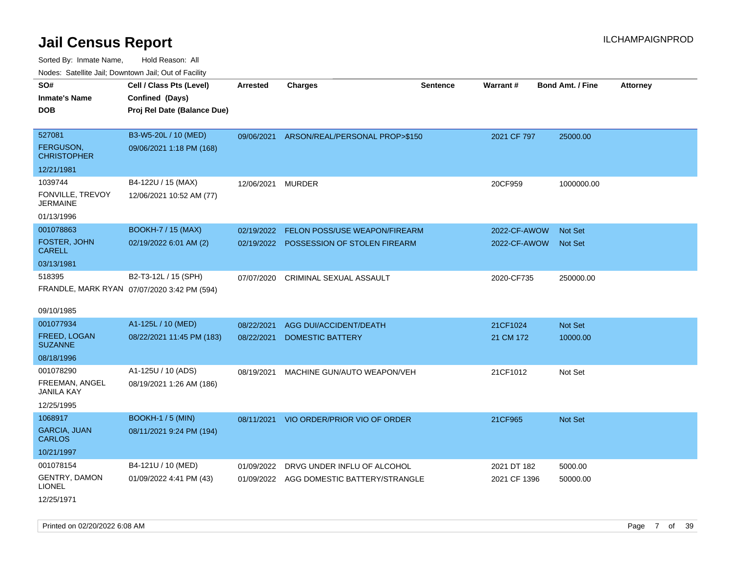| roaco. Catolino dall, Downtown dall, Out of Fability |                                             |                 |                                |                 |                 |                         |                 |
|------------------------------------------------------|---------------------------------------------|-----------------|--------------------------------|-----------------|-----------------|-------------------------|-----------------|
| SO#                                                  | Cell / Class Pts (Level)                    | <b>Arrested</b> | <b>Charges</b>                 | <b>Sentence</b> | <b>Warrant#</b> | <b>Bond Amt. / Fine</b> | <b>Attorney</b> |
| <b>Inmate's Name</b>                                 | Confined (Days)                             |                 |                                |                 |                 |                         |                 |
| <b>DOB</b>                                           | Proj Rel Date (Balance Due)                 |                 |                                |                 |                 |                         |                 |
|                                                      |                                             |                 |                                |                 |                 |                         |                 |
| 527081                                               | B3-W5-20L / 10 (MED)                        | 09/06/2021      | ARSON/REAL/PERSONAL PROP>\$150 |                 | 2021 CF 797     | 25000.00                |                 |
| <b>FERGUSON,</b><br><b>CHRISTOPHER</b>               | 09/06/2021 1:18 PM (168)                    |                 |                                |                 |                 |                         |                 |
| 12/21/1981                                           |                                             |                 |                                |                 |                 |                         |                 |
| 1039744                                              | B4-122U / 15 (MAX)                          | 12/06/2021      | <b>MURDER</b>                  |                 | 20CF959         | 1000000.00              |                 |
| FONVILLE, TREVOY<br>JERMAINE                         | 12/06/2021 10:52 AM (77)                    |                 |                                |                 |                 |                         |                 |
| 01/13/1996                                           |                                             |                 |                                |                 |                 |                         |                 |
| 001078863                                            | <b>BOOKH-7 / 15 (MAX)</b>                   | 02/19/2022      | FELON POSS/USE WEAPON/FIREARM  |                 | 2022-CF-AWOW    | Not Set                 |                 |
| FOSTER, JOHN<br><b>CARELL</b>                        | 02/19/2022 6:01 AM (2)                      | 02/19/2022      | POSSESSION OF STOLEN FIREARM   |                 | 2022-CF-AWOW    | <b>Not Set</b>          |                 |
| 03/13/1981                                           |                                             |                 |                                |                 |                 |                         |                 |
| 518395                                               | B2-T3-12L / 15 (SPH)                        | 07/07/2020      | CRIMINAL SEXUAL ASSAULT        |                 | 2020-CF735      | 250000.00               |                 |
|                                                      | FRANDLE, MARK RYAN 07/07/2020 3:42 PM (594) |                 |                                |                 |                 |                         |                 |
|                                                      |                                             |                 |                                |                 |                 |                         |                 |
| 09/10/1985                                           |                                             |                 |                                |                 |                 |                         |                 |
| 001077934                                            | A1-125L / 10 (MED)                          | 08/22/2021      | AGG DUI/ACCIDENT/DEATH         |                 | 21CF1024        | <b>Not Set</b>          |                 |
| <b>FREED, LOGAN</b><br><b>SUZANNE</b>                | 08/22/2021 11:45 PM (183)                   | 08/22/2021      | <b>DOMESTIC BATTERY</b>        |                 | 21 CM 172       | 10000.00                |                 |
| 08/18/1996                                           |                                             |                 |                                |                 |                 |                         |                 |
| 001078290                                            | A1-125U / 10 (ADS)                          | 08/19/2021      | MACHINE GUN/AUTO WEAPON/VEH    |                 | 21CF1012        | Not Set                 |                 |
| FREEMAN, ANGEL<br><b>JANILA KAY</b>                  | 08/19/2021 1:26 AM (186)                    |                 |                                |                 |                 |                         |                 |
| 12/25/1995                                           |                                             |                 |                                |                 |                 |                         |                 |
| 1068917                                              | <b>BOOKH-1 / 5 (MIN)</b>                    | 08/11/2021      | VIO ORDER/PRIOR VIO OF ORDER   |                 | 21CF965         | <b>Not Set</b>          |                 |
| <b>GARCIA, JUAN</b><br><b>CARLOS</b>                 | 08/11/2021 9:24 PM (194)                    |                 |                                |                 |                 |                         |                 |
| 10/21/1997                                           |                                             |                 |                                |                 |                 |                         |                 |
| 001078154                                            | B4-121U / 10 (MED)                          | 01/09/2022      | DRVG UNDER INFLU OF ALCOHOL    |                 | 2021 DT 182     | 5000.00                 |                 |
| <b>GENTRY, DAMON</b><br>LIONEL                       | 01/09/2022 4:41 PM (43)                     | 01/09/2022      | AGG DOMESTIC BATTERY/STRANGLE  |                 | 2021 CF 1396    | 50000.00                |                 |
| 12/25/1971                                           |                                             |                 |                                |                 |                 |                         |                 |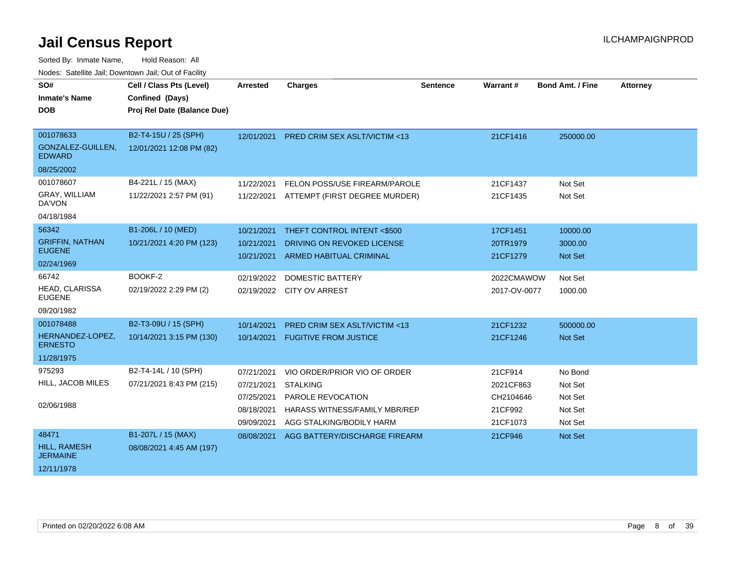| SO#<br><b>Inmate's Name</b><br><b>DOB</b>                        | Cell / Class Pts (Level)<br>Confined (Days)<br>Proj Rel Date (Balance Due) | <b>Arrested</b>                                                    | <b>Charges</b>                                                                                                                    | <b>Sentence</b> | Warrant#                                                 | <b>Bond Amt. / Fine</b>                             | <b>Attorney</b> |
|------------------------------------------------------------------|----------------------------------------------------------------------------|--------------------------------------------------------------------|-----------------------------------------------------------------------------------------------------------------------------------|-----------------|----------------------------------------------------------|-----------------------------------------------------|-----------------|
| 001078633<br>GONZALEZ-GUILLEN,<br><b>EDWARD</b>                  | B2-T4-15U / 25 (SPH)<br>12/01/2021 12:08 PM (82)                           | 12/01/2021                                                         | <b>PRED CRIM SEX ASLT/VICTIM &lt;13</b>                                                                                           |                 | 21CF1416                                                 | 250000.00                                           |                 |
| 08/25/2002<br>001078607<br>GRAY, WILLIAM<br>DA'VON<br>04/18/1984 | B4-221L / 15 (MAX)<br>11/22/2021 2:57 PM (91)                              | 11/22/2021<br>11/22/2021                                           | FELON POSS/USE FIREARM/PAROLE<br>ATTEMPT (FIRST DEGREE MURDER)                                                                    |                 | 21CF1437<br>21CF1435                                     | Not Set<br>Not Set                                  |                 |
| 56342<br><b>GRIFFIN, NATHAN</b><br><b>EUGENE</b><br>02/24/1969   | B1-206L / 10 (MED)<br>10/21/2021 4:20 PM (123)                             | 10/21/2021<br>10/21/2021<br>10/21/2021                             | THEFT CONTROL INTENT <\$500<br>DRIVING ON REVOKED LICENSE<br><b>ARMED HABITUAL CRIMINAL</b>                                       |                 | 17CF1451<br>20TR1979<br>21CF1279                         | 10000.00<br>3000.00<br><b>Not Set</b>               |                 |
| 66742<br><b>HEAD, CLARISSA</b><br><b>EUGENE</b><br>09/20/1982    | BOOKF-2<br>02/19/2022 2:29 PM (2)                                          | 02/19/2022                                                         | <b>DOMESTIC BATTERY</b><br>02/19/2022 CITY OV ARREST                                                                              |                 | 2022CMAWOW<br>2017-OV-0077                               | Not Set<br>1000.00                                  |                 |
| 001078488<br>HERNANDEZ-LOPEZ,<br><b>ERNESTO</b><br>11/28/1975    | B2-T3-09U / 15 (SPH)<br>10/14/2021 3:15 PM (130)                           | 10/14/2021<br>10/14/2021                                           | PRED CRIM SEX ASLT/VICTIM <13<br><b>FUGITIVE FROM JUSTICE</b>                                                                     |                 | 21CF1232<br>21CF1246                                     | 500000.00<br><b>Not Set</b>                         |                 |
| 975293<br>HILL, JACOB MILES<br>02/06/1988                        | B2-T4-14L / 10 (SPH)<br>07/21/2021 8:43 PM (215)                           | 07/21/2021<br>07/21/2021<br>07/25/2021<br>08/18/2021<br>09/09/2021 | VIO ORDER/PRIOR VIO OF ORDER<br><b>STALKING</b><br>PAROLE REVOCATION<br>HARASS WITNESS/FAMILY MBR/REP<br>AGG STALKING/BODILY HARM |                 | 21CF914<br>2021CF863<br>CH2104646<br>21CF992<br>21CF1073 | No Bond<br>Not Set<br>Not Set<br>Not Set<br>Not Set |                 |
| 48471<br><b>HILL, RAMESH</b><br><b>JERMAINE</b><br>12/11/1978    | B1-207L / 15 (MAX)<br>08/08/2021 4:45 AM (197)                             | 08/08/2021                                                         | AGG BATTERY/DISCHARGE FIREARM                                                                                                     |                 | 21CF946                                                  | Not Set                                             |                 |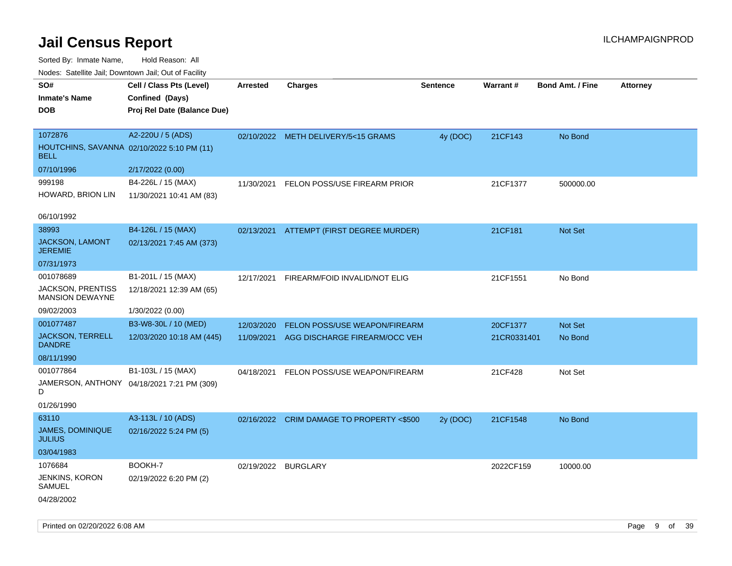Sorted By: Inmate Name, Hold Reason: All

| Nodes: Satellite Jail; Downtown Jail; Out of Facility |                                            |                 |                                     |                 |                 |                         |                 |
|-------------------------------------------------------|--------------------------------------------|-----------------|-------------------------------------|-----------------|-----------------|-------------------------|-----------------|
| SO#                                                   | Cell / Class Pts (Level)                   | <b>Arrested</b> | <b>Charges</b>                      | <b>Sentence</b> | <b>Warrant#</b> | <b>Bond Amt. / Fine</b> | <b>Attorney</b> |
| <b>Inmate's Name</b>                                  | Confined (Days)                            |                 |                                     |                 |                 |                         |                 |
| <b>DOB</b>                                            | Proj Rel Date (Balance Due)                |                 |                                     |                 |                 |                         |                 |
|                                                       |                                            |                 |                                     |                 |                 |                         |                 |
| 1072876                                               | A2-220U / 5 (ADS)                          |                 | 02/10/2022 METH DELIVERY/5<15 GRAMS | 4y (DOC)        | 21CF143         | No Bond                 |                 |
| <b>BELL</b>                                           | HOUTCHINS, SAVANNA 02/10/2022 5:10 PM (11) |                 |                                     |                 |                 |                         |                 |
| 07/10/1996                                            | 2/17/2022 (0.00)                           |                 |                                     |                 |                 |                         |                 |
| 999198                                                | B4-226L / 15 (MAX)                         | 11/30/2021      | FELON POSS/USE FIREARM PRIOR        |                 | 21CF1377        | 500000.00               |                 |
| HOWARD, BRION LIN                                     | 11/30/2021 10:41 AM (83)                   |                 |                                     |                 |                 |                         |                 |
| 06/10/1992                                            |                                            |                 |                                     |                 |                 |                         |                 |
| 38993                                                 | B4-126L / 15 (MAX)                         | 02/13/2021      | ATTEMPT (FIRST DEGREE MURDER)       |                 | 21CF181         | Not Set                 |                 |
| JACKSON, LAMONT<br><b>JEREMIE</b>                     | 02/13/2021 7:45 AM (373)                   |                 |                                     |                 |                 |                         |                 |
| 07/31/1973                                            |                                            |                 |                                     |                 |                 |                         |                 |
| 001078689                                             | B1-201L / 15 (MAX)                         | 12/17/2021      | FIREARM/FOID INVALID/NOT ELIG       |                 | 21CF1551        | No Bond                 |                 |
| <b>JACKSON, PRENTISS</b><br><b>MANSION DEWAYNE</b>    | 12/18/2021 12:39 AM (65)                   |                 |                                     |                 |                 |                         |                 |
| 09/02/2003                                            | 1/30/2022 (0.00)                           |                 |                                     |                 |                 |                         |                 |
| 001077487                                             | B3-W8-30L / 10 (MED)                       | 12/03/2020      | FELON POSS/USE WEAPON/FIREARM       |                 | 20CF1377        | Not Set                 |                 |
| <b>JACKSON, TERRELL</b><br><b>DANDRE</b>              | 12/03/2020 10:18 AM (445)                  | 11/09/2021      | AGG DISCHARGE FIREARM/OCC VEH       |                 | 21CR0331401     | No Bond                 |                 |
| 08/11/1990                                            |                                            |                 |                                     |                 |                 |                         |                 |
| 001077864                                             | B1-103L / 15 (MAX)                         | 04/18/2021      | FELON POSS/USE WEAPON/FIREARM       |                 | 21CF428         | Not Set                 |                 |
| D                                                     | JAMERSON, ANTHONY 04/18/2021 7:21 PM (309) |                 |                                     |                 |                 |                         |                 |
| 01/26/1990                                            |                                            |                 |                                     |                 |                 |                         |                 |
| 63110                                                 | A3-113L / 10 (ADS)                         | 02/16/2022      | CRIM DAMAGE TO PROPERTY <\$500      | 2y (DOC)        | 21CF1548        | No Bond                 |                 |
| JAMES, DOMINIQUE<br><b>JULIUS</b>                     | 02/16/2022 5:24 PM (5)                     |                 |                                     |                 |                 |                         |                 |
| 03/04/1983                                            |                                            |                 |                                     |                 |                 |                         |                 |
| 1076684                                               | BOOKH-7                                    | 02/19/2022      | <b>BURGLARY</b>                     |                 | 2022CF159       | 10000.00                |                 |
| JENKINS, KORON<br>SAMUEL                              | 02/19/2022 6:20 PM (2)                     |                 |                                     |                 |                 |                         |                 |
| 04/28/2002                                            |                                            |                 |                                     |                 |                 |                         |                 |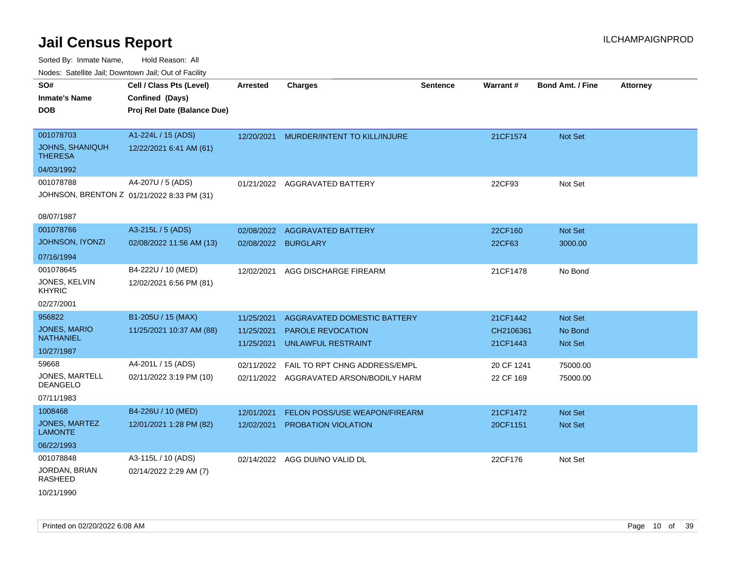| ivodes. Satellite Jali, Downtown Jali, Out of Facility |                                            |                     |                                         |                 |            |                         |                 |
|--------------------------------------------------------|--------------------------------------------|---------------------|-----------------------------------------|-----------------|------------|-------------------------|-----------------|
| SO#                                                    | Cell / Class Pts (Level)                   | Arrested            | <b>Charges</b>                          | <b>Sentence</b> | Warrant#   | <b>Bond Amt. / Fine</b> | <b>Attorney</b> |
| <b>Inmate's Name</b>                                   | Confined (Days)                            |                     |                                         |                 |            |                         |                 |
| <b>DOB</b>                                             | Proj Rel Date (Balance Due)                |                     |                                         |                 |            |                         |                 |
|                                                        |                                            |                     |                                         |                 |            |                         |                 |
| 001078703                                              | A1-224L / 15 (ADS)                         |                     | 12/20/2021 MURDER/INTENT TO KILL/INJURE |                 | 21CF1574   | Not Set                 |                 |
| <b>JOHNS, SHANIQUH</b><br><b>THERESA</b>               | 12/22/2021 6:41 AM (61)                    |                     |                                         |                 |            |                         |                 |
| 04/03/1992                                             |                                            |                     |                                         |                 |            |                         |                 |
| 001078788                                              | A4-207U / 5 (ADS)                          |                     | 01/21/2022 AGGRAVATED BATTERY           |                 | 22CF93     | Not Set                 |                 |
|                                                        | JOHNSON, BRENTON Z 01/21/2022 8:33 PM (31) |                     |                                         |                 |            |                         |                 |
|                                                        |                                            |                     |                                         |                 |            |                         |                 |
| 08/07/1987                                             |                                            |                     |                                         |                 |            |                         |                 |
| 001078766                                              | A3-215L / 5 (ADS)                          | 02/08/2022          | <b>AGGRAVATED BATTERY</b>               |                 | 22CF160    | Not Set                 |                 |
| <b>JOHNSON, IYONZI</b>                                 | 02/08/2022 11:56 AM (13)                   | 02/08/2022 BURGLARY |                                         |                 | 22CF63     | 3000.00                 |                 |
| 07/16/1994                                             |                                            |                     |                                         |                 |            |                         |                 |
| 001078645                                              | B4-222U / 10 (MED)                         | 12/02/2021          | AGG DISCHARGE FIREARM                   |                 | 21CF1478   | No Bond                 |                 |
| JONES, KELVIN<br><b>KHYRIC</b>                         | 12/02/2021 6:56 PM (81)                    |                     |                                         |                 |            |                         |                 |
| 02/27/2001                                             |                                            |                     |                                         |                 |            |                         |                 |
| 956822                                                 | B1-205U / 15 (MAX)                         | 11/25/2021          | AGGRAVATED DOMESTIC BATTERY             |                 | 21CF1442   | Not Set                 |                 |
| <b>JONES, MARIO</b>                                    | 11/25/2021 10:37 AM (88)                   | 11/25/2021          | <b>PAROLE REVOCATION</b>                |                 | CH2106361  | No Bond                 |                 |
| <b>NATHANIEL</b>                                       |                                            | 11/25/2021          | UNLAWFUL RESTRAINT                      |                 | 21CF1443   | Not Set                 |                 |
| 10/27/1987                                             |                                            |                     |                                         |                 |            |                         |                 |
| 59668                                                  | A4-201L / 15 (ADS)                         | 02/11/2022          | FAIL TO RPT CHNG ADDRESS/EMPL           |                 | 20 CF 1241 | 75000.00                |                 |
| JONES, MARTELL<br><b>DEANGELO</b>                      | 02/11/2022 3:19 PM (10)                    |                     | 02/11/2022 AGGRAVATED ARSON/BODILY HARM |                 | 22 CF 169  | 75000.00                |                 |
| 07/11/1983                                             |                                            |                     |                                         |                 |            |                         |                 |
| 1008468                                                | B4-226U / 10 (MED)                         | 12/01/2021          | FELON POSS/USE WEAPON/FIREARM           |                 | 21CF1472   | <b>Not Set</b>          |                 |
| JONES, MARTEZ<br><b>LAMONTE</b>                        | 12/01/2021 1:28 PM (82)                    | 12/02/2021          | PROBATION VIOLATION                     |                 | 20CF1151   | Not Set                 |                 |
| 06/22/1993                                             |                                            |                     |                                         |                 |            |                         |                 |
| 001078848                                              | A3-115L / 10 (ADS)                         |                     | 02/14/2022 AGG DUI/NO VALID DL          |                 | 22CF176    | Not Set                 |                 |
| JORDAN, BRIAN<br><b>RASHEED</b>                        | 02/14/2022 2:29 AM (7)                     |                     |                                         |                 |            |                         |                 |
| 10/21/1990                                             |                                            |                     |                                         |                 |            |                         |                 |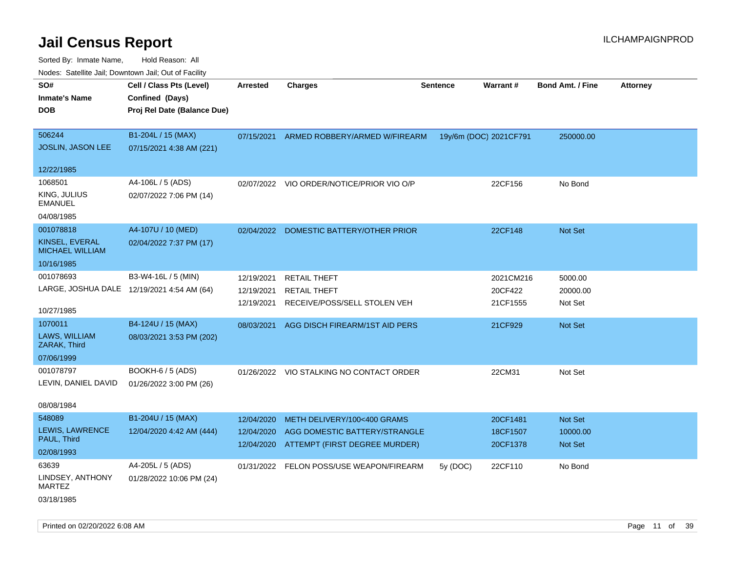| Noues. Salemie Jan, Downtown Jan, Out of Facility |                                            |            |                                           |                 |                        |                         |                 |
|---------------------------------------------------|--------------------------------------------|------------|-------------------------------------------|-----------------|------------------------|-------------------------|-----------------|
| SO#                                               | Cell / Class Pts (Level)                   | Arrested   | <b>Charges</b>                            | <b>Sentence</b> | <b>Warrant#</b>        | <b>Bond Amt. / Fine</b> | <b>Attorney</b> |
| <b>Inmate's Name</b>                              | Confined (Days)                            |            |                                           |                 |                        |                         |                 |
| <b>DOB</b>                                        | Proj Rel Date (Balance Due)                |            |                                           |                 |                        |                         |                 |
|                                                   |                                            |            |                                           |                 |                        |                         |                 |
| 506244                                            | B1-204L / 15 (MAX)                         | 07/15/2021 | ARMED ROBBERY/ARMED W/FIREARM             |                 | 19y/6m (DOC) 2021CF791 | 250000.00               |                 |
| JOSLIN, JASON LEE                                 | 07/15/2021 4:38 AM (221)                   |            |                                           |                 |                        |                         |                 |
|                                                   |                                            |            |                                           |                 |                        |                         |                 |
| 12/22/1985                                        |                                            |            |                                           |                 |                        |                         |                 |
| 1068501                                           | A4-106L / 5 (ADS)                          |            | 02/07/2022 VIO ORDER/NOTICE/PRIOR VIO O/P |                 | 22CF156                | No Bond                 |                 |
| KING, JULIUS<br><b>EMANUEL</b>                    | 02/07/2022 7:06 PM (14)                    |            |                                           |                 |                        |                         |                 |
| 04/08/1985                                        |                                            |            |                                           |                 |                        |                         |                 |
| 001078818                                         | A4-107U / 10 (MED)                         |            | 02/04/2022 DOMESTIC BATTERY/OTHER PRIOR   |                 | 22CF148                | Not Set                 |                 |
| KINSEL, EVERAL<br><b>MICHAEL WILLIAM</b>          | 02/04/2022 7:37 PM (17)                    |            |                                           |                 |                        |                         |                 |
| 10/16/1985                                        |                                            |            |                                           |                 |                        |                         |                 |
| 001078693                                         | B3-W4-16L / 5 (MIN)                        | 12/19/2021 | <b>RETAIL THEFT</b>                       |                 | 2021CM216              | 5000.00                 |                 |
|                                                   | LARGE, JOSHUA DALE 12/19/2021 4:54 AM (64) | 12/19/2021 | <b>RETAIL THEFT</b>                       |                 | 20CF422                | 20000.00                |                 |
|                                                   |                                            | 12/19/2021 | RECEIVE/POSS/SELL STOLEN VEH              |                 | 21CF1555               | Not Set                 |                 |
| 10/27/1985                                        |                                            |            |                                           |                 |                        |                         |                 |
| 1070011                                           | B4-124U / 15 (MAX)                         | 08/03/2021 | AGG DISCH FIREARM/1ST AID PERS            |                 | 21CF929                | <b>Not Set</b>          |                 |
| LAWS, WILLIAM<br>ZARAK, Third                     | 08/03/2021 3:53 PM (202)                   |            |                                           |                 |                        |                         |                 |
| 07/06/1999                                        |                                            |            |                                           |                 |                        |                         |                 |
| 001078797                                         | BOOKH-6 / 5 (ADS)                          |            | 01/26/2022 VIO STALKING NO CONTACT ORDER  |                 | 22CM31                 | Not Set                 |                 |
| LEVIN, DANIEL DAVID                               | 01/26/2022 3:00 PM (26)                    |            |                                           |                 |                        |                         |                 |
|                                                   |                                            |            |                                           |                 |                        |                         |                 |
| 08/08/1984                                        |                                            |            |                                           |                 |                        |                         |                 |
| 548089                                            | B1-204U / 15 (MAX)                         | 12/04/2020 | METH DELIVERY/100<400 GRAMS               |                 | 20CF1481               | Not Set                 |                 |
| LEWIS, LAWRENCE                                   | 12/04/2020 4:42 AM (444)                   | 12/04/2020 | AGG DOMESTIC BATTERY/STRANGLE             |                 | 18CF1507               | 10000.00                |                 |
| PAUL, Third                                       |                                            |            | 12/04/2020 ATTEMPT (FIRST DEGREE MURDER)  |                 | 20CF1378               | Not Set                 |                 |
| 02/08/1993                                        |                                            |            |                                           |                 |                        |                         |                 |
| 63639                                             | A4-205L / 5 (ADS)                          |            | 01/31/2022 FELON POSS/USE WEAPON/FIREARM  | 5y (DOC)        | 22CF110                | No Bond                 |                 |
| LINDSEY, ANTHONY<br>MARTEZ                        | 01/28/2022 10:06 PM (24)                   |            |                                           |                 |                        |                         |                 |
| 03/18/1985                                        |                                            |            |                                           |                 |                        |                         |                 |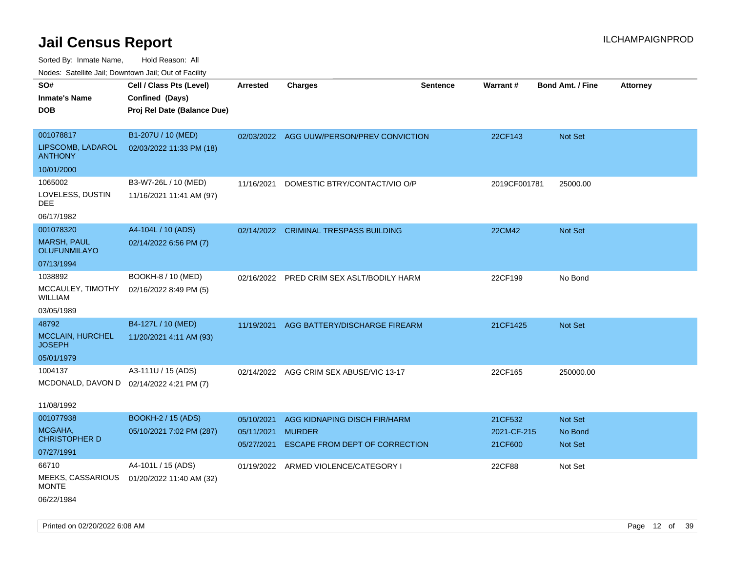| Nodes: Satellite Jail; Downtown Jail; Out of Facility |                             |                 |                                         |                 |                 |                         |                 |
|-------------------------------------------------------|-----------------------------|-----------------|-----------------------------------------|-----------------|-----------------|-------------------------|-----------------|
| SO#                                                   | Cell / Class Pts (Level)    | <b>Arrested</b> | <b>Charges</b>                          | <b>Sentence</b> | <b>Warrant#</b> | <b>Bond Amt. / Fine</b> | <b>Attorney</b> |
| <b>Inmate's Name</b>                                  | Confined (Days)             |                 |                                         |                 |                 |                         |                 |
| <b>DOB</b>                                            | Proj Rel Date (Balance Due) |                 |                                         |                 |                 |                         |                 |
|                                                       |                             |                 |                                         |                 |                 |                         |                 |
| 001078817                                             | B1-207U / 10 (MED)          | 02/03/2022      | AGG UUW/PERSON/PREV CONVICTION          |                 | 22CF143         | Not Set                 |                 |
| LIPSCOMB, LADAROL<br><b>ANTHONY</b>                   | 02/03/2022 11:33 PM (18)    |                 |                                         |                 |                 |                         |                 |
| 10/01/2000                                            |                             |                 |                                         |                 |                 |                         |                 |
| 1065002                                               | B3-W7-26L / 10 (MED)        | 11/16/2021      | DOMESTIC BTRY/CONTACT/VIO O/P           |                 | 2019CF001781    | 25000.00                |                 |
| LOVELESS, DUSTIN<br><b>DEE</b>                        | 11/16/2021 11:41 AM (97)    |                 |                                         |                 |                 |                         |                 |
| 06/17/1982                                            |                             |                 |                                         |                 |                 |                         |                 |
| 001078320                                             | A4-104L / 10 (ADS)          | 02/14/2022      | <b>CRIMINAL TRESPASS BUILDING</b>       |                 | 22CM42          | Not Set                 |                 |
| <b>MARSH, PAUL</b><br><b>OLUFUNMILAYO</b>             | 02/14/2022 6:56 PM (7)      |                 |                                         |                 |                 |                         |                 |
| 07/13/1994                                            |                             |                 |                                         |                 |                 |                         |                 |
| 1038892                                               | BOOKH-8 / 10 (MED)          | 02/16/2022      | PRED CRIM SEX ASLT/BODILY HARM          |                 | 22CF199         | No Bond                 |                 |
| MCCAULEY, TIMOTHY<br><b>WILLIAM</b>                   | 02/16/2022 8:49 PM (5)      |                 |                                         |                 |                 |                         |                 |
| 03/05/1989                                            |                             |                 |                                         |                 |                 |                         |                 |
| 48792                                                 | B4-127L / 10 (MED)          | 11/19/2021      | AGG BATTERY/DISCHARGE FIREARM           |                 | 21CF1425        | Not Set                 |                 |
| <b>MCCLAIN, HURCHEL</b><br><b>JOSEPH</b>              | 11/20/2021 4:11 AM (93)     |                 |                                         |                 |                 |                         |                 |
| 05/01/1979                                            |                             |                 |                                         |                 |                 |                         |                 |
| 1004137                                               | A3-111U / 15 (ADS)          |                 | 02/14/2022 AGG CRIM SEX ABUSE/VIC 13-17 |                 | 22CF165         | 250000.00               |                 |
| MCDONALD, DAVON D                                     | 02/14/2022 4:21 PM (7)      |                 |                                         |                 |                 |                         |                 |
|                                                       |                             |                 |                                         |                 |                 |                         |                 |
| 11/08/1992                                            |                             |                 |                                         |                 |                 |                         |                 |
| 001077938                                             | <b>BOOKH-2 / 15 (ADS)</b>   | 05/10/2021      | AGG KIDNAPING DISCH FIR/HARM            |                 | 21CF532         | Not Set                 |                 |
| MCGAHA,                                               | 05/10/2021 7:02 PM (287)    | 05/11/2021      | <b>MURDER</b>                           |                 | 2021-CF-215     | No Bond                 |                 |
| <b>CHRISTOPHER D</b>                                  |                             | 05/27/2021      | ESCAPE FROM DEPT OF CORRECTION          |                 | 21CF600         | Not Set                 |                 |
| 07/27/1991                                            |                             |                 |                                         |                 |                 |                         |                 |
| 66710                                                 | A4-101L / 15 (ADS)          | 01/19/2022      | ARMED VIOLENCE/CATEGORY I               |                 | 22CF88          | Not Set                 |                 |
| <b>MEEKS, CASSARIOUS</b><br><b>MONTE</b>              | 01/20/2022 11:40 AM (32)    |                 |                                         |                 |                 |                         |                 |
| 06/22/1984                                            |                             |                 |                                         |                 |                 |                         |                 |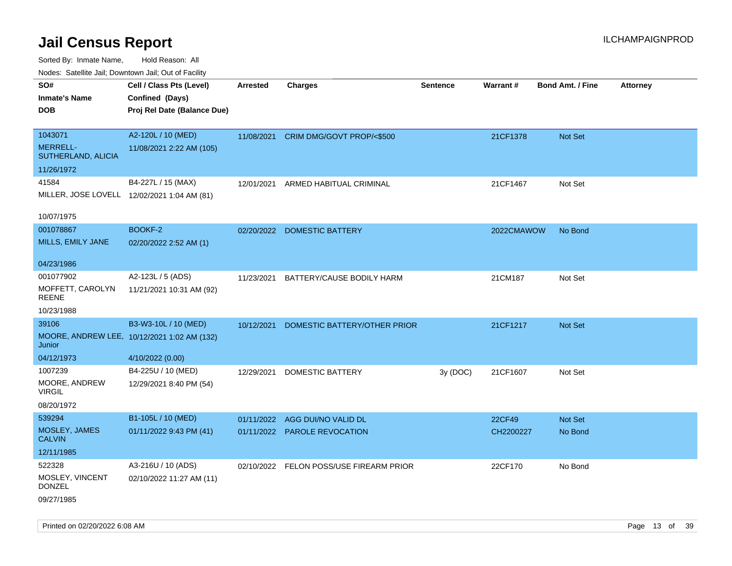| Nodes. Salenne Jan, Downtown Jan, Out of Facility |                                             |                 |                              |                 |            |                         |                 |
|---------------------------------------------------|---------------------------------------------|-----------------|------------------------------|-----------------|------------|-------------------------|-----------------|
| SO#                                               | Cell / Class Pts (Level)                    | <b>Arrested</b> | Charges                      | <b>Sentence</b> | Warrant#   | <b>Bond Amt. / Fine</b> | <b>Attorney</b> |
| <b>Inmate's Name</b>                              | Confined (Days)                             |                 |                              |                 |            |                         |                 |
| <b>DOB</b>                                        | Proj Rel Date (Balance Due)                 |                 |                              |                 |            |                         |                 |
|                                                   |                                             |                 |                              |                 |            |                         |                 |
| 1043071                                           | A2-120L / 10 (MED)                          | 11/08/2021      | CRIM DMG/GOVT PROP/<\$500    |                 | 21CF1378   | <b>Not Set</b>          |                 |
| <b>MERRELL-</b><br>SUTHERLAND, ALICIA             | 11/08/2021 2:22 AM (105)                    |                 |                              |                 |            |                         |                 |
| 11/26/1972                                        |                                             |                 |                              |                 |            |                         |                 |
| 41584                                             | B4-227L / 15 (MAX)                          | 12/01/2021      | ARMED HABITUAL CRIMINAL      |                 | 21CF1467   | Not Set                 |                 |
|                                                   | MILLER, JOSE LOVELL 12/02/2021 1:04 AM (81) |                 |                              |                 |            |                         |                 |
| 10/07/1975                                        |                                             |                 |                              |                 |            |                         |                 |
| 001078867                                         | BOOKF-2                                     | 02/20/2022      | DOMESTIC BATTERY             |                 | 2022CMAWOW | No Bond                 |                 |
| MILLS, EMILY JANE                                 | 02/20/2022 2:52 AM (1)                      |                 |                              |                 |            |                         |                 |
|                                                   |                                             |                 |                              |                 |            |                         |                 |
| 04/23/1986                                        |                                             |                 |                              |                 |            |                         |                 |
| 001077902                                         | A2-123L / 5 (ADS)                           | 11/23/2021      | BATTERY/CAUSE BODILY HARM    |                 | 21CM187    | Not Set                 |                 |
| MOFFETT, CAROLYN<br>REENE                         | 11/21/2021 10:31 AM (92)                    |                 |                              |                 |            |                         |                 |
| 10/23/1988                                        |                                             |                 |                              |                 |            |                         |                 |
| 39106                                             | B3-W3-10L / 10 (MED)                        | 10/12/2021      | DOMESTIC BATTERY/OTHER PRIOR |                 | 21CF1217   | Not Set                 |                 |
| Junior                                            | MOORE, ANDREW LEE, 10/12/2021 1:02 AM (132) |                 |                              |                 |            |                         |                 |
| 04/12/1973                                        | 4/10/2022 (0.00)                            |                 |                              |                 |            |                         |                 |
| 1007239                                           | B4-225U / 10 (MED)                          | 12/29/2021      | DOMESTIC BATTERY             | 3y(DOC)         | 21CF1607   | Not Set                 |                 |
| MOORE, ANDREW<br><b>VIRGIL</b>                    | 12/29/2021 8:40 PM (54)                     |                 |                              |                 |            |                         |                 |
| 08/20/1972                                        |                                             |                 |                              |                 |            |                         |                 |
| 539294                                            | B1-105L / 10 (MED)                          | 01/11/2022      | AGG DUI/NO VALID DL          |                 | 22CF49     | <b>Not Set</b>          |                 |
| MOSLEY, JAMES<br><b>CALVIN</b>                    | 01/11/2022 9:43 PM (41)                     |                 | 01/11/2022 PAROLE REVOCATION |                 | CH2200227  | No Bond                 |                 |
| 12/11/1985                                        |                                             |                 |                              |                 |            |                         |                 |
| 522328                                            | A3-216U / 10 (ADS)                          | 02/10/2022      | FELON POSS/USE FIREARM PRIOR |                 | 22CF170    | No Bond                 |                 |
| MOSLEY, VINCENT<br><b>DONZEL</b>                  | 02/10/2022 11:27 AM (11)                    |                 |                              |                 |            |                         |                 |
| 09/27/1985                                        |                                             |                 |                              |                 |            |                         |                 |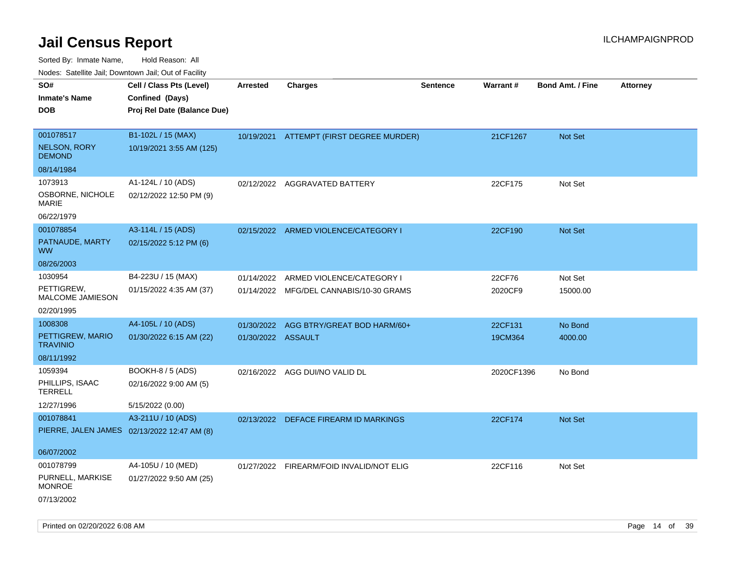| roaco. Catolino dall, Downtown dall, Out of Fability |                                                                            |                    |                                                                      |                 |                   |                         |                 |
|------------------------------------------------------|----------------------------------------------------------------------------|--------------------|----------------------------------------------------------------------|-----------------|-------------------|-------------------------|-----------------|
| SO#<br><b>Inmate's Name</b><br><b>DOB</b>            | Cell / Class Pts (Level)<br>Confined (Days)<br>Proj Rel Date (Balance Due) | <b>Arrested</b>    | <b>Charges</b>                                                       | <b>Sentence</b> | Warrant#          | <b>Bond Amt. / Fine</b> | <b>Attorney</b> |
| 001078517<br><b>NELSON, RORY</b><br><b>DEMOND</b>    | B1-102L / 15 (MAX)<br>10/19/2021 3:55 AM (125)                             |                    | 10/19/2021 ATTEMPT (FIRST DEGREE MURDER)                             |                 | 21CF1267          | Not Set                 |                 |
| 08/14/1984                                           |                                                                            |                    |                                                                      |                 |                   |                         |                 |
| 1073913<br>OSBORNE, NICHOLE<br><b>MARIE</b>          | A1-124L / 10 (ADS)<br>02/12/2022 12:50 PM (9)                              |                    | 02/12/2022 AGGRAVATED BATTERY                                        |                 | 22CF175           | Not Set                 |                 |
| 06/22/1979                                           |                                                                            |                    |                                                                      |                 |                   |                         |                 |
| 001078854<br>PATNAUDE, MARTY<br>WW                   | A3-114L / 15 (ADS)<br>02/15/2022 5:12 PM (6)                               |                    | 02/15/2022 ARMED VIOLENCE/CATEGORY I                                 |                 | 22CF190           | <b>Not Set</b>          |                 |
| 08/26/2003                                           |                                                                            |                    |                                                                      |                 |                   |                         |                 |
| 1030954<br>PETTIGREW,<br>MALCOME JAMIESON            | B4-223U / 15 (MAX)<br>01/15/2022 4:35 AM (37)                              | 01/14/2022         | ARMED VIOLENCE/CATEGORY I<br>01/14/2022 MFG/DEL CANNABIS/10-30 GRAMS |                 | 22CF76<br>2020CF9 | Not Set<br>15000.00     |                 |
| 02/20/1995                                           |                                                                            |                    |                                                                      |                 |                   |                         |                 |
| 1008308                                              | A4-105L / 10 (ADS)                                                         | 01/30/2022         | AGG BTRY/GREAT BOD HARM/60+                                          |                 | 22CF131           | No Bond                 |                 |
| PETTIGREW, MARIO<br><b>TRAVINIO</b>                  | 01/30/2022 6:15 AM (22)                                                    | 01/30/2022 ASSAULT |                                                                      |                 | 19CM364           | 4000.00                 |                 |
| 08/11/1992                                           |                                                                            |                    |                                                                      |                 |                   |                         |                 |
| 1059394<br>PHILLIPS, ISAAC<br>TERRELL                | BOOKH-8 / 5 (ADS)<br>02/16/2022 9:00 AM (5)                                |                    | 02/16/2022 AGG DUI/NO VALID DL                                       |                 | 2020CF1396        | No Bond                 |                 |
| 12/27/1996                                           | 5/15/2022 (0.00)                                                           |                    |                                                                      |                 |                   |                         |                 |
| 001078841                                            | A3-211U / 10 (ADS)<br>PIERRE, JALEN JAMES 02/13/2022 12:47 AM (8)          |                    | 02/13/2022 DEFACE FIREARM ID MARKINGS                                |                 | 22CF174           | Not Set                 |                 |
| 06/07/2002                                           |                                                                            |                    |                                                                      |                 |                   |                         |                 |
| 001078799                                            | A4-105U / 10 (MED)                                                         |                    | 01/27/2022 FIREARM/FOID INVALID/NOT ELIG                             |                 | 22CF116           | Not Set                 |                 |
| PURNELL, MARKISE<br><b>MONROE</b>                    | 01/27/2022 9:50 AM (25)                                                    |                    |                                                                      |                 |                   |                         |                 |
| 07/13/2002                                           |                                                                            |                    |                                                                      |                 |                   |                         |                 |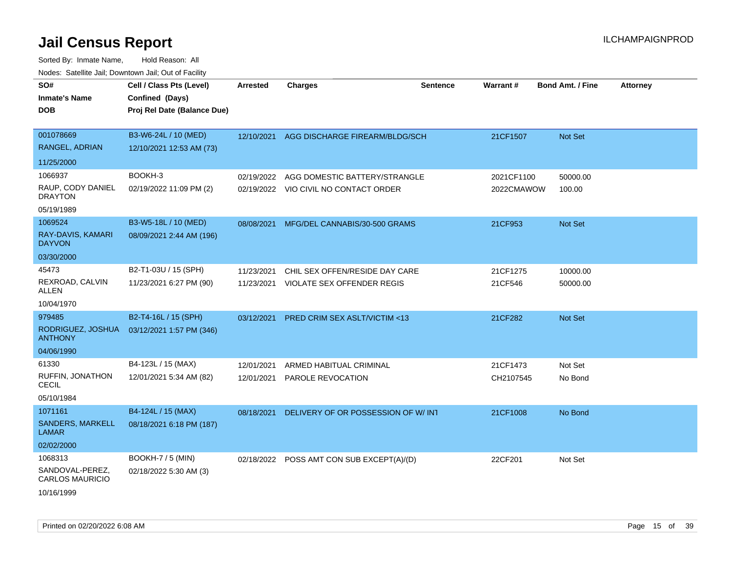| SO#<br><b>Inmate's Name</b><br>DOB        | Cell / Class Pts (Level)<br>Confined (Days)<br>Proj Rel Date (Balance Due) | <b>Arrested</b> | <b>Charges</b>                            | <b>Sentence</b> | Warrant#   | <b>Bond Amt. / Fine</b> | <b>Attorney</b> |
|-------------------------------------------|----------------------------------------------------------------------------|-----------------|-------------------------------------------|-----------------|------------|-------------------------|-----------------|
| 001078669                                 | B3-W6-24L / 10 (MED)                                                       | 12/10/2021      | AGG DISCHARGE FIREARM/BLDG/SCH            |                 | 21CF1507   | Not Set                 |                 |
| RANGEL, ADRIAN                            | 12/10/2021 12:53 AM (73)                                                   |                 |                                           |                 |            |                         |                 |
| 11/25/2000                                |                                                                            |                 |                                           |                 |            |                         |                 |
| 1066937                                   | BOOKH-3                                                                    | 02/19/2022      | AGG DOMESTIC BATTERY/STRANGLE             |                 | 2021CF1100 | 50000.00                |                 |
| RAUP, CODY DANIEL<br>DRAYTON              | 02/19/2022 11:09 PM (2)                                                    |                 | 02/19/2022 VIO CIVIL NO CONTACT ORDER     |                 | 2022CMAWOW | 100.00                  |                 |
| 05/19/1989                                |                                                                            |                 |                                           |                 |            |                         |                 |
| 1069524                                   | B3-W5-18L / 10 (MED)                                                       | 08/08/2021      | MFG/DEL CANNABIS/30-500 GRAMS             |                 | 21CF953    | <b>Not Set</b>          |                 |
| RAY-DAVIS, KAMARI<br><b>DAYVON</b>        | 08/09/2021 2:44 AM (196)                                                   |                 |                                           |                 |            |                         |                 |
| 03/30/2000                                |                                                                            |                 |                                           |                 |            |                         |                 |
| 45473                                     | B2-T1-03U / 15 (SPH)                                                       | 11/23/2021      | CHIL SEX OFFEN/RESIDE DAY CARE            |                 | 21CF1275   | 10000.00                |                 |
| REXROAD, CALVIN<br>ALLEN                  | 11/23/2021 6:27 PM (90)                                                    |                 | 11/23/2021 VIOLATE SEX OFFENDER REGIS     |                 | 21CF546    | 50000.00                |                 |
| 10/04/1970                                |                                                                            |                 |                                           |                 |            |                         |                 |
| 979485                                    | B2-T4-16L / 15 (SPH)                                                       | 03/12/2021      | PRED CRIM SEX ASLT/VICTIM <13             |                 | 21CF282    | Not Set                 |                 |
| RODRIGUEZ, JOSHUA<br><b>ANTHONY</b>       | 03/12/2021 1:57 PM (346)                                                   |                 |                                           |                 |            |                         |                 |
| 04/06/1990                                |                                                                            |                 |                                           |                 |            |                         |                 |
| 61330                                     | B4-123L / 15 (MAX)                                                         | 12/01/2021      | ARMED HABITUAL CRIMINAL                   |                 | 21CF1473   | Not Set                 |                 |
| RUFFIN, JONATHON<br>CECIL                 | 12/01/2021 5:34 AM (82)                                                    | 12/01/2021      | PAROLE REVOCATION                         |                 | CH2107545  | No Bond                 |                 |
| 05/10/1984                                |                                                                            |                 |                                           |                 |            |                         |                 |
| 1071161                                   | B4-124L / 15 (MAX)                                                         | 08/18/2021      | DELIVERY OF OR POSSESSION OF W/ INT       |                 | 21CF1008   | No Bond                 |                 |
| SANDERS, MARKELL<br>LAMAR                 | 08/18/2021 6:18 PM (187)                                                   |                 |                                           |                 |            |                         |                 |
| 02/02/2000                                |                                                                            |                 |                                           |                 |            |                         |                 |
| 1068313                                   | <b>BOOKH-7 / 5 (MIN)</b>                                                   |                 | 02/18/2022 POSS AMT CON SUB EXCEPT(A)/(D) |                 | 22CF201    | Not Set                 |                 |
| SANDOVAL-PEREZ,<br><b>CARLOS MAURICIO</b> | 02/18/2022 5:30 AM (3)                                                     |                 |                                           |                 |            |                         |                 |
| 10/16/1999                                |                                                                            |                 |                                           |                 |            |                         |                 |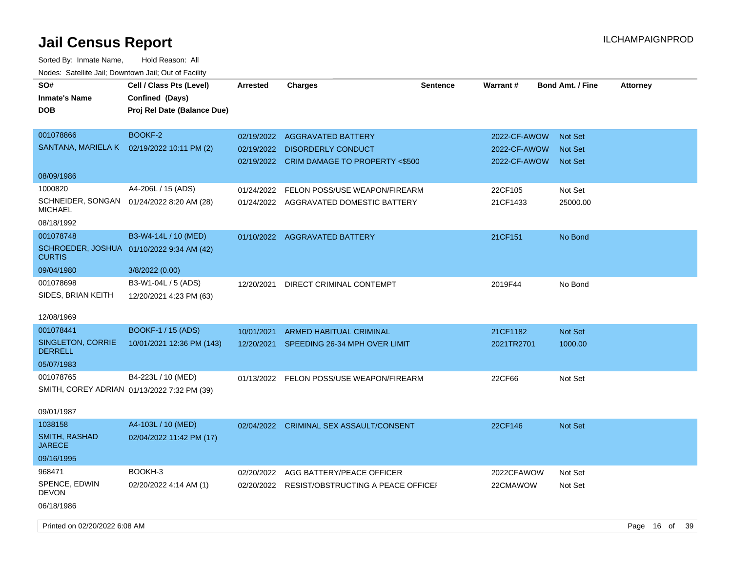| SO#<br><b>Inmate's Name</b><br><b>DOB</b>                  | Cell / Class Pts (Level)<br>Confined (Days)<br>Proj Rel Date (Balance Due) | <b>Arrested</b> | <b>Charges</b>                               | <b>Sentence</b> | <b>Warrant#</b> | <b>Bond Amt. / Fine</b> | <b>Attorney</b> |
|------------------------------------------------------------|----------------------------------------------------------------------------|-----------------|----------------------------------------------|-----------------|-----------------|-------------------------|-----------------|
| 001078866                                                  | BOOKF-2                                                                    |                 | 02/19/2022 AGGRAVATED BATTERY                |                 | 2022-CF-AWOW    | <b>Not Set</b>          |                 |
| SANTANA, MARIELA K                                         | 02/19/2022 10:11 PM (2)                                                    | 02/19/2022      | <b>DISORDERLY CONDUCT</b>                    |                 | 2022-CF-AWOW    | <b>Not Set</b>          |                 |
|                                                            |                                                                            |                 | 02/19/2022 CRIM DAMAGE TO PROPERTY <\$500    |                 | 2022-CF-AWOW    | <b>Not Set</b>          |                 |
| 08/09/1986                                                 |                                                                            |                 |                                              |                 |                 |                         |                 |
| 1000820                                                    | A4-206L / 15 (ADS)                                                         | 01/24/2022      | FELON POSS/USE WEAPON/FIREARM                |                 | 22CF105         | Not Set                 |                 |
| SCHNEIDER, SONGAN<br><b>MICHAEL</b>                        | 01/24/2022 8:20 AM (28)                                                    |                 | 01/24/2022 AGGRAVATED DOMESTIC BATTERY       |                 | 21CF1433        | 25000.00                |                 |
| 08/18/1992                                                 |                                                                            |                 |                                              |                 |                 |                         |                 |
| 001078748                                                  | B3-W4-14L / 10 (MED)                                                       |                 | 01/10/2022 AGGRAVATED BATTERY                |                 | 21CF151         | No Bond                 |                 |
| SCHROEDER, JOSHUA 01/10/2022 9:34 AM (42)<br><b>CURTIS</b> |                                                                            |                 |                                              |                 |                 |                         |                 |
| 09/04/1980                                                 | 3/8/2022 (0.00)                                                            |                 |                                              |                 |                 |                         |                 |
| 001078698                                                  | B3-W1-04L / 5 (ADS)                                                        | 12/20/2021      | DIRECT CRIMINAL CONTEMPT                     |                 | 2019F44         | No Bond                 |                 |
| SIDES, BRIAN KEITH                                         | 12/20/2021 4:23 PM (63)                                                    |                 |                                              |                 |                 |                         |                 |
| 12/08/1969                                                 |                                                                            |                 |                                              |                 |                 |                         |                 |
| 001078441                                                  | <b>BOOKF-1 / 15 (ADS)</b>                                                  | 10/01/2021      | <b>ARMED HABITUAL CRIMINAL</b>               |                 | 21CF1182        | Not Set                 |                 |
| SINGLETON, CORRIE<br><b>DERRELL</b>                        | 10/01/2021 12:36 PM (143)                                                  | 12/20/2021      | SPEEDING 26-34 MPH OVER LIMIT                |                 | 2021TR2701      | 1000.00                 |                 |
| 05/07/1983                                                 |                                                                            |                 |                                              |                 |                 |                         |                 |
| 001078765                                                  | B4-223L / 10 (MED)                                                         | 01/13/2022      | FELON POSS/USE WEAPON/FIREARM                |                 | 22CF66          | Not Set                 |                 |
| SMITH, COREY ADRIAN 01/13/2022 7:32 PM (39)                |                                                                            |                 |                                              |                 |                 |                         |                 |
| 09/01/1987                                                 |                                                                            |                 |                                              |                 |                 |                         |                 |
| 1038158                                                    | A4-103L / 10 (MED)                                                         |                 | 02/04/2022 CRIMINAL SEX ASSAULT/CONSENT      |                 | 22CF146         | <b>Not Set</b>          |                 |
| SMITH, RASHAD<br><b>JARECE</b>                             | 02/04/2022 11:42 PM (17)                                                   |                 |                                              |                 |                 |                         |                 |
| 09/16/1995                                                 |                                                                            |                 |                                              |                 |                 |                         |                 |
| 968471                                                     | BOOKH-3                                                                    | 02/20/2022      | AGG BATTERY/PEACE OFFICER                    |                 | 2022CFAWOW      | Not Set                 |                 |
| SPENCE, EDWIN<br><b>DEVON</b>                              | 02/20/2022 4:14 AM (1)                                                     |                 | 02/20/2022 RESIST/OBSTRUCTING A PEACE OFFICE |                 | 22CMAWOW        | Not Set                 |                 |
| 06/18/1986                                                 |                                                                            |                 |                                              |                 |                 |                         |                 |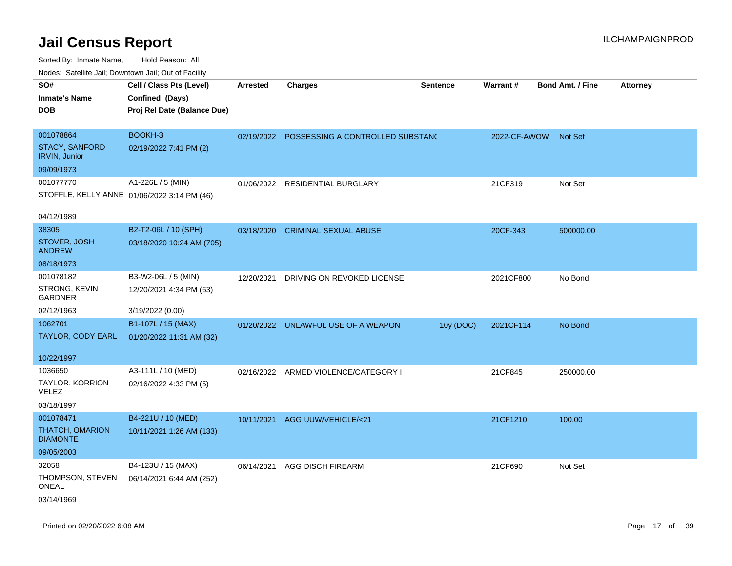Sorted By: Inmate Name, Hold Reason: All Nodes: Satellite Jail; Downtown Jail; Out of Facility

| roaco. Odichile Jan, Downtown Jan, Out of Facility |                             |                 |                                             |                 |              |                         |                 |
|----------------------------------------------------|-----------------------------|-----------------|---------------------------------------------|-----------------|--------------|-------------------------|-----------------|
| SO#                                                | Cell / Class Pts (Level)    | <b>Arrested</b> | <b>Charges</b>                              | <b>Sentence</b> | Warrant#     | <b>Bond Amt. / Fine</b> | <b>Attorney</b> |
| Inmate's Name                                      | Confined (Days)             |                 |                                             |                 |              |                         |                 |
| DOB                                                | Proj Rel Date (Balance Due) |                 |                                             |                 |              |                         |                 |
|                                                    |                             |                 |                                             |                 |              |                         |                 |
| 001078864                                          | BOOKH-3                     |                 | 02/19/2022 POSSESSING A CONTROLLED SUBSTANC |                 | 2022-CF-AWOW | <b>Not Set</b>          |                 |
| <b>STACY, SANFORD</b><br>IRVIN, Junior             | 02/19/2022 7:41 PM (2)      |                 |                                             |                 |              |                         |                 |
| 09/09/1973                                         |                             |                 |                                             |                 |              |                         |                 |
| 001077770                                          | A1-226L / 5 (MIN)           | 01/06/2022      | RESIDENTIAL BURGLARY                        |                 | 21CF319      | Not Set                 |                 |
| STOFFLE, KELLY ANNE 01/06/2022 3:14 PM (46)        |                             |                 |                                             |                 |              |                         |                 |
| 04/12/1989                                         |                             |                 |                                             |                 |              |                         |                 |
| 38305                                              | B2-T2-06L / 10 (SPH)        | 03/18/2020      | <b>CRIMINAL SEXUAL ABUSE</b>                |                 | 20CF-343     | 500000.00               |                 |
| STOVER, JOSH<br><b>ANDREW</b>                      | 03/18/2020 10:24 AM (705)   |                 |                                             |                 |              |                         |                 |
| 08/18/1973                                         |                             |                 |                                             |                 |              |                         |                 |
| 001078182                                          | B3-W2-06L / 5 (MIN)         | 12/20/2021      | DRIVING ON REVOKED LICENSE                  |                 | 2021CF800    | No Bond                 |                 |
| STRONG, KEVIN<br><b>GARDNER</b>                    | 12/20/2021 4:34 PM (63)     |                 |                                             |                 |              |                         |                 |
| 02/12/1963                                         | 3/19/2022 (0.00)            |                 |                                             |                 |              |                         |                 |
| 1062701                                            | B1-107L / 15 (MAX)          |                 | 01/20/2022 UNLAWFUL USE OF A WEAPON         | 10y (DOC)       | 2021CF114    | No Bond                 |                 |
| TAYLOR, CODY EARL                                  | 01/20/2022 11:31 AM (32)    |                 |                                             |                 |              |                         |                 |
| 10/22/1997                                         |                             |                 |                                             |                 |              |                         |                 |
| 1036650                                            | A3-111L / 10 (MED)          |                 | 02/16/2022 ARMED VIOLENCE/CATEGORY I        |                 | 21CF845      | 250000.00               |                 |
| TAYLOR, KORRION<br><b>VELEZ</b>                    | 02/16/2022 4:33 PM (5)      |                 |                                             |                 |              |                         |                 |
| 03/18/1997                                         |                             |                 |                                             |                 |              |                         |                 |
| 001078471                                          | B4-221U / 10 (MED)          | 10/11/2021      | AGG UUW/VEHICLE/<21                         |                 | 21CF1210     | 100.00                  |                 |
| THATCH, OMARION<br><b>DIAMONTE</b>                 | 10/11/2021 1:26 AM (133)    |                 |                                             |                 |              |                         |                 |
| 09/05/2003                                         |                             |                 |                                             |                 |              |                         |                 |
| 32058                                              | B4-123U / 15 (MAX)          | 06/14/2021      | AGG DISCH FIREARM                           |                 | 21CF690      | Not Set                 |                 |
| THOMPSON, STEVEN<br><b>ONEAL</b>                   | 06/14/2021 6:44 AM (252)    |                 |                                             |                 |              |                         |                 |
| 03/14/1969                                         |                             |                 |                                             |                 |              |                         |                 |

Printed on 02/20/2022 6:08 AM Page 17 of 39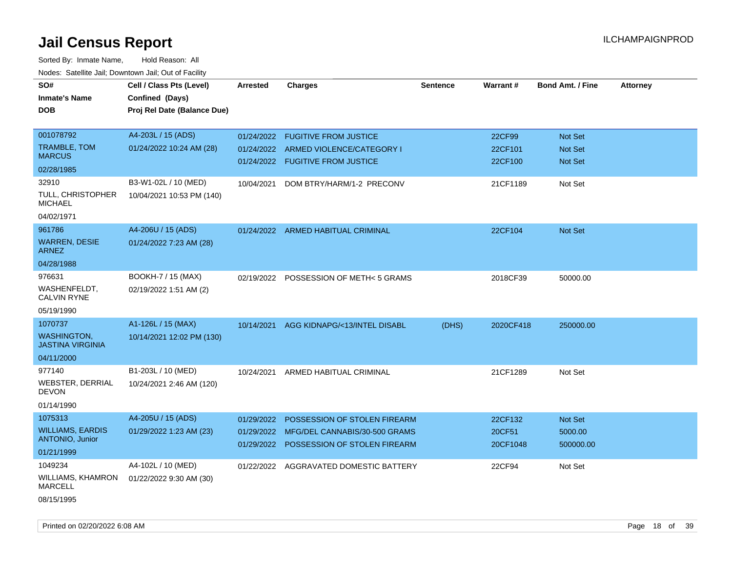| SO#<br><b>Inmate's Name</b><br>DOB                                         | Cell / Class Pts (Level)<br>Confined (Days)<br>Proj Rel Date (Balance Due) | <b>Arrested</b>          | <b>Charges</b>                                                                                           | <b>Sentence</b> | Warrant#                      | <b>Bond Amt. / Fine</b>                | <b>Attorney</b> |
|----------------------------------------------------------------------------|----------------------------------------------------------------------------|--------------------------|----------------------------------------------------------------------------------------------------------|-----------------|-------------------------------|----------------------------------------|-----------------|
| 001078792<br>TRAMBLE, TOM<br><b>MARCUS</b>                                 | A4-203L / 15 (ADS)<br>01/24/2022 10:24 AM (28)                             | 01/24/2022<br>01/24/2022 | <b>FUGITIVE FROM JUSTICE</b><br>ARMED VIOLENCE/CATEGORY I<br>01/24/2022 FUGITIVE FROM JUSTICE            |                 | 22CF99<br>22CF101<br>22CF100  | Not Set<br>Not Set<br>Not Set          |                 |
| 02/28/1985<br>32910<br>TULL, CHRISTOPHER<br><b>MICHAEL</b><br>04/02/1971   | B3-W1-02L / 10 (MED)<br>10/04/2021 10:53 PM (140)                          | 10/04/2021               | DOM BTRY/HARM/1-2 PRECONV                                                                                |                 | 21CF1189                      | Not Set                                |                 |
| 961786<br><b>WARREN, DESIE</b><br><b>ARNEZ</b>                             | A4-206U / 15 (ADS)<br>01/24/2022 7:23 AM (28)                              |                          | 01/24/2022 ARMED HABITUAL CRIMINAL                                                                       |                 | 22CF104                       | Not Set                                |                 |
| 04/28/1988<br>976631<br>WASHENFELDT,<br><b>CALVIN RYNE</b><br>05/19/1990   | BOOKH-7 / 15 (MAX)<br>02/19/2022 1:51 AM (2)                               | 02/19/2022               | POSSESSION OF METH< 5 GRAMS                                                                              |                 | 2018CF39                      | 50000.00                               |                 |
| 1070737<br><b>WASHINGTON,</b><br><b>JASTINA VIRGINIA</b><br>04/11/2000     | A1-126L / 15 (MAX)<br>10/14/2021 12:02 PM (130)                            | 10/14/2021               | AGG KIDNAPG/<13/INTEL DISABL                                                                             | (DHS)           | 2020CF418                     | 250000.00                              |                 |
| 977140<br>WEBSTER, DERRIAL<br><b>DEVON</b><br>01/14/1990                   | B1-203L / 10 (MED)<br>10/24/2021 2:46 AM (120)                             | 10/24/2021               | ARMED HABITUAL CRIMINAL                                                                                  |                 | 21CF1289                      | Not Set                                |                 |
| 1075313<br><b>WILLIAMS, EARDIS</b><br><b>ANTONIO, Junior</b><br>01/21/1999 | A4-205U / 15 (ADS)<br>01/29/2022 1:23 AM (23)                              | 01/29/2022<br>01/29/2022 | POSSESSION OF STOLEN FIREARM<br>MFG/DEL CANNABIS/30-500 GRAMS<br>01/29/2022 POSSESSION OF STOLEN FIREARM |                 | 22CF132<br>20CF51<br>20CF1048 | <b>Not Set</b><br>5000.00<br>500000.00 |                 |
| 1049234<br><b>WILLIAMS, KHAMRON</b><br><b>MARCELL</b><br>08/15/1995        | A4-102L / 10 (MED)<br>01/22/2022 9:30 AM (30)                              |                          | 01/22/2022 AGGRAVATED DOMESTIC BATTERY                                                                   |                 | 22CF94                        | Not Set                                |                 |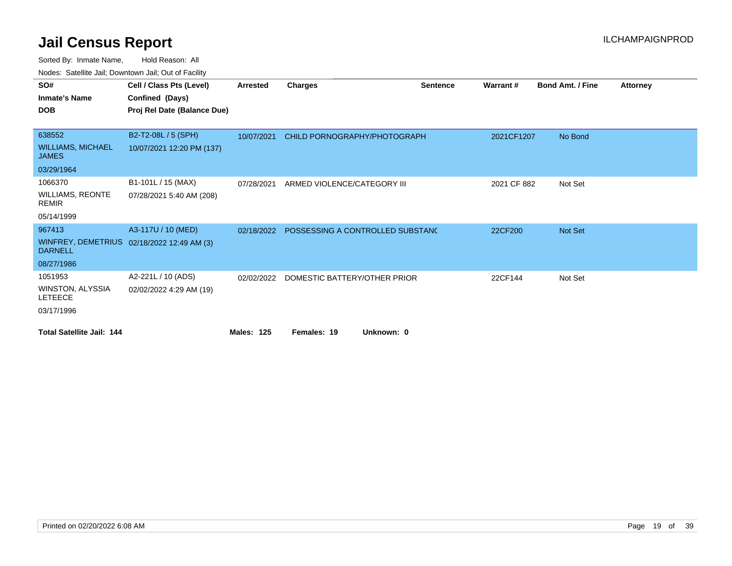| SO#                                      | Cell / Class Pts (Level)                   | <b>Arrested</b>   | Charges                          | <b>Sentence</b> | Warrant#    | <b>Bond Amt. / Fine</b> | <b>Attorney</b> |
|------------------------------------------|--------------------------------------------|-------------------|----------------------------------|-----------------|-------------|-------------------------|-----------------|
| <b>Inmate's Name</b>                     | Confined (Days)                            |                   |                                  |                 |             |                         |                 |
| <b>DOB</b>                               | Proj Rel Date (Balance Due)                |                   |                                  |                 |             |                         |                 |
|                                          |                                            |                   |                                  |                 |             |                         |                 |
| 638552                                   | B2-T2-08L / 5 (SPH)                        | 10/07/2021        | CHILD PORNOGRAPHY/PHOTOGRAPH     |                 | 2021CF1207  | No Bond                 |                 |
| <b>WILLIAMS, MICHAEL</b><br><b>JAMES</b> | 10/07/2021 12:20 PM (137)                  |                   |                                  |                 |             |                         |                 |
| 03/29/1964                               |                                            |                   |                                  |                 |             |                         |                 |
| 1066370                                  | B1-101L / 15 (MAX)                         | 07/28/2021        | ARMED VIOLENCE/CATEGORY III      |                 | 2021 CF 882 | Not Set                 |                 |
| <b>WILLIAMS, REONTE</b><br><b>REMIR</b>  | 07/28/2021 5:40 AM (208)                   |                   |                                  |                 |             |                         |                 |
| 05/14/1999                               |                                            |                   |                                  |                 |             |                         |                 |
| 967413                                   | A3-117U / 10 (MED)                         | 02/18/2022        | POSSESSING A CONTROLLED SUBSTANC |                 | 22CF200     | Not Set                 |                 |
| <b>DARNELL</b>                           | WINFREY, DEMETRIUS 02/18/2022 12:49 AM (3) |                   |                                  |                 |             |                         |                 |
| 08/27/1986                               |                                            |                   |                                  |                 |             |                         |                 |
| 1051953                                  | A2-221L / 10 (ADS)                         | 02/02/2022        | DOMESTIC BATTERY/OTHER PRIOR     |                 | 22CF144     | Not Set                 |                 |
| WINSTON, ALYSSIA<br><b>LETEECE</b>       | 02/02/2022 4:29 AM (19)                    |                   |                                  |                 |             |                         |                 |
| 03/17/1996                               |                                            |                   |                                  |                 |             |                         |                 |
| <b>Total Satellite Jail: 144</b>         |                                            | <b>Males: 125</b> | Females: 19<br>Unknown: 0        |                 |             |                         |                 |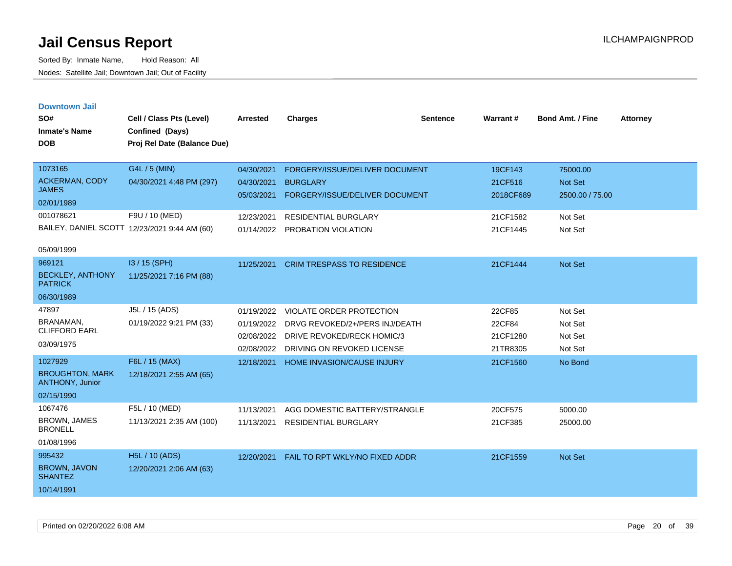| <b>Downtown Jail</b> |  |
|----------------------|--|
|                      |  |

| SO#<br><b>Inmate's Name</b><br><b>DOB</b>                                       | Cell / Class Pts (Level)<br>Confined (Days)<br>Proj Rel Date (Balance Due)                                  | <b>Arrested</b>                                                    | <b>Charges</b>                                                                                                                            | <b>Sentence</b> | Warrant#                                                | <b>Bond Amt. / Fine</b>                                             | <b>Attorney</b> |
|---------------------------------------------------------------------------------|-------------------------------------------------------------------------------------------------------------|--------------------------------------------------------------------|-------------------------------------------------------------------------------------------------------------------------------------------|-----------------|---------------------------------------------------------|---------------------------------------------------------------------|-----------------|
| 1073165<br><b>ACKERMAN, CODY</b><br><b>JAMES</b><br>02/01/1989<br>001078621     | G4L / 5 (MIN)<br>04/30/2021 4:48 PM (297)<br>F9U / 10 (MED)<br>BAILEY, DANIEL SCOTT 12/23/2021 9:44 AM (60) | 04/30/2021<br>04/30/2021<br>05/03/2021<br>12/23/2021<br>01/14/2022 | FORGERY/ISSUE/DELIVER DOCUMENT<br><b>BURGLARY</b><br>FORGERY/ISSUE/DELIVER DOCUMENT<br><b>RESIDENTIAL BURGLARY</b><br>PROBATION VIOLATION |                 | 19CF143<br>21CF516<br>2018CF689<br>21CF1582<br>21CF1445 | 75000.00<br><b>Not Set</b><br>2500.00 / 75.00<br>Not Set<br>Not Set |                 |
| 05/09/1999<br>969121<br><b>BECKLEY, ANTHONY</b><br><b>PATRICK</b><br>06/30/1989 | I3 / 15 (SPH)<br>11/25/2021 7:16 PM (88)                                                                    | 11/25/2021                                                         | <b>CRIM TRESPASS TO RESIDENCE</b>                                                                                                         |                 | 21CF1444                                                | <b>Not Set</b>                                                      |                 |
| 47897<br>BRANAMAN.<br><b>CLIFFORD EARL</b><br>03/09/1975                        | J5L / 15 (ADS)<br>01/19/2022 9:21 PM (33)                                                                   | 01/19/2022<br>01/19/2022<br>02/08/2022<br>02/08/2022               | VIOLATE ORDER PROTECTION<br>DRVG REVOKED/2+/PERS INJ/DEATH<br>DRIVE REVOKED/RECK HOMIC/3<br>DRIVING ON REVOKED LICENSE                    |                 | 22CF85<br>22CF84<br>21CF1280<br>21TR8305                | Not Set<br>Not Set<br>Not Set<br>Not Set                            |                 |
| 1027929<br><b>BROUGHTON, MARK</b><br>ANTHONY, Junior<br>02/15/1990              | F6L / 15 (MAX)<br>12/18/2021 2:55 AM (65)                                                                   | 12/18/2021                                                         | <b>HOME INVASION/CAUSE INJURY</b>                                                                                                         |                 | 21CF1560                                                | No Bond                                                             |                 |
| 1067476<br><b>BROWN, JAMES</b><br><b>BRONELL</b><br>01/08/1996                  | F5L / 10 (MED)<br>11/13/2021 2:35 AM (100)                                                                  | 11/13/2021<br>11/13/2021                                           | AGG DOMESTIC BATTERY/STRANGLE<br>RESIDENTIAL BURGLARY                                                                                     |                 | 20CF575<br>21CF385                                      | 5000.00<br>25000.00                                                 |                 |
| 995432<br>BROWN, JAVON<br><b>SHANTEZ</b><br>10/14/1991                          | <b>H5L / 10 (ADS)</b><br>12/20/2021 2:06 AM (63)                                                            | 12/20/2021                                                         | FAIL TO RPT WKLY/NO FIXED ADDR                                                                                                            |                 | 21CF1559                                                | Not Set                                                             |                 |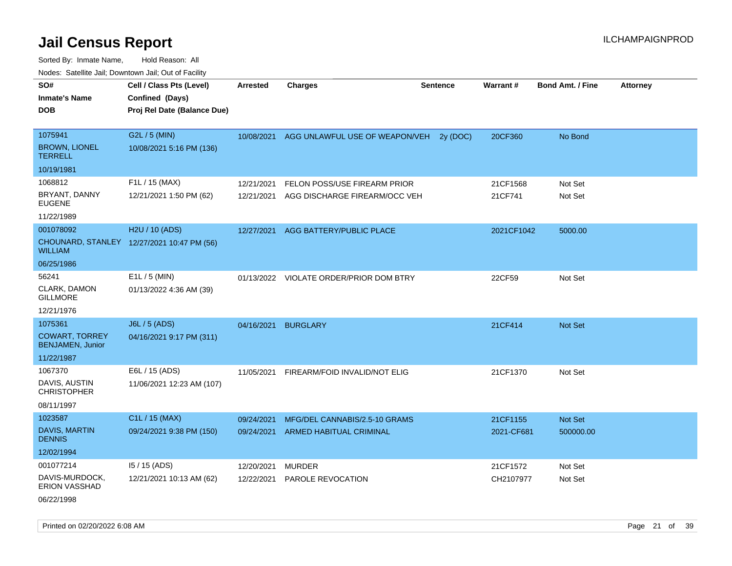Sorted By: Inmate Name, Hold Reason: All Nodes: Satellite Jail; Downtown Jail; Out of Facility

| SO#                                              | Cell / Class Pts (Level)                   | <b>Arrested</b> | <b>Charges</b>                          | <b>Sentence</b> | Warrant#   | <b>Bond Amt. / Fine</b> | <b>Attorney</b> |
|--------------------------------------------------|--------------------------------------------|-----------------|-----------------------------------------|-----------------|------------|-------------------------|-----------------|
| <b>Inmate's Name</b>                             | Confined (Days)                            |                 |                                         |                 |            |                         |                 |
| <b>DOB</b>                                       | Proj Rel Date (Balance Due)                |                 |                                         |                 |            |                         |                 |
|                                                  |                                            |                 |                                         |                 |            |                         |                 |
| 1075941                                          | G2L / 5 (MIN)                              | 10/08/2021      | AGG UNLAWFUL USE OF WEAPON/VEH          | 2v(DOC)         | 20CF360    | No Bond                 |                 |
| <b>BROWN, LIONEL</b><br><b>TERRELL</b>           | 10/08/2021 5:16 PM (136)                   |                 |                                         |                 |            |                         |                 |
| 10/19/1981                                       |                                            |                 |                                         |                 |            |                         |                 |
| 1068812                                          | F1L / 15 (MAX)                             | 12/21/2021      | FELON POSS/USE FIREARM PRIOR            |                 | 21CF1568   | Not Set                 |                 |
| BRYANT, DANNY<br><b>EUGENE</b>                   | 12/21/2021 1:50 PM (62)                    | 12/21/2021      | AGG DISCHARGE FIREARM/OCC VEH           |                 | 21CF741    | Not Set                 |                 |
| 11/22/1989                                       |                                            |                 |                                         |                 |            |                         |                 |
| 001078092                                        | H2U / 10 (ADS)                             | 12/27/2021      | AGG BATTERY/PUBLIC PLACE                |                 | 2021CF1042 | 5000.00                 |                 |
| <b>WILLIAM</b>                                   | CHOUNARD, STANLEY 12/27/2021 10:47 PM (56) |                 |                                         |                 |            |                         |                 |
| 06/25/1986                                       |                                            |                 |                                         |                 |            |                         |                 |
| 56241                                            | E1L / 5 (MIN)                              |                 | 01/13/2022 VIOLATE ORDER/PRIOR DOM BTRY |                 | 22CF59     | Not Set                 |                 |
| CLARK, DAMON<br><b>GILLMORE</b>                  | 01/13/2022 4:36 AM (39)                    |                 |                                         |                 |            |                         |                 |
| 12/21/1976                                       |                                            |                 |                                         |                 |            |                         |                 |
| 1075361                                          | J6L / 5 (ADS)                              | 04/16/2021      | <b>BURGLARY</b>                         |                 | 21CF414    | <b>Not Set</b>          |                 |
| <b>COWART, TORREY</b><br><b>BENJAMEN, Junior</b> | 04/16/2021 9:17 PM (311)                   |                 |                                         |                 |            |                         |                 |
| 11/22/1987                                       |                                            |                 |                                         |                 |            |                         |                 |
| 1067370                                          | E6L / 15 (ADS)                             | 11/05/2021      | FIREARM/FOID INVALID/NOT ELIG           |                 | 21CF1370   | Not Set                 |                 |
| DAVIS, AUSTIN<br><b>CHRISTOPHER</b>              | 11/06/2021 12:23 AM (107)                  |                 |                                         |                 |            |                         |                 |
| 08/11/1997                                       |                                            |                 |                                         |                 |            |                         |                 |
| 1023587                                          | C1L / 15 (MAX)                             | 09/24/2021      | MFG/DEL CANNABIS/2.5-10 GRAMS           |                 | 21CF1155   | Not Set                 |                 |
| <b>DAVIS, MARTIN</b><br><b>DENNIS</b>            | 09/24/2021 9:38 PM (150)                   | 09/24/2021      | <b>ARMED HABITUAL CRIMINAL</b>          |                 | 2021-CF681 | 500000.00               |                 |
| 12/02/1994                                       |                                            |                 |                                         |                 |            |                         |                 |
| 001077214                                        | $15/15$ (ADS)                              | 12/20/2021      | <b>MURDER</b>                           |                 | 21CF1572   | Not Set                 |                 |
| DAVIS-MURDOCK,<br><b>ERION VASSHAD</b>           | 12/21/2021 10:13 AM (62)                   | 12/22/2021      | PAROLE REVOCATION                       |                 | CH2107977  | Not Set                 |                 |

06/22/1998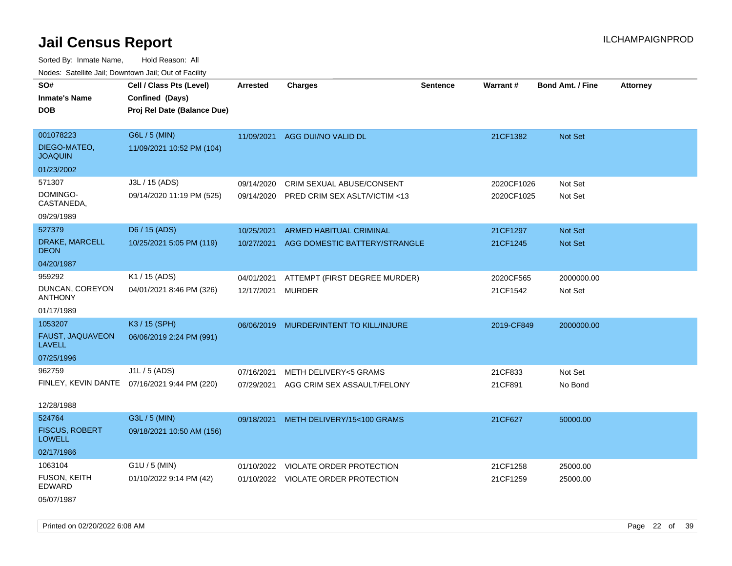Sorted By: Inmate Name, Hold Reason: All Nodes: Satellite Jail; Downtown Jail; Out of Facility

| SO#                                    | Cell / Class Pts (Level)                     | Arrested   | <b>Charges</b>                      | <b>Sentence</b> | Warrant#   | <b>Bond Amt. / Fine</b> | <b>Attorney</b> |
|----------------------------------------|----------------------------------------------|------------|-------------------------------------|-----------------|------------|-------------------------|-----------------|
| <b>Inmate's Name</b>                   | Confined (Days)                              |            |                                     |                 |            |                         |                 |
| <b>DOB</b>                             | Proj Rel Date (Balance Due)                  |            |                                     |                 |            |                         |                 |
|                                        |                                              |            |                                     |                 |            |                         |                 |
| 001078223                              | G6L / 5 (MIN)                                |            | 11/09/2021 AGG DUI/NO VALID DL      |                 | 21CF1382   | Not Set                 |                 |
| DIEGO-MATEO,<br><b>JOAQUIN</b>         | 11/09/2021 10:52 PM (104)                    |            |                                     |                 |            |                         |                 |
| 01/23/2002                             |                                              |            |                                     |                 |            |                         |                 |
| 571307                                 | J3L / 15 (ADS)                               | 09/14/2020 | CRIM SEXUAL ABUSE/CONSENT           |                 | 2020CF1026 | Not Set                 |                 |
| DOMINGO-<br>CASTANEDA,                 | 09/14/2020 11:19 PM (525)                    | 09/14/2020 | PRED CRIM SEX ASLT/VICTIM <13       |                 | 2020CF1025 | Not Set                 |                 |
| 09/29/1989                             |                                              |            |                                     |                 |            |                         |                 |
| 527379                                 | D6 / 15 (ADS)                                | 10/25/2021 | <b>ARMED HABITUAL CRIMINAL</b>      |                 | 21CF1297   | Not Set                 |                 |
| DRAKE, MARCELL<br><b>DEON</b>          | 10/25/2021 5:05 PM (119)                     | 10/27/2021 | AGG DOMESTIC BATTERY/STRANGLE       |                 | 21CF1245   | Not Set                 |                 |
| 04/20/1987                             |                                              |            |                                     |                 |            |                         |                 |
| 959292                                 | K1 / 15 (ADS)                                | 04/01/2021 | ATTEMPT (FIRST DEGREE MURDER)       |                 | 2020CF565  | 2000000.00              |                 |
| DUNCAN, COREYON<br><b>ANTHONY</b>      | 04/01/2021 8:46 PM (326)                     | 12/17/2021 | <b>MURDER</b>                       |                 | 21CF1542   | Not Set                 |                 |
| 01/17/1989                             |                                              |            |                                     |                 |            |                         |                 |
| 1053207                                | K3 / 15 (SPH)                                | 06/06/2019 | MURDER/INTENT TO KILL/INJURE        |                 | 2019-CF849 | 2000000.00              |                 |
| FAUST, JAQUAVEON<br><b>LAVELL</b>      | 06/06/2019 2:24 PM (991)                     |            |                                     |                 |            |                         |                 |
| 07/25/1996                             |                                              |            |                                     |                 |            |                         |                 |
| 962759                                 | J1L / 5 (ADS)                                | 07/16/2021 | <b>METH DELIVERY&lt;5 GRAMS</b>     |                 | 21CF833    | Not Set                 |                 |
|                                        | FINLEY, KEVIN DANTE 07/16/2021 9:44 PM (220) | 07/29/2021 | AGG CRIM SEX ASSAULT/FELONY         |                 | 21CF891    | No Bond                 |                 |
| 12/28/1988                             |                                              |            |                                     |                 |            |                         |                 |
| 524764                                 | G3L / 5 (MIN)                                | 09/18/2021 | METH DELIVERY/15<100 GRAMS          |                 | 21CF627    | 50000.00                |                 |
| <b>FISCUS, ROBERT</b><br><b>LOWELL</b> | 09/18/2021 10:50 AM (156)                    |            |                                     |                 |            |                         |                 |
| 02/17/1986                             |                                              |            |                                     |                 |            |                         |                 |
| 1063104                                | $G1U / 5$ (MIN)                              |            | 01/10/2022 VIOLATE ORDER PROTECTION |                 | 21CF1258   | 25000.00                |                 |
| <b>FUSON, KEITH</b><br>EDWARD          | 01/10/2022 9:14 PM (42)                      |            | 01/10/2022 VIOLATE ORDER PROTECTION |                 | 21CF1259   | 25000.00                |                 |
| 05/07/1987                             |                                              |            |                                     |                 |            |                         |                 |

Printed on 02/20/2022 6:08 AM Page 22 of 39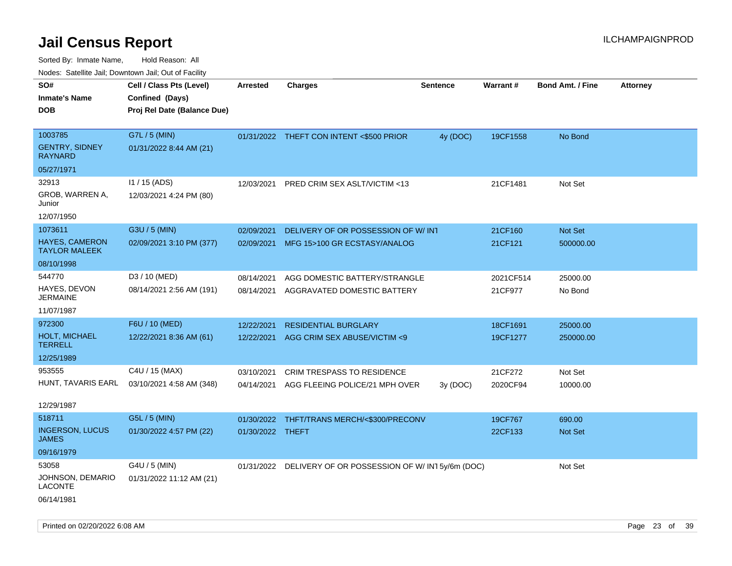| ivodes. Satellite Jali, Downtown Jali, Out of Facility |                             |                  |                                                          |                 |                 |                         |                 |
|--------------------------------------------------------|-----------------------------|------------------|----------------------------------------------------------|-----------------|-----------------|-------------------------|-----------------|
| SO#                                                    | Cell / Class Pts (Level)    | Arrested         | <b>Charges</b>                                           | <b>Sentence</b> | <b>Warrant#</b> | <b>Bond Amt. / Fine</b> | <b>Attorney</b> |
| <b>Inmate's Name</b>                                   | Confined (Days)             |                  |                                                          |                 |                 |                         |                 |
| DOB                                                    | Proj Rel Date (Balance Due) |                  |                                                          |                 |                 |                         |                 |
|                                                        |                             |                  |                                                          |                 |                 |                         |                 |
| 1003785                                                | G7L / 5 (MIN)               |                  | 01/31/2022 THEFT CON INTENT <\$500 PRIOR                 | 4y (DOC)        | 19CF1558        | No Bond                 |                 |
| <b>GENTRY, SIDNEY</b><br>RAYNARD                       | 01/31/2022 8:44 AM (21)     |                  |                                                          |                 |                 |                         |                 |
| 05/27/1971                                             |                             |                  |                                                          |                 |                 |                         |                 |
| 32913                                                  | $11 / 15$ (ADS)             | 12/03/2021       | PRED CRIM SEX ASLT/VICTIM <13                            |                 | 21CF1481        | Not Set                 |                 |
| GROB, WARREN A,<br>Junior                              | 12/03/2021 4:24 PM (80)     |                  |                                                          |                 |                 |                         |                 |
| 12/07/1950                                             |                             |                  |                                                          |                 |                 |                         |                 |
| 1073611                                                | G3U / 5 (MIN)               | 02/09/2021       | DELIVERY OF OR POSSESSION OF W/INT                       |                 | 21CF160         | <b>Not Set</b>          |                 |
| HAYES, CAMERON<br><b>TAYLOR MALEEK</b>                 | 02/09/2021 3:10 PM (377)    | 02/09/2021       | MFG 15>100 GR ECSTASY/ANALOG                             |                 | 21CF121         | 500000.00               |                 |
| 08/10/1998                                             |                             |                  |                                                          |                 |                 |                         |                 |
| 544770                                                 | D3 / 10 (MED)               | 08/14/2021       | AGG DOMESTIC BATTERY/STRANGLE                            |                 | 2021CF514       | 25000.00                |                 |
| HAYES, DEVON<br>JERMAINE                               | 08/14/2021 2:56 AM (191)    | 08/14/2021       | AGGRAVATED DOMESTIC BATTERY                              |                 | 21CF977         | No Bond                 |                 |
| 11/07/1987                                             |                             |                  |                                                          |                 |                 |                         |                 |
| 972300                                                 | F6U / 10 (MED)              | 12/22/2021       | <b>RESIDENTIAL BURGLARY</b>                              |                 | 18CF1691        | 25000.00                |                 |
| <b>HOLT, MICHAEL</b><br>TERRELL                        | 12/22/2021 8:36 AM (61)     | 12/22/2021       | AGG CRIM SEX ABUSE/VICTIM <9                             |                 | 19CF1277        | 250000.00               |                 |
| 12/25/1989                                             |                             |                  |                                                          |                 |                 |                         |                 |
| 953555                                                 | C4U / 15 (MAX)              | 03/10/2021       | <b>CRIM TRESPASS TO RESIDENCE</b>                        |                 | 21CF272         | Not Set                 |                 |
| HUNT, TAVARIS EARL                                     | 03/10/2021 4:58 AM (348)    | 04/14/2021       | AGG FLEEING POLICE/21 MPH OVER                           | 3y(DOC)         | 2020CF94        | 10000.00                |                 |
| 12/29/1987                                             |                             |                  |                                                          |                 |                 |                         |                 |
| 518711                                                 | G5L / 5 (MIN)               | 01/30/2022       | THFT/TRANS MERCH/<\$300/PRECONV                          |                 | 19CF767         | 690.00                  |                 |
| <b>INGERSON, LUCUS</b><br>JAMES                        | 01/30/2022 4:57 PM (22)     | 01/30/2022 THEFT |                                                          |                 | 22CF133         | <b>Not Set</b>          |                 |
| 09/16/1979                                             |                             |                  |                                                          |                 |                 |                         |                 |
| 53058                                                  | G4U / 5 (MIN)               |                  | 01/31/2022 DELIVERY OF OR POSSESSION OF W/IN15y/6m (DOC) |                 |                 | Not Set                 |                 |
| JOHNSON, DEMARIO<br>LACONTE                            | 01/31/2022 11:12 AM (21)    |                  |                                                          |                 |                 |                         |                 |
| 06/14/1981                                             |                             |                  |                                                          |                 |                 |                         |                 |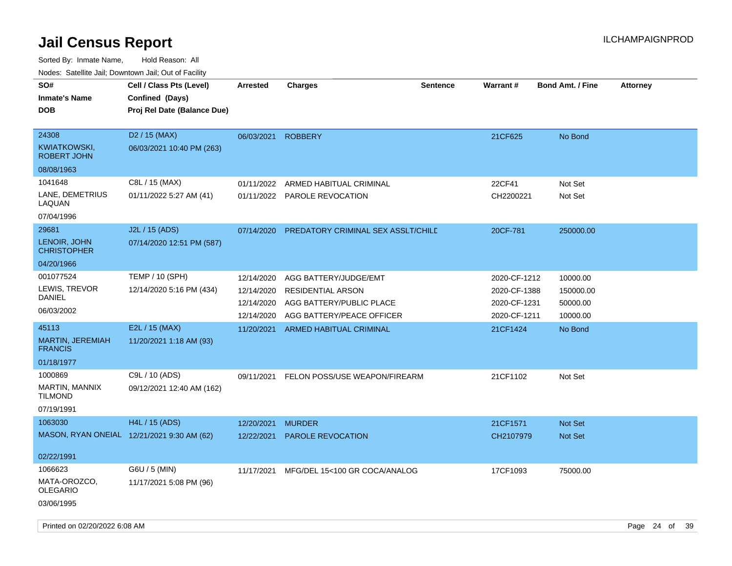| SO#<br><b>Inmate's Name</b><br><b>DOB</b>          | Cell / Class Pts (Level)<br>Confined (Days)<br>Proj Rel Date (Balance Due) | <b>Arrested</b>          | <b>Charges</b>                                       | <b>Sentence</b> | <b>Warrant#</b>              | <b>Bond Amt. / Fine</b> | <b>Attorney</b> |    |
|----------------------------------------------------|----------------------------------------------------------------------------|--------------------------|------------------------------------------------------|-----------------|------------------------------|-------------------------|-----------------|----|
| 24308<br><b>KWIATKOWSKI,</b><br><b>ROBERT JOHN</b> | D <sub>2</sub> / 15 (MAX)<br>06/03/2021 10:40 PM (263)                     | 06/03/2021               | <b>ROBBERY</b>                                       |                 | 21CF625                      | No Bond                 |                 |    |
| 08/08/1963                                         |                                                                            |                          |                                                      |                 |                              |                         |                 |    |
| 1041648                                            | C8L / 15 (MAX)                                                             | 01/11/2022               | ARMED HABITUAL CRIMINAL                              |                 | 22CF41                       | Not Set                 |                 |    |
| LANE, DEMETRIUS<br>LAQUAN                          | 01/11/2022 5:27 AM (41)                                                    |                          | 01/11/2022 PAROLE REVOCATION                         |                 | CH2200221                    | Not Set                 |                 |    |
| 07/04/1996                                         |                                                                            |                          |                                                      |                 |                              |                         |                 |    |
| 29681                                              | J2L / 15 (ADS)                                                             | 07/14/2020               | PREDATORY CRIMINAL SEX ASSLT/CHILE                   |                 | 20CF-781                     | 250000.00               |                 |    |
| LENOIR, JOHN<br><b>CHRISTOPHER</b>                 | 07/14/2020 12:51 PM (587)                                                  |                          |                                                      |                 |                              |                         |                 |    |
| 04/20/1966                                         |                                                                            |                          |                                                      |                 |                              |                         |                 |    |
| 001077524                                          | <b>TEMP / 10 (SPH)</b>                                                     | 12/14/2020               | AGG BATTERY/JUDGE/EMT                                |                 | 2020-CF-1212                 | 10000.00                |                 |    |
| LEWIS, TREVOR<br>DANIEL                            | 12/14/2020 5:16 PM (434)                                                   | 12/14/2020<br>12/14/2020 | <b>RESIDENTIAL ARSON</b><br>AGG BATTERY/PUBLIC PLACE |                 | 2020-CF-1388<br>2020-CF-1231 | 150000.00               |                 |    |
| 06/03/2002                                         |                                                                            | 12/14/2020               | AGG BATTERY/PEACE OFFICER                            |                 | 2020-CF-1211                 | 50000.00<br>10000.00    |                 |    |
| 45113                                              | E2L / 15 (MAX)                                                             | 11/20/2021               | ARMED HABITUAL CRIMINAL                              |                 | 21CF1424                     | No Bond                 |                 |    |
| MARTIN, JEREMIAH<br><b>FRANCIS</b>                 | 11/20/2021 1:18 AM (93)                                                    |                          |                                                      |                 |                              |                         |                 |    |
| 01/18/1977                                         |                                                                            |                          |                                                      |                 |                              |                         |                 |    |
| 1000869                                            | C9L / 10 (ADS)                                                             | 09/11/2021               | FELON POSS/USE WEAPON/FIREARM                        |                 | 21CF1102                     | Not Set                 |                 |    |
| MARTIN, MANNIX<br><b>TILMOND</b>                   | 09/12/2021 12:40 AM (162)                                                  |                          |                                                      |                 |                              |                         |                 |    |
| 07/19/1991                                         |                                                                            |                          |                                                      |                 |                              |                         |                 |    |
| 1063030                                            | H4L / 15 (ADS)                                                             | 12/20/2021               | <b>MURDER</b>                                        |                 | 21CF1571                     | <b>Not Set</b>          |                 |    |
| MASON, RYAN ONEIAL 12/21/2021 9:30 AM (62)         |                                                                            | 12/22/2021               | <b>PAROLE REVOCATION</b>                             |                 | CH2107979                    | <b>Not Set</b>          |                 |    |
| 02/22/1991                                         |                                                                            |                          |                                                      |                 |                              |                         |                 |    |
| 1066623                                            | G6U / 5 (MIN)                                                              | 11/17/2021               | MFG/DEL 15<100 GR COCA/ANALOG                        |                 | 17CF1093                     | 75000.00                |                 |    |
| MATA-OROZCO,<br><b>OLEGARIO</b>                    | 11/17/2021 5:08 PM (96)                                                    |                          |                                                      |                 |                              |                         |                 |    |
| 03/06/1995                                         |                                                                            |                          |                                                      |                 |                              |                         |                 |    |
| Printed on 02/20/2022 6:08 AM                      |                                                                            |                          |                                                      |                 |                              |                         | Page 24 of      | 39 |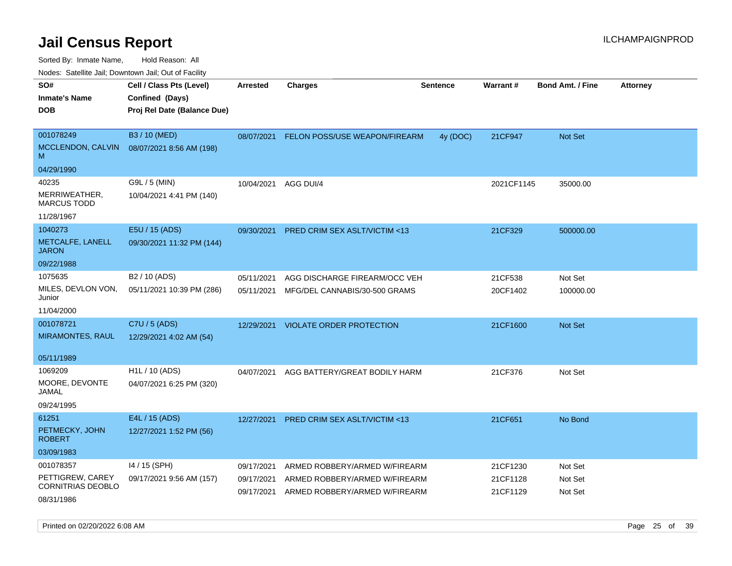Sorted By: Inmate Name, Hold Reason: All

Nodes: Satellite Jail; Downtown Jail; Out of Facility

| rouce. Calcillic Jali, Downtown Jali, Out of Facility      |                                                        |                          |                                                                |                 |                      |                         |                 |
|------------------------------------------------------------|--------------------------------------------------------|--------------------------|----------------------------------------------------------------|-----------------|----------------------|-------------------------|-----------------|
| SO#<br><b>Inmate's Name</b>                                | Cell / Class Pts (Level)<br>Confined (Days)            | <b>Arrested</b>          | <b>Charges</b>                                                 | <b>Sentence</b> | Warrant#             | <b>Bond Amt. / Fine</b> | <b>Attorney</b> |
| <b>DOB</b>                                                 | Proj Rel Date (Balance Due)                            |                          |                                                                |                 |                      |                         |                 |
| 001078249<br>MCCLENDON, CALVIN<br>M                        | B3 / 10 (MED)<br>08/07/2021 8:56 AM (198)              | 08/07/2021               | FELON POSS/USE WEAPON/FIREARM                                  | 4y (DOC)        | 21CF947              | Not Set                 |                 |
| 04/29/1990                                                 |                                                        |                          |                                                                |                 |                      |                         |                 |
| 40235<br>MERRIWEATHER,<br><b>MARCUS TODD</b><br>11/28/1967 | G9L / 5 (MIN)<br>10/04/2021 4:41 PM (140)              | 10/04/2021               | AGG DUI/4                                                      |                 | 2021CF1145           | 35000.00                |                 |
| 1040273<br>METCALFE, LANELL<br><b>JARON</b>                | E5U / 15 (ADS)<br>09/30/2021 11:32 PM (144)            | 09/30/2021               | <b>PRED CRIM SEX ASLT/VICTIM &lt;13</b>                        |                 | 21CF329              | 500000.00               |                 |
| 09/22/1988                                                 |                                                        |                          |                                                                |                 |                      |                         |                 |
| 1075635<br>MILES, DEVLON VON,<br>Junior                    | B <sub>2</sub> / 10 (ADS)<br>05/11/2021 10:39 PM (286) | 05/11/2021<br>05/11/2021 | AGG DISCHARGE FIREARM/OCC VEH<br>MFG/DEL CANNABIS/30-500 GRAMS |                 | 21CF538<br>20CF1402  | Not Set<br>100000.00    |                 |
| 11/04/2000                                                 |                                                        |                          |                                                                |                 |                      |                         |                 |
| 001078721<br><b>MIRAMONTES, RAUL</b>                       | C7U / 5 (ADS)<br>12/29/2021 4:02 AM (54)               | 12/29/2021               | <b>VIOLATE ORDER PROTECTION</b>                                |                 | 21CF1600             | <b>Not Set</b>          |                 |
| 05/11/1989                                                 |                                                        |                          |                                                                |                 |                      |                         |                 |
| 1069209<br>MOORE, DEVONTE<br>JAMAL<br>09/24/1995           | H1L / 10 (ADS)<br>04/07/2021 6:25 PM (320)             | 04/07/2021               | AGG BATTERY/GREAT BODILY HARM                                  |                 | 21CF376              | Not Set                 |                 |
| 61251<br>PETMECKY, JOHN<br><b>ROBERT</b><br>03/09/1983     | E4L / 15 (ADS)<br>12/27/2021 1:52 PM (56)              | 12/27/2021               | <b>PRED CRIM SEX ASLT/VICTIM &lt;13</b>                        |                 | 21CF651              | No Bond                 |                 |
| 001078357                                                  | 14 / 15 (SPH)                                          | 09/17/2021               | ARMED ROBBERY/ARMED W/FIREARM                                  |                 | 21CF1230             | Not Set                 |                 |
| PETTIGREW, CAREY<br>CORNITRIAS DEOBLO                      | 09/17/2021 9:56 AM (157)                               | 09/17/2021<br>09/17/2021 | ARMED ROBBERY/ARMED W/FIREARM<br>ARMED ROBBERY/ARMED W/FIREARM |                 | 21CF1128<br>21CF1129 | Not Set<br>Not Set      |                 |
| 08/31/1986                                                 |                                                        |                          |                                                                |                 |                      |                         |                 |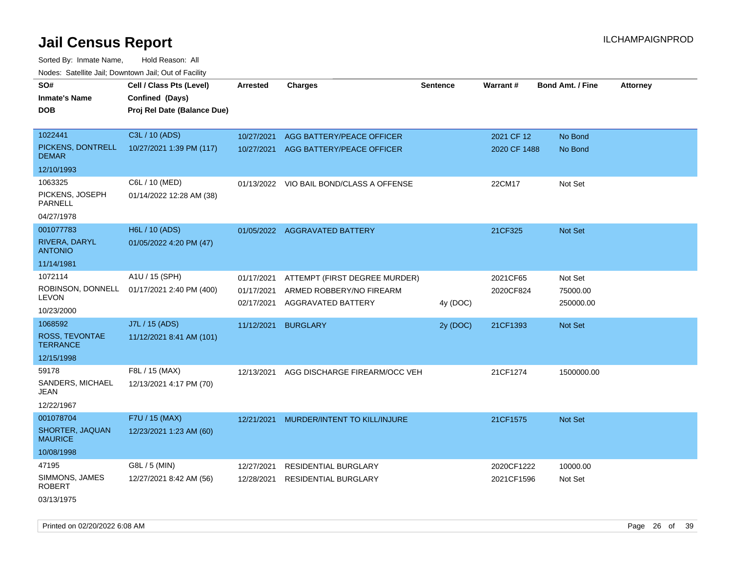| roaco. Oatomto dan, Downtown dan, Oat or Fability |                                                                            |                          |                                                |                 |                 |                         |                 |
|---------------------------------------------------|----------------------------------------------------------------------------|--------------------------|------------------------------------------------|-----------------|-----------------|-------------------------|-----------------|
| SO#<br><b>Inmate's Name</b><br><b>DOB</b>         | Cell / Class Pts (Level)<br>Confined (Days)<br>Proj Rel Date (Balance Due) | <b>Arrested</b>          | <b>Charges</b>                                 | <b>Sentence</b> | <b>Warrant#</b> | <b>Bond Amt. / Fine</b> | <b>Attorney</b> |
| 1022441                                           | C3L / 10 (ADS)                                                             | 10/27/2021               | AGG BATTERY/PEACE OFFICER                      |                 | 2021 CF 12      | No Bond                 |                 |
| PICKENS, DONTRELL<br><b>DEMAR</b>                 | 10/27/2021 1:39 PM (117)                                                   | 10/27/2021               | AGG BATTERY/PEACE OFFICER                      |                 | 2020 CF 1488    | No Bond                 |                 |
| 12/10/1993                                        |                                                                            |                          |                                                |                 |                 |                         |                 |
| 1063325                                           | C6L / 10 (MED)                                                             |                          | 01/13/2022 VIO BAIL BOND/CLASS A OFFENSE       |                 | 22CM17          | Not Set                 |                 |
| PICKENS, JOSEPH<br><b>PARNELL</b>                 | 01/14/2022 12:28 AM (38)                                                   |                          |                                                |                 |                 |                         |                 |
| 04/27/1978                                        |                                                                            |                          |                                                |                 |                 |                         |                 |
| 001077783                                         | H6L / 10 (ADS)                                                             |                          | 01/05/2022 AGGRAVATED BATTERY                  |                 | 21CF325         | Not Set                 |                 |
| RIVERA, DARYL<br><b>ANTONIO</b>                   | 01/05/2022 4:20 PM (47)                                                    |                          |                                                |                 |                 |                         |                 |
| 11/14/1981                                        |                                                                            |                          |                                                |                 |                 |                         |                 |
| 1072114                                           | A1U / 15 (SPH)                                                             | 01/17/2021               | ATTEMPT (FIRST DEGREE MURDER)                  |                 | 2021CF65        | Not Set                 |                 |
| ROBINSON, DONNELL<br><b>LEVON</b>                 | 01/17/2021 2:40 PM (400)                                                   | 01/17/2021<br>02/17/2021 | ARMED ROBBERY/NO FIREARM<br>AGGRAVATED BATTERY | 4y (DOC)        | 2020CF824       | 75000.00<br>250000.00   |                 |
| 10/23/2000                                        |                                                                            |                          |                                                |                 |                 |                         |                 |
| 1068592                                           | J7L / 15 (ADS)                                                             | 11/12/2021               | <b>BURGLARY</b>                                | 2y (DOC)        | 21CF1393        | Not Set                 |                 |
| ROSS, TEVONTAE<br><b>TERRANCE</b>                 | 11/12/2021 8:41 AM (101)                                                   |                          |                                                |                 |                 |                         |                 |
| 12/15/1998                                        |                                                                            |                          |                                                |                 |                 |                         |                 |
| 59178                                             | F8L / 15 (MAX)                                                             | 12/13/2021               | AGG DISCHARGE FIREARM/OCC VEH                  |                 | 21CF1274        | 1500000.00              |                 |
| SANDERS, MICHAEL<br>JEAN                          | 12/13/2021 4:17 PM (70)                                                    |                          |                                                |                 |                 |                         |                 |
| 12/22/1967                                        |                                                                            |                          |                                                |                 |                 |                         |                 |
| 001078704                                         | F7U / 15 (MAX)                                                             | 12/21/2021               | MURDER/INTENT TO KILL/INJURE                   |                 | 21CF1575        | Not Set                 |                 |
| SHORTER, JAQUAN<br><b>MAURICE</b>                 | 12/23/2021 1:23 AM (60)                                                    |                          |                                                |                 |                 |                         |                 |
| 10/08/1998                                        |                                                                            |                          |                                                |                 |                 |                         |                 |
| 47195                                             | G8L / 5 (MIN)                                                              | 12/27/2021               | <b>RESIDENTIAL BURGLARY</b>                    |                 | 2020CF1222      | 10000.00                |                 |
| SIMMONS, JAMES<br><b>ROBERT</b>                   | 12/27/2021 8:42 AM (56)                                                    | 12/28/2021               | <b>RESIDENTIAL BURGLARY</b>                    |                 | 2021CF1596      | Not Set                 |                 |
| 03/13/1975                                        |                                                                            |                          |                                                |                 |                 |                         |                 |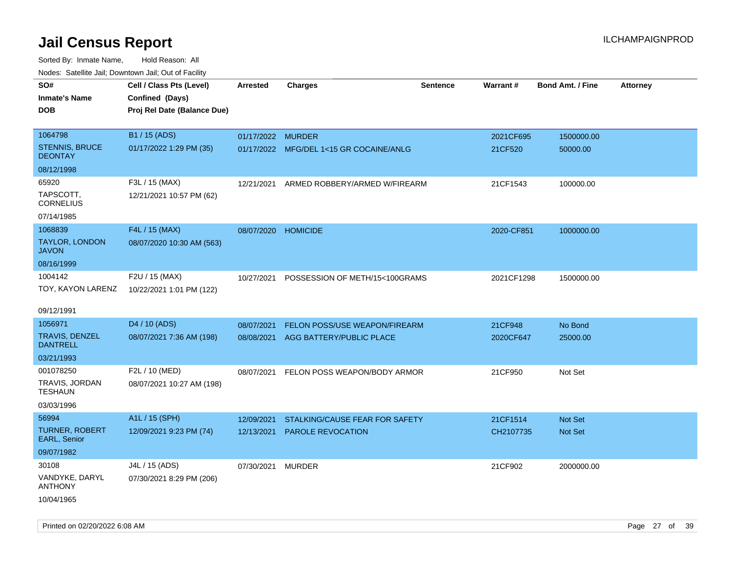| ivouss. Saleline Jali, Downtown Jali, Out of Facility |                             |                     |                                         |                 |                 |                         |                 |
|-------------------------------------------------------|-----------------------------|---------------------|-----------------------------------------|-----------------|-----------------|-------------------------|-----------------|
| SO#                                                   | Cell / Class Pts (Level)    | Arrested            | <b>Charges</b>                          | <b>Sentence</b> | <b>Warrant#</b> | <b>Bond Amt. / Fine</b> | <b>Attorney</b> |
| Inmate's Name                                         | Confined (Days)             |                     |                                         |                 |                 |                         |                 |
| <b>DOB</b>                                            | Proj Rel Date (Balance Due) |                     |                                         |                 |                 |                         |                 |
|                                                       |                             |                     |                                         |                 |                 |                         |                 |
| 1064798                                               | B1 / 15 (ADS)               | 01/17/2022 MURDER   |                                         |                 | 2021CF695       | 1500000.00              |                 |
| <b>STENNIS, BRUCE</b><br><b>DEONTAY</b>               | 01/17/2022 1:29 PM (35)     |                     | 01/17/2022 MFG/DEL 1<15 GR COCAINE/ANLG |                 | 21CF520         | 50000.00                |                 |
| 08/12/1998                                            |                             |                     |                                         |                 |                 |                         |                 |
| 65920                                                 | F3L / 15 (MAX)              | 12/21/2021          | ARMED ROBBERY/ARMED W/FIREARM           |                 | 21CF1543        | 100000.00               |                 |
| TAPSCOTT,<br>CORNELIUS                                | 12/21/2021 10:57 PM (62)    |                     |                                         |                 |                 |                         |                 |
| 07/14/1985                                            |                             |                     |                                         |                 |                 |                         |                 |
| 1068839                                               | F4L / 15 (MAX)              | 08/07/2020 HOMICIDE |                                         |                 | 2020-CF851      | 1000000.00              |                 |
| TAYLOR, LONDON<br>JAVON                               | 08/07/2020 10:30 AM (563)   |                     |                                         |                 |                 |                         |                 |
| 08/16/1999                                            |                             |                     |                                         |                 |                 |                         |                 |
| 1004142                                               | F2U / 15 (MAX)              | 10/27/2021          | POSSESSION OF METH/15<100GRAMS          |                 | 2021CF1298      | 1500000.00              |                 |
| TOY, KAYON LARENZ                                     | 10/22/2021 1:01 PM (122)    |                     |                                         |                 |                 |                         |                 |
|                                                       |                             |                     |                                         |                 |                 |                         |                 |
| 09/12/1991                                            |                             |                     |                                         |                 |                 |                         |                 |
| 1056971                                               | D <sub>4</sub> / 10 (ADS)   | 08/07/2021          | <b>FELON POSS/USE WEAPON/FIREARM</b>    |                 | 21CF948         | No Bond                 |                 |
| TRAVIS, DENZEL<br>DANTRELL                            | 08/07/2021 7:36 AM (198)    | 08/08/2021          | AGG BATTERY/PUBLIC PLACE                |                 | 2020CF647       | 25000.00                |                 |
| 03/21/1993                                            |                             |                     |                                         |                 |                 |                         |                 |
| 001078250                                             | F2L / 10 (MED)              | 08/07/2021          | FELON POSS WEAPON/BODY ARMOR            |                 | 21CF950         | Not Set                 |                 |
| TRAVIS, JORDAN<br>TESHAUN                             | 08/07/2021 10:27 AM (198)   |                     |                                         |                 |                 |                         |                 |
| 03/03/1996                                            |                             |                     |                                         |                 |                 |                         |                 |
| 56994                                                 | A1L / 15 (SPH)              | 12/09/2021          | STALKING/CAUSE FEAR FOR SAFETY          |                 | 21CF1514        | <b>Not Set</b>          |                 |
| <b>TURNER, ROBERT</b><br><b>EARL, Senior</b>          | 12/09/2021 9:23 PM (74)     | 12/13/2021          | <b>PAROLE REVOCATION</b>                |                 | CH2107735       | <b>Not Set</b>          |                 |
| 09/07/1982                                            |                             |                     |                                         |                 |                 |                         |                 |
| 30108                                                 | J4L / 15 (ADS)              | 07/30/2021          | MURDER                                  |                 | 21CF902         | 2000000.00              |                 |
| VANDYKE, DARYL<br>ANTHONY                             | 07/30/2021 8:29 PM (206)    |                     |                                         |                 |                 |                         |                 |
| 10/04/1965                                            |                             |                     |                                         |                 |                 |                         |                 |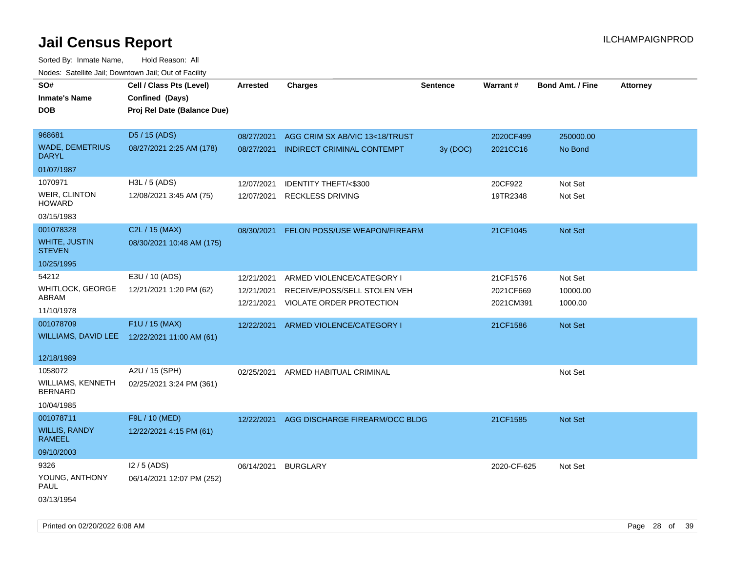| SO#<br><b>Inmate's Name</b><br><b>DOB</b>  | Cell / Class Pts (Level)<br>Confined (Days)<br>Proj Rel Date (Balance Due) | Arrested   | <b>Charges</b>                      | Sentence | <b>Warrant#</b> | <b>Bond Amt. / Fine</b> | <b>Attorney</b> |
|--------------------------------------------|----------------------------------------------------------------------------|------------|-------------------------------------|----------|-----------------|-------------------------|-----------------|
| 968681                                     | D5 / 15 (ADS)                                                              | 08/27/2021 | AGG CRIM SX AB/VIC 13<18/TRUST      |          | 2020CF499       | 250000.00               |                 |
| <b>WADE, DEMETRIUS</b><br><b>DARYL</b>     | 08/27/2021 2:25 AM (178)                                                   | 08/27/2021 | INDIRECT CRIMINAL CONTEMPT          | 3y (DOC) | 2021CC16        | No Bond                 |                 |
| 01/07/1987                                 |                                                                            |            |                                     |          |                 |                         |                 |
| 1070971                                    | H3L / 5 (ADS)                                                              | 12/07/2021 | IDENTITY THEFT/<\$300               |          | 20CF922         | Not Set                 |                 |
| WEIR, CLINTON<br><b>HOWARD</b>             | 12/08/2021 3:45 AM (75)                                                    | 12/07/2021 | <b>RECKLESS DRIVING</b>             |          | 19TR2348        | Not Set                 |                 |
| 03/15/1983                                 |                                                                            |            |                                     |          |                 |                         |                 |
| 001078328                                  | C2L / 15 (MAX)                                                             | 08/30/2021 | FELON POSS/USE WEAPON/FIREARM       |          | 21CF1045        | Not Set                 |                 |
| <b>WHITE, JUSTIN</b><br><b>STEVEN</b>      | 08/30/2021 10:48 AM (175)                                                  |            |                                     |          |                 |                         |                 |
| 10/25/1995                                 |                                                                            |            |                                     |          |                 |                         |                 |
| 54212                                      | E3U / 10 (ADS)                                                             | 12/21/2021 | ARMED VIOLENCE/CATEGORY I           |          | 21CF1576        | Not Set                 |                 |
| <b>WHITLOCK, GEORGE</b>                    | 12/21/2021 1:20 PM (62)                                                    | 12/21/2021 | RECEIVE/POSS/SELL STOLEN VEH        |          | 2021CF669       | 10000.00                |                 |
| ABRAM<br>11/10/1978                        |                                                                            |            | 12/21/2021 VIOLATE ORDER PROTECTION |          | 2021CM391       | 1000.00                 |                 |
| 001078709                                  | F1U / 15 (MAX)                                                             | 12/22/2021 | ARMED VIOLENCE/CATEGORY I           |          | 21CF1586        | <b>Not Set</b>          |                 |
|                                            | WILLIAMS, DAVID LEE 12/22/2021 11:00 AM (61)                               |            |                                     |          |                 |                         |                 |
| 12/18/1989                                 |                                                                            |            |                                     |          |                 |                         |                 |
| 1058072                                    | A2U / 15 (SPH)                                                             |            | 02/25/2021 ARMED HABITUAL CRIMINAL  |          |                 | Not Set                 |                 |
| <b>WILLIAMS, KENNETH</b><br><b>BERNARD</b> | 02/25/2021 3:24 PM (361)                                                   |            |                                     |          |                 |                         |                 |
| 10/04/1985                                 |                                                                            |            |                                     |          |                 |                         |                 |
| 001078711                                  | F9L / 10 (MED)                                                             | 12/22/2021 | AGG DISCHARGE FIREARM/OCC BLDG      |          | 21CF1585        | <b>Not Set</b>          |                 |
| <b>WILLIS, RANDY</b><br>RAMEEL             | 12/22/2021 4:15 PM (61)                                                    |            |                                     |          |                 |                         |                 |
| 09/10/2003                                 |                                                                            |            |                                     |          |                 |                         |                 |
| 9326                                       | $12/5$ (ADS)                                                               | 06/14/2021 | <b>BURGLARY</b>                     |          | 2020-CF-625     | Not Set                 |                 |
| YOUNG, ANTHONY<br>PAUL                     | 06/14/2021 12:07 PM (252)                                                  |            |                                     |          |                 |                         |                 |
| 03/13/1954                                 |                                                                            |            |                                     |          |                 |                         |                 |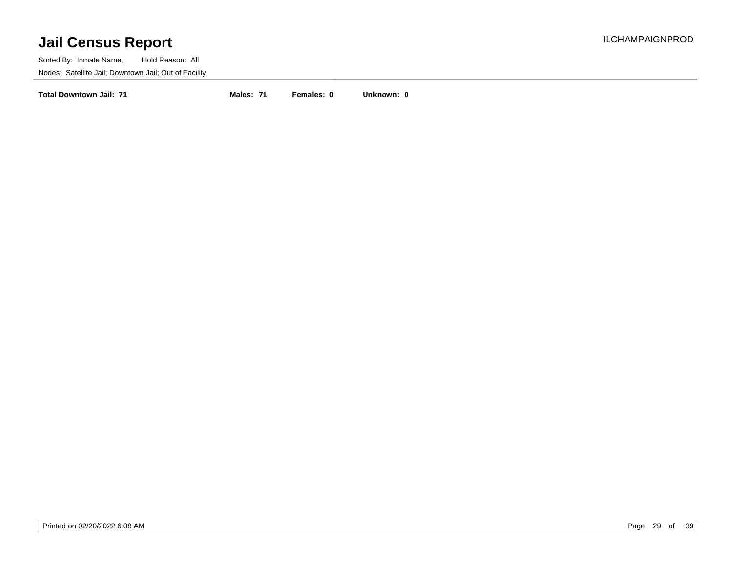Sorted By: Inmate Name, Hold Reason: All Nodes: Satellite Jail; Downtown Jail; Out of Facility

**Total Downtown Jail: 71 Males: 71 Females: 0 Unknown: 0**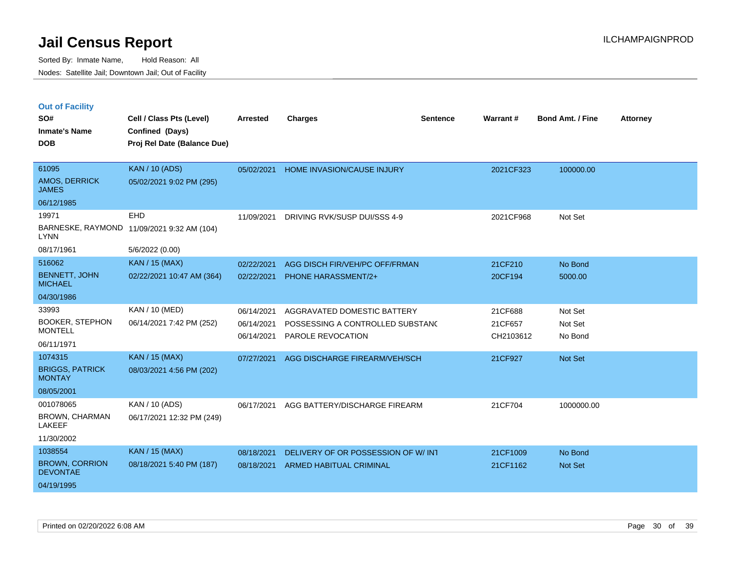| <b>Out of Facility</b>               |          |
|--------------------------------------|----------|
| SO#                                  | Cell / C |
| the comment of the Thill are a state | $\sim$   |

| SO#                                      | Cell / Class Pts (Level)                   | <b>Arrested</b> | <b>Charges</b>                     | <b>Sentence</b> | Warrant#  | <b>Bond Amt. / Fine</b> | <b>Attorney</b> |
|------------------------------------------|--------------------------------------------|-----------------|------------------------------------|-----------------|-----------|-------------------------|-----------------|
| <b>Inmate's Name</b>                     | Confined (Days)                            |                 |                                    |                 |           |                         |                 |
| <b>DOB</b>                               | Proj Rel Date (Balance Due)                |                 |                                    |                 |           |                         |                 |
|                                          |                                            |                 |                                    |                 |           |                         |                 |
| 61095                                    | <b>KAN / 10 (ADS)</b>                      | 05/02/2021      | <b>HOME INVASION/CAUSE INJURY</b>  |                 | 2021CF323 | 100000.00               |                 |
| <b>AMOS, DERRICK</b><br><b>JAMES</b>     | 05/02/2021 9:02 PM (295)                   |                 |                                    |                 |           |                         |                 |
| 06/12/1985                               |                                            |                 |                                    |                 |           |                         |                 |
| 19971                                    | EHD                                        | 11/09/2021      | DRIVING RVK/SUSP DUI/SSS 4-9       |                 | 2021CF968 | Not Set                 |                 |
| <b>LYNN</b>                              | BARNESKE, RAYMOND 11/09/2021 9:32 AM (104) |                 |                                    |                 |           |                         |                 |
| 08/17/1961                               | 5/6/2022 (0.00)                            |                 |                                    |                 |           |                         |                 |
| 516062                                   | <b>KAN / 15 (MAX)</b>                      | 02/22/2021      | AGG DISCH FIR/VEH/PC OFF/FRMAN     |                 | 21CF210   | No Bond                 |                 |
| <b>BENNETT, JOHN</b><br><b>MICHAEL</b>   | 02/22/2021 10:47 AM (364)                  | 02/22/2021      | PHONE HARASSMENT/2+                |                 | 20CF194   | 5000.00                 |                 |
| 04/30/1986                               |                                            |                 |                                    |                 |           |                         |                 |
| 33993                                    | KAN / 10 (MED)                             | 06/14/2021      | AGGRAVATED DOMESTIC BATTERY        |                 | 21CF688   | Not Set                 |                 |
| <b>BOOKER, STEPHON</b>                   | 06/14/2021 7:42 PM (252)                   | 06/14/2021      | POSSESSING A CONTROLLED SUBSTANC   |                 | 21CF657   | Not Set                 |                 |
| <b>MONTELL</b>                           |                                            | 06/14/2021      | PAROLE REVOCATION                  |                 | CH2103612 | No Bond                 |                 |
| 06/11/1971                               |                                            |                 |                                    |                 |           |                         |                 |
| 1074315                                  | KAN / 15 (MAX)                             | 07/27/2021      | AGG DISCHARGE FIREARM/VEH/SCH      |                 | 21CF927   | Not Set                 |                 |
| <b>BRIGGS, PATRICK</b><br><b>MONTAY</b>  | 08/03/2021 4:56 PM (202)                   |                 |                                    |                 |           |                         |                 |
| 08/05/2001                               |                                            |                 |                                    |                 |           |                         |                 |
| 001078065                                | KAN / 10 (ADS)                             | 06/17/2021      | AGG BATTERY/DISCHARGE FIREARM      |                 | 21CF704   | 1000000.00              |                 |
| BROWN, CHARMAN<br><b>LAKEEF</b>          | 06/17/2021 12:32 PM (249)                  |                 |                                    |                 |           |                         |                 |
| 11/30/2002                               |                                            |                 |                                    |                 |           |                         |                 |
| 1038554                                  | <b>KAN / 15 (MAX)</b>                      | 08/18/2021      | DELIVERY OF OR POSSESSION OF W/INT |                 | 21CF1009  | No Bond                 |                 |
| <b>BROWN, CORRION</b><br><b>DEVONTAE</b> | 08/18/2021 5:40 PM (187)                   | 08/18/2021      | <b>ARMED HABITUAL CRIMINAL</b>     |                 | 21CF1162  | <b>Not Set</b>          |                 |
| 04/19/1995                               |                                            |                 |                                    |                 |           |                         |                 |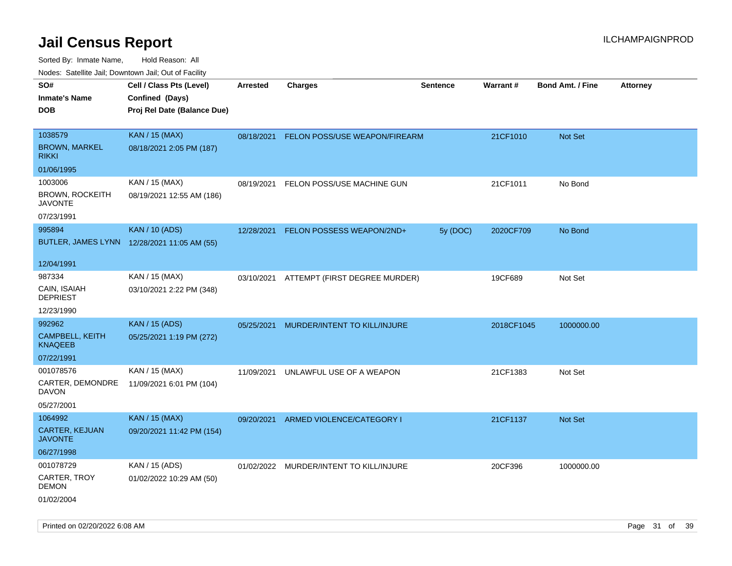| Nudes. Satellite Jali, Downtown Jali, Out of Facility |                                             |            |                                         |                 |                 |                         |                 |
|-------------------------------------------------------|---------------------------------------------|------------|-----------------------------------------|-----------------|-----------------|-------------------------|-----------------|
| SO#                                                   | Cell / Class Pts (Level)                    | Arrested   | <b>Charges</b>                          | <b>Sentence</b> | <b>Warrant#</b> | <b>Bond Amt. / Fine</b> | <b>Attorney</b> |
| <b>Inmate's Name</b>                                  | Confined (Days)                             |            |                                         |                 |                 |                         |                 |
| DOB                                                   | Proj Rel Date (Balance Due)                 |            |                                         |                 |                 |                         |                 |
|                                                       |                                             |            |                                         |                 |                 |                         |                 |
| 1038579                                               | <b>KAN / 15 (MAX)</b>                       | 08/18/2021 | FELON POSS/USE WEAPON/FIREARM           |                 | 21CF1010        | Not Set                 |                 |
| <b>BROWN, MARKEL</b><br>rikki                         | 08/18/2021 2:05 PM (187)                    |            |                                         |                 |                 |                         |                 |
| 01/06/1995                                            |                                             |            |                                         |                 |                 |                         |                 |
| 1003006                                               | KAN / 15 (MAX)                              | 08/19/2021 | FELON POSS/USE MACHINE GUN              |                 | 21CF1011        | No Bond                 |                 |
| <b>BROWN, ROCKEITH</b><br>JAVONTE                     | 08/19/2021 12:55 AM (186)                   |            |                                         |                 |                 |                         |                 |
| 07/23/1991                                            |                                             |            |                                         |                 |                 |                         |                 |
| 995894                                                | <b>KAN / 10 (ADS)</b>                       | 12/28/2021 | FELON POSSESS WEAPON/2ND+               | 5y (DOC)        | 2020CF709       | No Bond                 |                 |
|                                                       | BUTLER, JAMES LYNN 12/28/2021 11:05 AM (55) |            |                                         |                 |                 |                         |                 |
| 12/04/1991                                            |                                             |            |                                         |                 |                 |                         |                 |
| 987334                                                | KAN / 15 (MAX)                              | 03/10/2021 | ATTEMPT (FIRST DEGREE MURDER)           |                 | 19CF689         | Not Set                 |                 |
| CAIN, ISAIAH<br>DEPRIEST                              | 03/10/2021 2:22 PM (348)                    |            |                                         |                 |                 |                         |                 |
| 12/23/1990                                            |                                             |            |                                         |                 |                 |                         |                 |
| 992962                                                | <b>KAN / 15 (ADS)</b>                       | 05/25/2021 | MURDER/INTENT TO KILL/INJURE            |                 | 2018CF1045      | 1000000.00              |                 |
| <b>CAMPBELL, KEITH</b><br><b>KNAQEEB</b>              | 05/25/2021 1:19 PM (272)                    |            |                                         |                 |                 |                         |                 |
| 07/22/1991                                            |                                             |            |                                         |                 |                 |                         |                 |
| 001078576                                             | KAN / 15 (MAX)                              | 11/09/2021 | UNLAWFUL USE OF A WEAPON                |                 | 21CF1383        | Not Set                 |                 |
| CARTER, DEMONDRE<br>DAVON                             | 11/09/2021 6:01 PM (104)                    |            |                                         |                 |                 |                         |                 |
| 05/27/2001                                            |                                             |            |                                         |                 |                 |                         |                 |
| 1064992                                               | <b>KAN / 15 (MAX)</b>                       | 09/20/2021 | ARMED VIOLENCE/CATEGORY I               |                 | 21CF1137        | <b>Not Set</b>          |                 |
| CARTER, KEJUAN<br>JAVONTE                             | 09/20/2021 11:42 PM (154)                   |            |                                         |                 |                 |                         |                 |
| 06/27/1998                                            |                                             |            |                                         |                 |                 |                         |                 |
| 001078729                                             | KAN / 15 (ADS)                              |            | 01/02/2022 MURDER/INTENT TO KILL/INJURE |                 | 20CF396         | 1000000.00              |                 |
| CARTER, TROY<br>DEMON                                 | 01/02/2022 10:29 AM (50)                    |            |                                         |                 |                 |                         |                 |
| 01/02/2004                                            |                                             |            |                                         |                 |                 |                         |                 |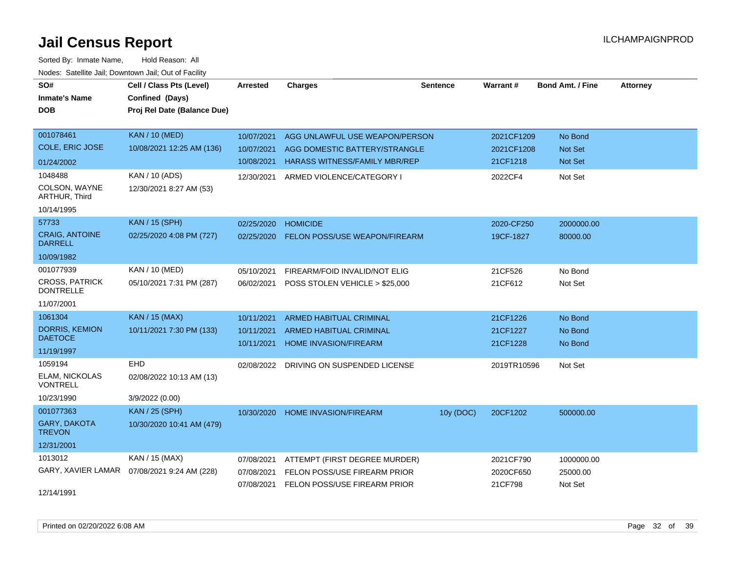| SO#                                       | Cell / Class Pts (Level)    | <b>Arrested</b> | <b>Charges</b>                          | <b>Sentence</b> | Warrant#    | <b>Bond Amt. / Fine</b> | <b>Attorney</b> |
|-------------------------------------------|-----------------------------|-----------------|-----------------------------------------|-----------------|-------------|-------------------------|-----------------|
| <b>Inmate's Name</b>                      | Confined (Days)             |                 |                                         |                 |             |                         |                 |
| <b>DOB</b>                                | Proj Rel Date (Balance Due) |                 |                                         |                 |             |                         |                 |
|                                           |                             |                 |                                         |                 |             |                         |                 |
| 001078461                                 | <b>KAN / 10 (MED)</b>       | 10/07/2021      | AGG UNLAWFUL USE WEAPON/PERSON          |                 | 2021CF1209  | No Bond                 |                 |
| <b>COLE, ERIC JOSE</b>                    | 10/08/2021 12:25 AM (136)   | 10/07/2021      | AGG DOMESTIC BATTERY/STRANGLE           |                 | 2021CF1208  | <b>Not Set</b>          |                 |
| 01/24/2002                                |                             | 10/08/2021      | <b>HARASS WITNESS/FAMILY MBR/REP</b>    |                 | 21CF1218    | Not Set                 |                 |
| 1048488                                   | KAN / 10 (ADS)              | 12/30/2021      | ARMED VIOLENCE/CATEGORY I               |                 | 2022CF4     | Not Set                 |                 |
| COLSON, WAYNE<br>ARTHUR, Third            | 12/30/2021 8:27 AM (53)     |                 |                                         |                 |             |                         |                 |
| 10/14/1995                                |                             |                 |                                         |                 |             |                         |                 |
| 57733                                     | <b>KAN / 15 (SPH)</b>       | 02/25/2020      | <b>HOMICIDE</b>                         |                 | 2020-CF250  | 2000000.00              |                 |
| <b>CRAIG, ANTOINE</b><br><b>DARRELL</b>   | 02/25/2020 4:08 PM (727)    | 02/25/2020      | <b>FELON POSS/USE WEAPON/FIREARM</b>    |                 | 19CF-1827   | 80000.00                |                 |
| 10/09/1982                                |                             |                 |                                         |                 |             |                         |                 |
| 001077939                                 | KAN / 10 (MED)              | 05/10/2021      | FIREARM/FOID INVALID/NOT ELIG           |                 | 21CF526     | No Bond                 |                 |
| <b>CROSS, PATRICK</b><br><b>DONTRELLE</b> | 05/10/2021 7:31 PM (287)    | 06/02/2021      | POSS STOLEN VEHICLE > \$25,000          |                 | 21CF612     | Not Set                 |                 |
| 11/07/2001                                |                             |                 |                                         |                 |             |                         |                 |
| 1061304                                   | <b>KAN / 15 (MAX)</b>       | 10/11/2021      | <b>ARMED HABITUAL CRIMINAL</b>          |                 | 21CF1226    | No Bond                 |                 |
| <b>DORRIS, KEMION</b>                     | 10/11/2021 7:30 PM (133)    | 10/11/2021      | <b>ARMED HABITUAL CRIMINAL</b>          |                 | 21CF1227    | No Bond                 |                 |
| <b>DAETOCE</b>                            |                             | 10/11/2021      | <b>HOME INVASION/FIREARM</b>            |                 | 21CF1228    | No Bond                 |                 |
| 11/19/1997                                |                             |                 |                                         |                 |             |                         |                 |
| 1059194                                   | EHD                         |                 | 02/08/2022 DRIVING ON SUSPENDED LICENSE |                 | 2019TR10596 | Not Set                 |                 |
| ELAM, NICKOLAS<br><b>VONTRELL</b>         | 02/08/2022 10:13 AM (13)    |                 |                                         |                 |             |                         |                 |
| 10/23/1990                                | 3/9/2022 (0.00)             |                 |                                         |                 |             |                         |                 |
| 001077363                                 | <b>KAN / 25 (SPH)</b>       | 10/30/2020      | HOME INVASION/FIREARM                   | 10y (DOC)       | 20CF1202    | 500000.00               |                 |
| <b>GARY, DAKOTA</b><br><b>TREVON</b>      | 10/30/2020 10:41 AM (479)   |                 |                                         |                 |             |                         |                 |
| 12/31/2001                                |                             |                 |                                         |                 |             |                         |                 |
| 1013012                                   | KAN / 15 (MAX)              | 07/08/2021      | ATTEMPT (FIRST DEGREE MURDER)           |                 | 2021CF790   | 1000000.00              |                 |
| GARY, XAVIER LAMAR                        | 07/08/2021 9:24 AM (228)    | 07/08/2021      | FELON POSS/USE FIREARM PRIOR            |                 | 2020CF650   | 25000.00                |                 |
| 12/14/1991                                |                             |                 | 07/08/2021 FELON POSS/USE FIREARM PRIOR |                 | 21CF798     | Not Set                 |                 |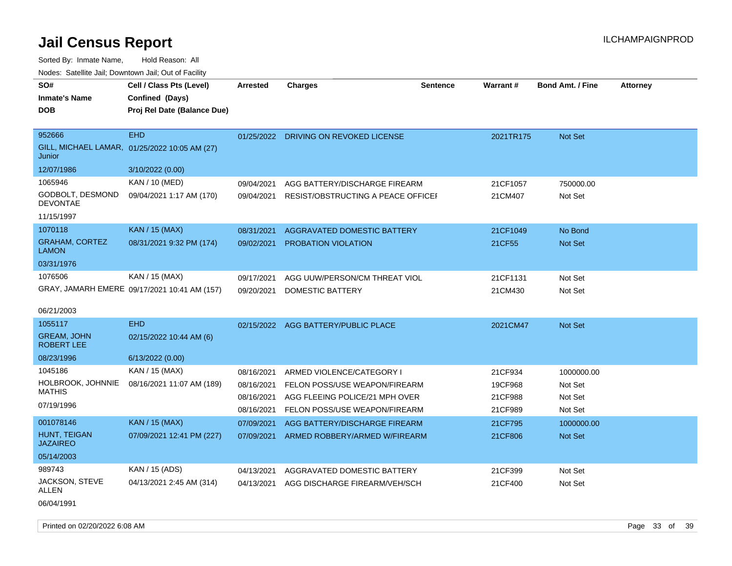| SO#<br><b>Inmate's Name</b><br><b>DOB</b> | Cell / Class Pts (Level)<br>Confined (Days)<br>Proj Rel Date (Balance Due) | <b>Arrested</b> | <b>Charges</b>                      | <b>Sentence</b> | <b>Warrant#</b> | <b>Bond Amt. / Fine</b> | <b>Attorney</b> |
|-------------------------------------------|----------------------------------------------------------------------------|-----------------|-------------------------------------|-----------------|-----------------|-------------------------|-----------------|
| 952666<br>Junior                          | <b>EHD</b><br>GILL, MICHAEL LAMAR, 01/25/2022 10:05 AM (27)                | 01/25/2022      | DRIVING ON REVOKED LICENSE          |                 | 2021TR175       | Not Set                 |                 |
| 12/07/1986                                | 3/10/2022 (0.00)                                                           |                 |                                     |                 |                 |                         |                 |
| 1065946                                   | KAN / 10 (MED)                                                             | 09/04/2021      | AGG BATTERY/DISCHARGE FIREARM       |                 | 21CF1057        | 750000.00               |                 |
| GODBOLT, DESMOND<br><b>DEVONTAE</b>       | 09/04/2021 1:17 AM (170)                                                   | 09/04/2021      | RESIST/OBSTRUCTING A PEACE OFFICEI  |                 | 21CM407         | Not Set                 |                 |
| 11/15/1997                                |                                                                            |                 |                                     |                 |                 |                         |                 |
| 1070118                                   | <b>KAN / 15 (MAX)</b>                                                      | 08/31/2021      | AGGRAVATED DOMESTIC BATTERY         |                 | 21CF1049        | No Bond                 |                 |
| <b>GRAHAM, CORTEZ</b><br><b>LAMON</b>     | 08/31/2021 9:32 PM (174)                                                   | 09/02/2021      | PROBATION VIOLATION                 |                 | 21CF55          | Not Set                 |                 |
| 03/31/1976                                |                                                                            |                 |                                     |                 |                 |                         |                 |
| 1076506                                   | KAN / 15 (MAX)                                                             | 09/17/2021      | AGG UUW/PERSON/CM THREAT VIOL       |                 | 21CF1131        | Not Set                 |                 |
|                                           | GRAY, JAMARH EMERE 09/17/2021 10:41 AM (157)                               | 09/20/2021      | DOMESTIC BATTERY                    |                 | 21CM430         | Not Set                 |                 |
| 06/21/2003                                |                                                                            |                 |                                     |                 |                 |                         |                 |
| 1055117                                   | <b>EHD</b>                                                                 |                 | 02/15/2022 AGG BATTERY/PUBLIC PLACE |                 | 2021CM47        | <b>Not Set</b>          |                 |
| <b>GREAM, JOHN</b><br><b>ROBERT LEE</b>   | 02/15/2022 10:44 AM (6)                                                    |                 |                                     |                 |                 |                         |                 |
| 08/23/1996                                | 6/13/2022 (0.00)                                                           |                 |                                     |                 |                 |                         |                 |
| 1045186                                   | KAN / 15 (MAX)                                                             | 08/16/2021      | ARMED VIOLENCE/CATEGORY I           |                 | 21CF934         | 1000000.00              |                 |
| HOLBROOK, JOHNNIE                         | 08/16/2021 11:07 AM (189)                                                  | 08/16/2021      | FELON POSS/USE WEAPON/FIREARM       |                 | 19CF968         | Not Set                 |                 |
| <b>MATHIS</b>                             |                                                                            | 08/16/2021      | AGG FLEEING POLICE/21 MPH OVER      |                 | 21CF988         | Not Set                 |                 |
| 07/19/1996                                |                                                                            | 08/16/2021      | FELON POSS/USE WEAPON/FIREARM       |                 | 21CF989         | Not Set                 |                 |
| 001078146                                 | <b>KAN / 15 (MAX)</b>                                                      | 07/09/2021      | AGG BATTERY/DISCHARGE FIREARM       |                 | 21CF795         | 1000000.00              |                 |
| HUNT, TEIGAN<br><b>JAZAIREO</b>           | 07/09/2021 12:41 PM (227)                                                  | 07/09/2021      | ARMED ROBBERY/ARMED W/FIREARM       |                 | 21CF806         | Not Set                 |                 |
| 05/14/2003                                |                                                                            |                 |                                     |                 |                 |                         |                 |
| 989743                                    | KAN / 15 (ADS)                                                             | 04/13/2021      | AGGRAVATED DOMESTIC BATTERY         |                 | 21CF399         | Not Set                 |                 |
| JACKSON, STEVE<br>ALLEN                   | 04/13/2021 2:45 AM (314)                                                   | 04/13/2021      | AGG DISCHARGE FIREARM/VEH/SCH       |                 | 21CF400         | Not Set                 |                 |
| 06/04/1991                                |                                                                            |                 |                                     |                 |                 |                         |                 |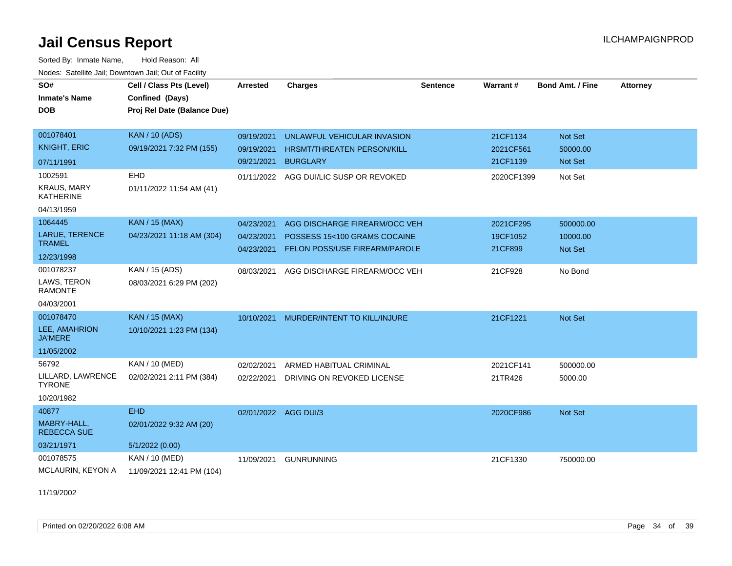Sorted By: Inmate Name, Hold Reason: All Nodes: Satellite Jail; Downtown Jail; Out of Facility

| SO#<br><b>Inmate's Name</b>            | Cell / Class Pts (Level)<br>Confined (Days) | <b>Arrested</b> | <b>Charges</b>                    | <b>Sentence</b> | Warrant#   | <b>Bond Amt. / Fine</b> | <b>Attorney</b> |
|----------------------------------------|---------------------------------------------|-----------------|-----------------------------------|-----------------|------------|-------------------------|-----------------|
| <b>DOB</b>                             | Proj Rel Date (Balance Due)                 |                 |                                   |                 |            |                         |                 |
| 001078401                              | <b>KAN / 10 (ADS)</b>                       | 09/19/2021      | UNLAWFUL VEHICULAR INVASION       |                 | 21CF1134   | Not Set                 |                 |
| <b>KNIGHT, ERIC</b>                    | 09/19/2021 7:32 PM (155)                    | 09/19/2021      | <b>HRSMT/THREATEN PERSON/KILL</b> |                 | 2021CF561  | 50000.00                |                 |
| 07/11/1991                             |                                             | 09/21/2021      | <b>BURGLARY</b>                   |                 | 21CF1139   | Not Set                 |                 |
| 1002591                                | EHD                                         | 01/11/2022      | AGG DUI/LIC SUSP OR REVOKED       |                 | 2020CF1399 | Not Set                 |                 |
| <b>KRAUS, MARY</b><br><b>KATHERINE</b> | 01/11/2022 11:54 AM (41)                    |                 |                                   |                 |            |                         |                 |
| 04/13/1959                             |                                             |                 |                                   |                 |            |                         |                 |
| 1064445                                | <b>KAN / 15 (MAX)</b>                       | 04/23/2021      | AGG DISCHARGE FIREARM/OCC VEH     |                 | 2021CF295  | 500000.00               |                 |
| LARUE, TERENCE<br><b>TRAMEL</b>        | 04/23/2021 11:18 AM (304)                   | 04/23/2021      | POSSESS 15<100 GRAMS COCAINE      |                 | 19CF1052   | 10000.00                |                 |
| 12/23/1998                             |                                             | 04/23/2021      | FELON POSS/USE FIREARM/PAROLE     |                 | 21CF899    | <b>Not Set</b>          |                 |
| 001078237                              | KAN / 15 (ADS)                              | 08/03/2021      | AGG DISCHARGE FIREARM/OCC VEH     |                 | 21CF928    | No Bond                 |                 |
| LAWS, TERON<br><b>RAMONTE</b>          | 08/03/2021 6:29 PM (202)                    |                 |                                   |                 |            |                         |                 |
| 04/03/2001                             |                                             |                 |                                   |                 |            |                         |                 |
| 001078470                              | <b>KAN / 15 (MAX)</b>                       | 10/10/2021      | MURDER/INTENT TO KILL/INJURE      |                 | 21CF1221   | Not Set                 |                 |
| LEE, AMAHRION<br><b>JA'MERE</b>        | 10/10/2021 1:23 PM (134)                    |                 |                                   |                 |            |                         |                 |
| 11/05/2002                             |                                             |                 |                                   |                 |            |                         |                 |
| 56792                                  | KAN / 10 (MED)                              | 02/02/2021      | ARMED HABITUAL CRIMINAL           |                 | 2021CF141  | 500000.00               |                 |
| LILLARD, LAWRENCE<br><b>TYRONE</b>     | 02/02/2021 2:11 PM (384)                    | 02/22/2021      | DRIVING ON REVOKED LICENSE        |                 | 21TR426    | 5000.00                 |                 |
| 10/20/1982                             |                                             |                 |                                   |                 |            |                         |                 |
| 40877                                  | <b>EHD</b>                                  |                 | 02/01/2022 AGG DUI/3              |                 | 2020CF986  | Not Set                 |                 |
| MABRY-HALL,<br><b>REBECCA SUE</b>      | 02/01/2022 9:32 AM (20)                     |                 |                                   |                 |            |                         |                 |
| 03/21/1971                             | 5/1/2022(0.00)                              |                 |                                   |                 |            |                         |                 |
| 001078575                              | KAN / 10 (MED)                              | 11/09/2021      | <b>GUNRUNNING</b>                 |                 | 21CF1330   | 750000.00               |                 |
| MCLAURIN, KEYON A                      | 11/09/2021 12:41 PM (104)                   |                 |                                   |                 |            |                         |                 |

11/19/2002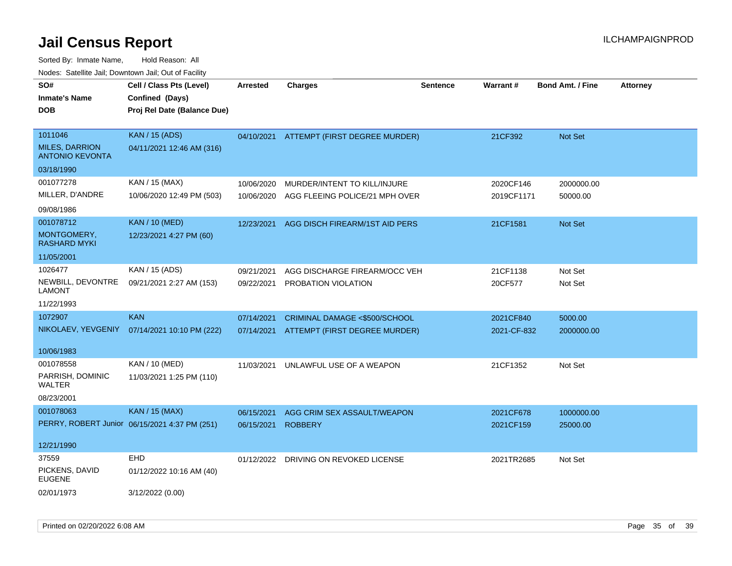| SO#<br><b>Inmate's Name</b><br><b>DOB</b> | Cell / Class Pts (Level)<br>Confined (Days)<br>Proj Rel Date (Balance Due) | <b>Arrested</b> | <b>Charges</b>                 | <b>Sentence</b> | Warrant#    | <b>Bond Amt. / Fine</b> | <b>Attorney</b> |
|-------------------------------------------|----------------------------------------------------------------------------|-----------------|--------------------------------|-----------------|-------------|-------------------------|-----------------|
| 1011046<br><b>MILES, DARRION</b>          | <b>KAN / 15 (ADS)</b><br>04/11/2021 12:46 AM (316)                         | 04/10/2021      | ATTEMPT (FIRST DEGREE MURDER)  |                 | 21CF392     | <b>Not Set</b>          |                 |
| <b>ANTONIO KEVONTA</b>                    |                                                                            |                 |                                |                 |             |                         |                 |
| 03/18/1990                                |                                                                            |                 |                                |                 |             |                         |                 |
| 001077278                                 | KAN / 15 (MAX)                                                             | 10/06/2020      | MURDER/INTENT TO KILL/INJURE   |                 | 2020CF146   | 2000000.00              |                 |
| MILLER, D'ANDRE                           | 10/06/2020 12:49 PM (503)                                                  | 10/06/2020      | AGG FLEEING POLICE/21 MPH OVER |                 | 2019CF1171  | 50000.00                |                 |
| 09/08/1986                                |                                                                            |                 |                                |                 |             |                         |                 |
| 001078712                                 | <b>KAN / 10 (MED)</b>                                                      | 12/23/2021      | AGG DISCH FIREARM/1ST AID PERS |                 | 21CF1581    | Not Set                 |                 |
| MONTGOMERY,<br><b>RASHARD MYKI</b>        | 12/23/2021 4:27 PM (60)                                                    |                 |                                |                 |             |                         |                 |
| 11/05/2001                                |                                                                            |                 |                                |                 |             |                         |                 |
| 1026477                                   | KAN / 15 (ADS)                                                             | 09/21/2021      | AGG DISCHARGE FIREARM/OCC VEH  |                 | 21CF1138    | Not Set                 |                 |
| NEWBILL, DEVONTRE<br><b>LAMONT</b>        | 09/21/2021 2:27 AM (153)                                                   | 09/22/2021      | PROBATION VIOLATION            |                 | 20CF577     | Not Set                 |                 |
| 11/22/1993                                |                                                                            |                 |                                |                 |             |                         |                 |
| 1072907                                   | <b>KAN</b>                                                                 | 07/14/2021      | CRIMINAL DAMAGE <\$500/SCHOOL  |                 | 2021CF840   | 5000.00                 |                 |
| NIKOLAEV, YEVGENIY                        | 07/14/2021 10:10 PM (222)                                                  | 07/14/2021      | ATTEMPT (FIRST DEGREE MURDER)  |                 | 2021-CF-832 | 2000000.00              |                 |
| 10/06/1983                                |                                                                            |                 |                                |                 |             |                         |                 |
| 001078558                                 | KAN / 10 (MED)                                                             | 11/03/2021      | UNLAWFUL USE OF A WEAPON       |                 | 21CF1352    | Not Set                 |                 |
| PARRISH, DOMINIC<br>WALTER                | 11/03/2021 1:25 PM (110)                                                   |                 |                                |                 |             |                         |                 |
| 08/23/2001                                |                                                                            |                 |                                |                 |             |                         |                 |
| 001078063                                 | <b>KAN / 15 (MAX)</b>                                                      | 06/15/2021      | AGG CRIM SEX ASSAULT/WEAPON    |                 | 2021CF678   | 1000000.00              |                 |
|                                           | PERRY, ROBERT Junior 06/15/2021 4:37 PM (251)                              | 06/15/2021      | <b>ROBBERY</b>                 |                 | 2021CF159   | 25000.00                |                 |
| 12/21/1990                                |                                                                            |                 |                                |                 |             |                         |                 |
| 37559                                     | <b>EHD</b>                                                                 | 01/12/2022      | DRIVING ON REVOKED LICENSE     |                 | 2021TR2685  | Not Set                 |                 |
| PICKENS, DAVID<br><b>EUGENE</b>           | 01/12/2022 10:16 AM (40)                                                   |                 |                                |                 |             |                         |                 |
| 02/01/1973                                | 3/12/2022 (0.00)                                                           |                 |                                |                 |             |                         |                 |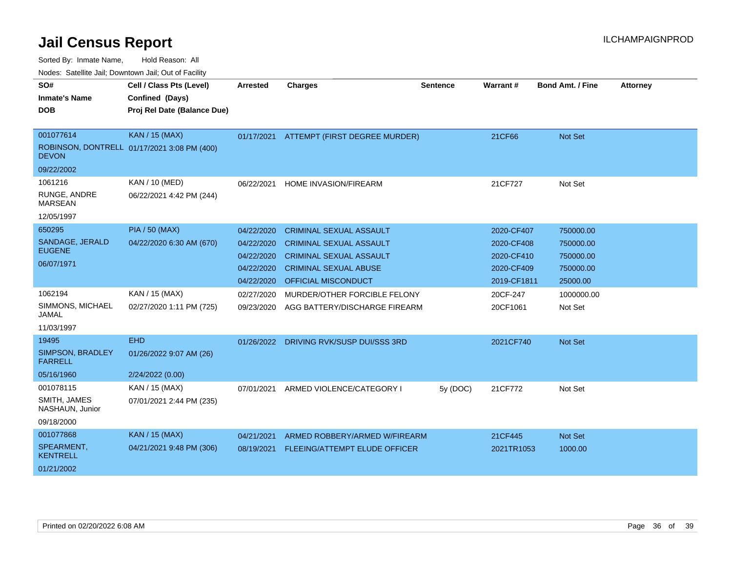| vodos. Catolino can, Downtown can, Out of Fability |            |                                |                                                                                                                                                                                                                             |                                                                                                                                                                  |                         |                           |
|----------------------------------------------------|------------|--------------------------------|-----------------------------------------------------------------------------------------------------------------------------------------------------------------------------------------------------------------------------|------------------------------------------------------------------------------------------------------------------------------------------------------------------|-------------------------|---------------------------|
| Cell / Class Pts (Level)                           | Arrested   | <b>Charges</b>                 | <b>Sentence</b>                                                                                                                                                                                                             |                                                                                                                                                                  | <b>Bond Amt. / Fine</b> | <b>Attorney</b>           |
| Confined (Days)                                    |            |                                |                                                                                                                                                                                                                             |                                                                                                                                                                  |                         |                           |
| Proj Rel Date (Balance Due)                        |            |                                |                                                                                                                                                                                                                             |                                                                                                                                                                  |                         |                           |
|                                                    |            |                                |                                                                                                                                                                                                                             |                                                                                                                                                                  |                         |                           |
| <b>KAN / 15 (MAX)</b>                              | 01/17/2021 |                                |                                                                                                                                                                                                                             | 21CF66                                                                                                                                                           | <b>Not Set</b>          |                           |
| ROBINSON, DONTRELL 01/17/2021 3:08 PM (400)        |            |                                |                                                                                                                                                                                                                             |                                                                                                                                                                  |                         |                           |
|                                                    |            |                                |                                                                                                                                                                                                                             |                                                                                                                                                                  |                         |                           |
| <b>KAN / 10 (MED)</b>                              | 06/22/2021 |                                |                                                                                                                                                                                                                             | 21CF727                                                                                                                                                          | Not Set                 |                           |
| 06/22/2021 4:42 PM (244)                           |            |                                |                                                                                                                                                                                                                             |                                                                                                                                                                  |                         |                           |
|                                                    |            |                                |                                                                                                                                                                                                                             |                                                                                                                                                                  |                         |                           |
| <b>PIA / 50 (MAX)</b>                              | 04/22/2020 |                                |                                                                                                                                                                                                                             | 2020-CF407                                                                                                                                                       | 750000.00               |                           |
| 04/22/2020 6:30 AM (670)                           | 04/22/2020 | <b>CRIMINAL SEXUAL ASSAULT</b> |                                                                                                                                                                                                                             | 2020-CF408                                                                                                                                                       | 750000.00               |                           |
|                                                    | 04/22/2020 |                                |                                                                                                                                                                                                                             | 2020-CF410                                                                                                                                                       | 750000.00               |                           |
|                                                    | 04/22/2020 |                                |                                                                                                                                                                                                                             | 2020-CF409                                                                                                                                                       | 750000.00               |                           |
|                                                    | 04/22/2020 |                                |                                                                                                                                                                                                                             |                                                                                                                                                                  | 25000.00                |                           |
| KAN / 15 (MAX)                                     | 02/27/2020 |                                |                                                                                                                                                                                                                             | 20CF-247                                                                                                                                                         | 1000000.00              |                           |
| 02/27/2020 1:11 PM (725)                           | 09/23/2020 |                                |                                                                                                                                                                                                                             | 20CF1061                                                                                                                                                         | Not Set                 |                           |
|                                                    |            |                                |                                                                                                                                                                                                                             |                                                                                                                                                                  |                         |                           |
| <b>EHD</b>                                         | 01/26/2022 |                                |                                                                                                                                                                                                                             | 2021CF740                                                                                                                                                        | <b>Not Set</b>          |                           |
| 01/26/2022 9:07 AM (26)                            |            |                                |                                                                                                                                                                                                                             |                                                                                                                                                                  |                         |                           |
| 2/24/2022 (0.00)                                   |            |                                |                                                                                                                                                                                                                             |                                                                                                                                                                  |                         |                           |
| KAN / 15 (MAX)                                     | 07/01/2021 |                                | 5y(DOC)                                                                                                                                                                                                                     | 21CF772                                                                                                                                                          | Not Set                 |                           |
| 07/01/2021 2:44 PM (235)                           |            |                                |                                                                                                                                                                                                                             |                                                                                                                                                                  |                         |                           |
|                                                    |            |                                |                                                                                                                                                                                                                             |                                                                                                                                                                  |                         |                           |
| KAN / 15 (MAX)                                     | 04/21/2021 |                                |                                                                                                                                                                                                                             | 21CF445                                                                                                                                                          | <b>Not Set</b>          |                           |
| 04/21/2021 9:48 PM (306)                           | 08/19/2021 |                                |                                                                                                                                                                                                                             |                                                                                                                                                                  | 1000.00                 |                           |
|                                                    |            |                                |                                                                                                                                                                                                                             |                                                                                                                                                                  |                         |                           |
|                                                    |            |                                | <b>HOME INVASION/FIREARM</b><br><b>CRIMINAL SEXUAL ASSAULT</b><br><b>CRIMINAL SEXUAL ASSAULT</b><br><b>CRIMINAL SEXUAL ABUSE</b><br><b>OFFICIAL MISCONDUCT</b><br>DRIVING RVK/SUSP DUI/SSS 3RD<br>ARMED VIOLENCE/CATEGORY I | ATTEMPT (FIRST DEGREE MURDER)<br>MURDER/OTHER FORCIBLE FELONY<br>AGG BATTERY/DISCHARGE FIREARM<br>ARMED ROBBERY/ARMED W/FIREARM<br>FLEEING/ATTEMPT ELUDE OFFICER | Warrant#                | 2019-CF1811<br>2021TR1053 |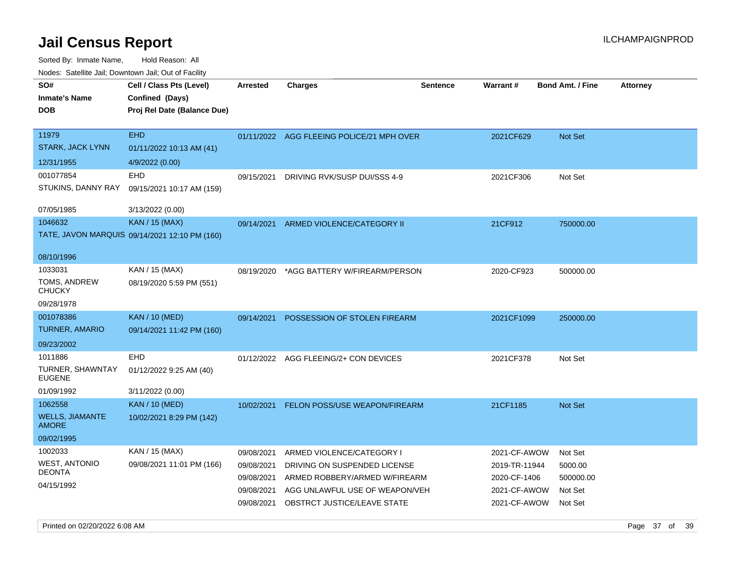| indues. Satellite Jali, Downtown Jali, Out of Facility |                                               |                 |                                           |                 |                 |                         |                 |
|--------------------------------------------------------|-----------------------------------------------|-----------------|-------------------------------------------|-----------------|-----------------|-------------------------|-----------------|
| SO#                                                    | Cell / Class Pts (Level)                      | <b>Arrested</b> | Charges                                   | <b>Sentence</b> | <b>Warrant#</b> | <b>Bond Amt. / Fine</b> | <b>Attorney</b> |
| <b>Inmate's Name</b>                                   | Confined (Days)                               |                 |                                           |                 |                 |                         |                 |
| DOB                                                    | Proj Rel Date (Balance Due)                   |                 |                                           |                 |                 |                         |                 |
|                                                        |                                               |                 |                                           |                 |                 |                         |                 |
| 11979                                                  | <b>EHD</b>                                    |                 | 01/11/2022 AGG FLEEING POLICE/21 MPH OVER |                 | 2021CF629       | Not Set                 |                 |
| STARK, JACK LYNN                                       | 01/11/2022 10:13 AM (41)                      |                 |                                           |                 |                 |                         |                 |
| 12/31/1955                                             | 4/9/2022 (0.00)                               |                 |                                           |                 |                 |                         |                 |
| 001077854                                              | EHD                                           | 09/15/2021      | DRIVING RVK/SUSP DUI/SSS 4-9              |                 | 2021CF306       | Not Set                 |                 |
| STUKINS, DANNY RAY                                     | 09/15/2021 10:17 AM (159)                     |                 |                                           |                 |                 |                         |                 |
|                                                        |                                               |                 |                                           |                 |                 |                         |                 |
| 07/05/1985                                             | 3/13/2022 (0.00)                              |                 |                                           |                 |                 |                         |                 |
| 1046632                                                | <b>KAN / 15 (MAX)</b>                         | 09/14/2021      | ARMED VIOLENCE/CATEGORY II                |                 | 21CF912         | 750000.00               |                 |
|                                                        | TATE, JAVON MARQUIS 09/14/2021 12:10 PM (160) |                 |                                           |                 |                 |                         |                 |
| 08/10/1996                                             |                                               |                 |                                           |                 |                 |                         |                 |
| 1033031                                                | KAN / 15 (MAX)                                | 08/19/2020      | *AGG BATTERY W/FIREARM/PERSON             |                 | 2020-CF923      | 500000.00               |                 |
| TOMS, ANDREW<br>CHUCKY                                 | 08/19/2020 5:59 PM (551)                      |                 |                                           |                 |                 |                         |                 |
| 09/28/1978                                             |                                               |                 |                                           |                 |                 |                         |                 |
| 001078386                                              | <b>KAN / 10 (MED)</b>                         | 09/14/2021      | POSSESSION OF STOLEN FIREARM              |                 | 2021CF1099      | 250000.00               |                 |
| TURNER, AMARIO                                         | 09/14/2021 11:42 PM (160)                     |                 |                                           |                 |                 |                         |                 |
| 09/23/2002                                             |                                               |                 |                                           |                 |                 |                         |                 |
| 1011886                                                | <b>EHD</b>                                    |                 | 01/12/2022 AGG FLEEING/2+ CON DEVICES     |                 | 2021CF378       | Not Set                 |                 |
| TURNER, SHAWNTAY<br>EUGENE                             | 01/12/2022 9:25 AM (40)                       |                 |                                           |                 |                 |                         |                 |
| 01/09/1992                                             | 3/11/2022 (0.00)                              |                 |                                           |                 |                 |                         |                 |
| 1062558                                                | <b>KAN / 10 (MED)</b>                         | 10/02/2021      | <b>FELON POSS/USE WEAPON/FIREARM</b>      |                 | 21CF1185        | Not Set                 |                 |
| <b>WELLS, JIAMANTE</b><br>AMORE                        | 10/02/2021 8:29 PM (142)                      |                 |                                           |                 |                 |                         |                 |
| 09/02/1995                                             |                                               |                 |                                           |                 |                 |                         |                 |
| 1002033                                                | KAN / 15 (MAX)                                | 09/08/2021      | ARMED VIOLENCE/CATEGORY I                 |                 | 2021-CF-AWOW    | Not Set                 |                 |
| WEST, ANTONIO                                          | 09/08/2021 11:01 PM (166)                     | 09/08/2021      | DRIVING ON SUSPENDED LICENSE              |                 | 2019-TR-11944   | 5000.00                 |                 |
| DEONTA                                                 |                                               | 09/08/2021      | ARMED ROBBERY/ARMED W/FIREARM             |                 | 2020-CF-1406    | 500000.00               |                 |
| 04/15/1992                                             |                                               | 09/08/2021      | AGG UNLAWFUL USE OF WEAPON/VEH            |                 | 2021-CF-AWOW    | Not Set                 |                 |
|                                                        |                                               |                 | 09/08/2021 OBSTRCT JUSTICE/LEAVE STATE    |                 | 2021-CF-AWOW    | Not Set                 |                 |
|                                                        |                                               |                 |                                           |                 |                 |                         |                 |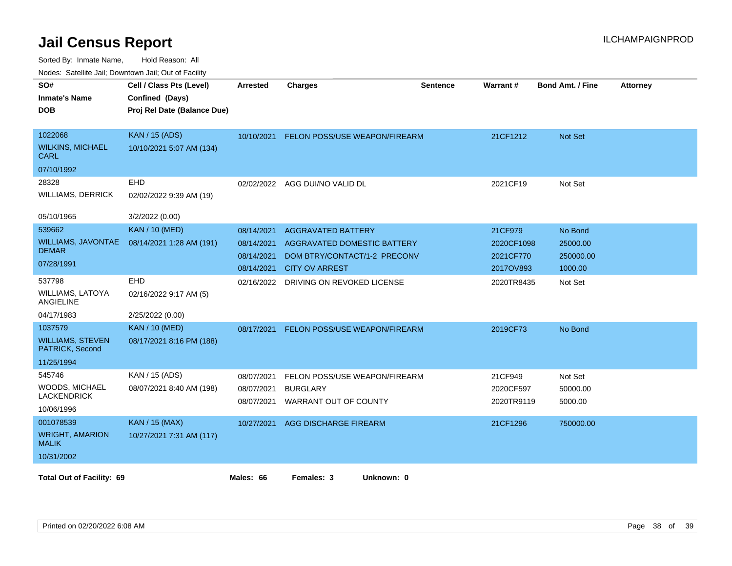| SO#<br><b>Inmate's Name</b><br><b>DOB</b>                           | Cell / Class Pts (Level)<br>Confined (Days)<br>Proj Rel Date (Balance Due) | <b>Arrested</b>                                      | <b>Charges</b>                                                                                                           | <b>Sentence</b> | Warrant#                                        | <b>Bond Amt. / Fine</b>                     | <b>Attorney</b> |
|---------------------------------------------------------------------|----------------------------------------------------------------------------|------------------------------------------------------|--------------------------------------------------------------------------------------------------------------------------|-----------------|-------------------------------------------------|---------------------------------------------|-----------------|
| 1022068<br><b>WILKINS, MICHAEL</b><br>CARL<br>07/10/1992            | <b>KAN / 15 (ADS)</b><br>10/10/2021 5:07 AM (134)                          | 10/10/2021                                           | FELON POSS/USE WEAPON/FIREARM                                                                                            |                 | 21CF1212                                        | Not Set                                     |                 |
| 28328<br><b>WILLIAMS, DERRICK</b><br>05/10/1965                     | EHD<br>02/02/2022 9:39 AM (19)<br>3/2/2022 (0.00)                          |                                                      | 02/02/2022 AGG DUI/NO VALID DL                                                                                           |                 | 2021CF19                                        | Not Set                                     |                 |
| 539662<br>WILLIAMS, JAVONTAE<br><b>DEMAR</b><br>07/28/1991          | <b>KAN / 10 (MED)</b><br>08/14/2021 1:28 AM (191)                          | 08/14/2021<br>08/14/2021<br>08/14/2021<br>08/14/2021 | <b>AGGRAVATED BATTERY</b><br><b>AGGRAVATED DOMESTIC BATTERY</b><br>DOM BTRY/CONTACT/1-2 PRECONV<br><b>CITY OV ARREST</b> |                 | 21CF979<br>2020CF1098<br>2021CF770<br>2017OV893 | No Bond<br>25000.00<br>250000.00<br>1000.00 |                 |
| 537798<br><b>WILLIAMS, LATOYA</b><br>ANGIELINE<br>04/17/1983        | EHD<br>02/16/2022 9:17 AM (5)<br>2/25/2022 (0.00)                          | 02/16/2022                                           | DRIVING ON REVOKED LICENSE                                                                                               |                 | 2020TR8435                                      | Not Set                                     |                 |
| 1037579<br><b>WILLIAMS, STEVEN</b><br>PATRICK, Second<br>11/25/1994 | <b>KAN / 10 (MED)</b><br>08/17/2021 8:16 PM (188)                          | 08/17/2021                                           | FELON POSS/USE WEAPON/FIREARM                                                                                            |                 | 2019CF73                                        | No Bond                                     |                 |
| 545746<br>WOODS, MICHAEL<br><b>LACKENDRICK</b><br>10/06/1996        | KAN / 15 (ADS)<br>08/07/2021 8:40 AM (198)                                 | 08/07/2021<br>08/07/2021<br>08/07/2021               | FELON POSS/USE WEAPON/FIREARM<br><b>BURGLARY</b><br>WARRANT OUT OF COUNTY                                                |                 | 21CF949<br>2020CF597<br>2020TR9119              | Not Set<br>50000.00<br>5000.00              |                 |
| 001078539<br><b>WRIGHT, AMARION</b><br><b>MALIK</b><br>10/31/2002   | <b>KAN / 15 (MAX)</b><br>10/27/2021 7:31 AM (117)                          | 10/27/2021                                           | AGG DISCHARGE FIREARM                                                                                                    |                 | 21CF1296                                        | 750000.00                                   |                 |
| <b>Total Out of Facility: 69</b>                                    |                                                                            | Males: 66                                            | Females: 3<br>Unknown: 0                                                                                                 |                 |                                                 |                                             |                 |